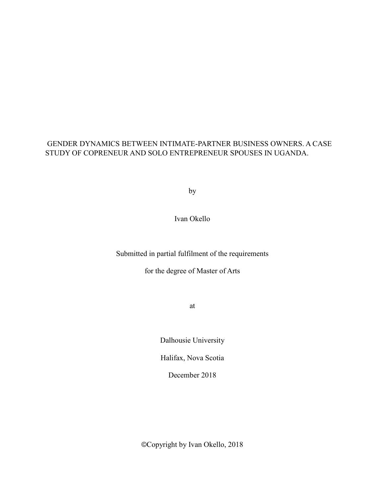## GENDER DYNAMICS BETWEEN INTIMATE-PARTNER BUSINESS OWNERS. A CASE STUDY OF COPRENEUR AND SOLO ENTREPRENEUR SPOUSES IN UGANDA.

**by** 

Ivan Okello

Submitted in partial fulfilment of the requirements

for the degree of Master of Arts

at

Dalhousie University

Halifax, Nova Scotia

December 2018

©Copyright by Ivan Okello, 2018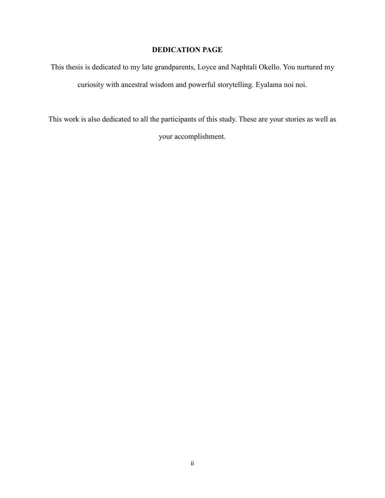## **DEDICATION PAGE**

This thesis is dedicated to my late grandparents, Loyce and Naphtali Okello. You nurtured my curiosity with ancestral wisdom and powerful storytelling. Eyalama noi noi.

This work is also dedicated to all the participants of this study. These are your stories as well as your accomplishment.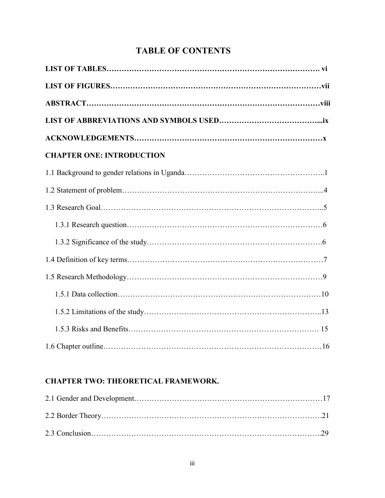# **TABLE OF CONTENTS**

| <b>CHAPTER ONE: INTRODUCTION</b> |
|----------------------------------|
|                                  |
|                                  |
|                                  |
|                                  |
|                                  |
|                                  |
|                                  |
|                                  |
|                                  |
|                                  |
|                                  |

## **CHAPTER TWO: THEORETICAL FRAMEWORK.**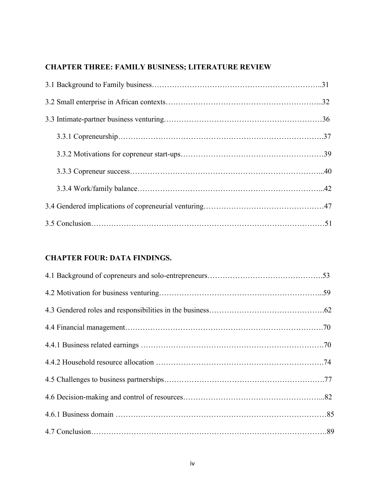# **CHAPTER THREE: FAMILY BUSINESS; LITERATURE REVIEW**

## **CHAPTER FOUR: DATA FINDINGS.**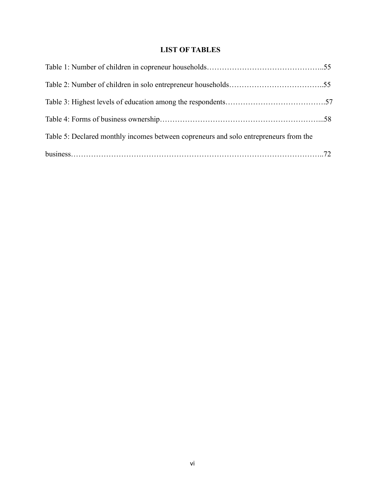## **LIST OF TABLES**

| Table 5: Declared monthly incomes between copreneurs and solo entrepreneurs from the |  |
|--------------------------------------------------------------------------------------|--|
|                                                                                      |  |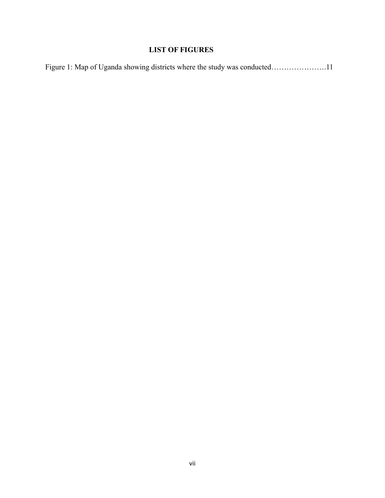## **LIST OF FIGURES**

|  |  |  | Figure 1: Map of Uganda showing districts where the study was conducted11 |  |
|--|--|--|---------------------------------------------------------------------------|--|
|  |  |  |                                                                           |  |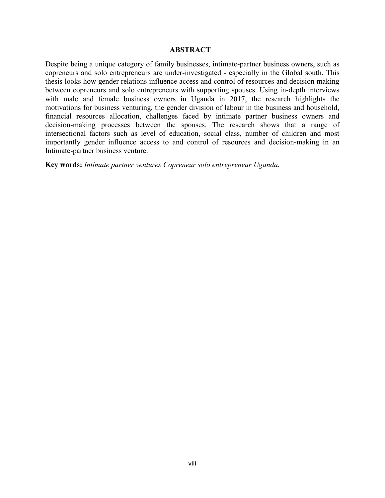## **ABSTRACT**

Despite being a unique category of family businesses, intimate-partner business owners, such as copreneurs and solo entrepreneurs are under-investigated - especially in the Global south. This thesis looks how gender relations influence access and control of resources and decision making between copreneurs and solo entrepreneurs with supporting spouses. Using in-depth interviews with male and female business owners in Uganda in 2017, the research highlights the motivations for business venturing, the gender division of labour in the business and household, financial resources allocation, challenges faced by intimate partner business owners and decision-making processes between the spouses. The research shows that a range of intersectional factors such as level of education, social class, number of children and most importantly gender influence access to and control of resources and decision-making in an Intimate-partner business venture.

**Key words:** *Intimate partner ventures Copreneur solo entrepreneur Uganda.*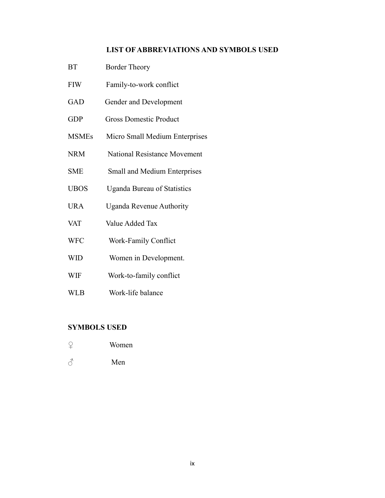## **LIST OF ABBREVIATIONS AND SYMBOLS USED**

- BT Border Theory
- FIW Family-to-work conflict
- GAD Gender and Development
- GDP Gross Domestic Product
- MSMEs Micro Small Medium Enterprises
- NRM National Resistance Movement
- SME Small and Medium Enterprises
- UBOS Uganda Bureau of Statistics
- URA Uganda Revenue Authority
- VAT Value Added Tax
- WFC Work-Family Conflict
- WID Women in Development.
- WIF Work-to-family conflict
- WLB Work-life balance

### **SYMBOLS USED**

- ♀ Women
- ♂ Men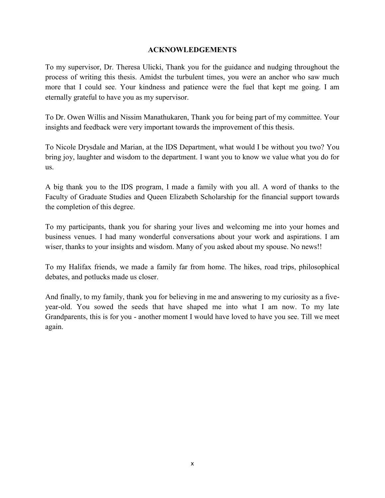## **ACKNOWLEDGEMENTS**

To my supervisor, Dr. Theresa Ulicki, Thank you for the guidance and nudging throughout the process of writing this thesis. Amidst the turbulent times, you were an anchor who saw much more that I could see. Your kindness and patience were the fuel that kept me going. I am eternally grateful to have you as my supervisor.

To Dr. Owen Willis and Nissim Manathukaren, Thank you for being part of my committee. Your insights and feedback were very important towards the improvement of this thesis.

To Nicole Drysdale and Marian, at the IDS Department, what would I be without you two? You bring joy, laughter and wisdom to the department. I want you to know we value what you do for us.

A big thank you to the IDS program, I made a family with you all. A word of thanks to the Faculty of Graduate Studies and Queen Elizabeth Scholarship for the financial support towards the completion of this degree.

To my participants, thank you for sharing your lives and welcoming me into your homes and business venues. I had many wonderful conversations about your work and aspirations. I am wiser, thanks to your insights and wisdom. Many of you asked about my spouse. No news!!

To my Halifax friends, we made a family far from home. The hikes, road trips, philosophical debates, and potlucks made us closer.

And finally, to my family, thank you for believing in me and answering to my curiosity as a fiveyear-old. You sowed the seeds that have shaped me into what I am now. To my late Grandparents, this is for you - another moment I would have loved to have you see. Till we meet again.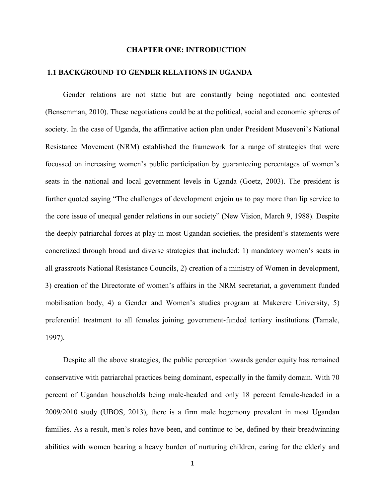### **CHAPTER ONE: INTRODUCTION**

### **1.1 BACKGROUND TO GENDER RELATIONS IN UGANDA**

Gender relations are not static but are constantly being negotiated and contested (Bensemman, 2010). These negotiations could be at the political, social and economic spheres of society. In the case of Uganda, the affirmative action plan under President Museveni's National Resistance Movement (NRM) established the framework for a range of strategies that were focussed on increasing women's public participation by guaranteeing percentages of women's seats in the national and local government levels in Uganda (Goetz, 2003). The president is further quoted saying "The challenges of development enjoin us to pay more than lip service to the core issue of unequal gender relations in our society" (New Vision, March 9, 1988). Despite the deeply patriarchal forces at play in most Ugandan societies, the president's statements were concretized through broad and diverse strategies that included: 1) mandatory women's seats in all grassroots National Resistance Councils, 2) creation of a ministry of Women in development, 3) creation of the Directorate of women's affairs in the NRM secretariat, a government funded mobilisation body, 4) a Gender and Women's studies program at Makerere University, 5) preferential treatment to all females joining government-funded tertiary institutions (Tamale, 1997).

Despite all the above strategies, the public perception towards gender equity has remained conservative with patriarchal practices being dominant, especially in the family domain. With 70 percent of Ugandan households being male-headed and only 18 percent female-headed in a 2009/2010 study (UBOS, 2013), there is a firm male hegemony prevalent in most Ugandan families. As a result, men's roles have been, and continue to be, defined by their breadwinning abilities with women bearing a heavy burden of nurturing children, caring for the elderly and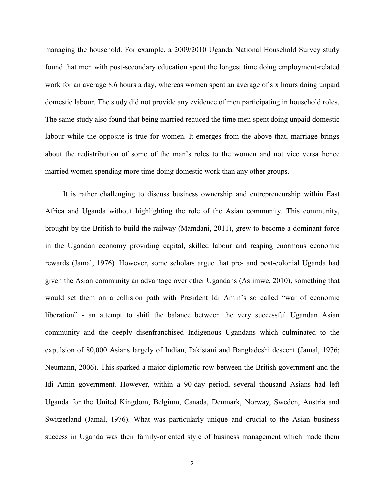managing the household. For example, a 2009/2010 Uganda National Household Survey study found that men with post-secondary education spent the longest time doing employment-related work for an average 8.6 hours a day, whereas women spent an average of six hours doing unpaid domestic labour. The study did not provide any evidence of men participating in household roles. The same study also found that being married reduced the time men spent doing unpaid domestic labour while the opposite is true for women. It emerges from the above that, marriage brings about the redistribution of some of the man's roles to the women and not vice versa hence married women spending more time doing domestic work than any other groups.

It is rather challenging to discuss business ownership and entrepreneurship within East Africa and Uganda without highlighting the role of the Asian community. This community, brought by the British to build the railway (Mamdani, 2011), grew to become a dominant force in the Ugandan economy providing capital, skilled labour and reaping enormous economic rewards (Jamal, 1976). However, some scholars argue that pre- and post-colonial Uganda had given the Asian community an advantage over other Ugandans (Asiimwe, 2010), something that would set them on a collision path with President Idi Amin's so called "war of economic liberation" - an attempt to shift the balance between the very successful Ugandan Asian community and the deeply disenfranchised Indigenous Ugandans which culminated to the expulsion of 80,000 Asians largely of Indian, Pakistani and Bangladeshi descent (Jamal, 1976; Neumann, 2006). This sparked a major diplomatic row between the British government and the Idi Amin government. However, within a 90-day period, several thousand Asians had left Uganda for the United Kingdom, Belgium, Canada, Denmark, Norway, Sweden, Austria and Switzerland (Jamal, 1976). What was particularly unique and crucial to the Asian business success in Uganda was their family-oriented style of business management which made them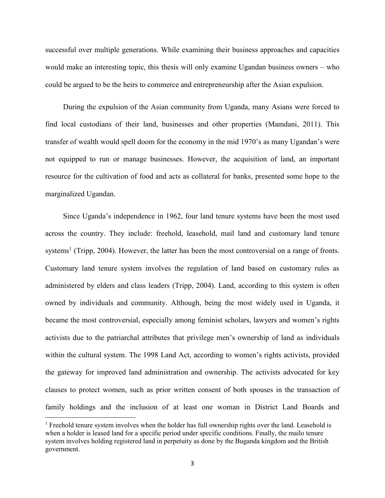successful over multiple generations. While examining their business approaches and capacities would make an interesting topic, this thesis will only examine Ugandan business owners – who could be argued to be the heirs to commerce and entrepreneurship after the Asian expulsion.

During the expulsion of the Asian community from Uganda, many Asians were forced to find local custodians of their land, businesses and other properties (Mamdani, 2011). This transfer of wealth would spell doom for the economy in the mid 1970's as many Ugandan's were not equipped to run or manage businesses. However, the acquisition of land, an important resource for the cultivation of food and acts as collateral for banks, presented some hope to the marginalized Ugandan.

Since Uganda's independence in 1962, four land tenure systems have been the most used across the country. They include: freehold, leasehold, mail land and customary land tenure systems<sup>1</sup> (Tripp, 2004). However, the latter has been the most controversial on a range of fronts. Customary land tenure system involves the regulation of land based on customary rules as administered by elders and class leaders (Tripp, 2004). Land, according to this system is often owned by individuals and community. Although, being the most widely used in Uganda, it became the most controversial, especially among feminist scholars, lawyers and women's rights activists due to the patriarchal attributes that privilege men's ownership of land as individuals within the cultural system. The 1998 Land Act, according to women's rights activists, provided the gateway for improved land administration and ownership. The activists advocated for key clauses to protect women, such as prior written consent of both spouses in the transaction of family holdings and the inclusion of at least one woman in District Land Boards and

 $\overline{\phantom{a}}$ 

<sup>&</sup>lt;sup>1</sup> Freehold tenure system involves when the holder has full ownership rights over the land. Leasehold is when a holder is leased land for a specific period under specific conditions. Finally, the mailo tenure system involves holding registered land in perpetuity as done by the Buganda kingdom and the British government.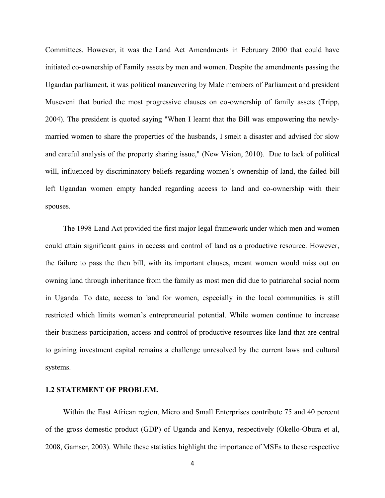Committees. However, it was the Land Act Amendments in February 2000 that could have initiated co-ownership of Family assets by men and women. Despite the amendments passing the Ugandan parliament, it was political maneuvering by Male members of Parliament and president Museveni that buried the most progressive clauses on co-ownership of family assets (Tripp, 2004). The president is quoted saying "When I learnt that the Bill was empowering the newlymarried women to share the properties of the husbands, I smelt a disaster and advised for slow and careful analysis of the property sharing issue," (New Vision, 2010). Due to lack of political will, influenced by discriminatory beliefs regarding women's ownership of land, the failed bill left Ugandan women empty handed regarding access to land and co-ownership with their spouses.

The 1998 Land Act provided the first major legal framework under which men and women could attain significant gains in access and control of land as a productive resource. However, the failure to pass the then bill, with its important clauses, meant women would miss out on owning land through inheritance from the family as most men did due to patriarchal social norm in Uganda. To date, access to land for women, especially in the local communities is still restricted which limits women's entrepreneurial potential. While women continue to increase their business participation, access and control of productive resources like land that are central to gaining investment capital remains a challenge unresolved by the current laws and cultural systems.

#### **1.2 STATEMENT OF PROBLEM.**

Within the East African region, Micro and Small Enterprises contribute 75 and 40 percent of the gross domestic product (GDP) of Uganda and Kenya, respectively (Okello-Obura et al, 2008, Gamser, 2003). While these statistics highlight the importance of MSEs to these respective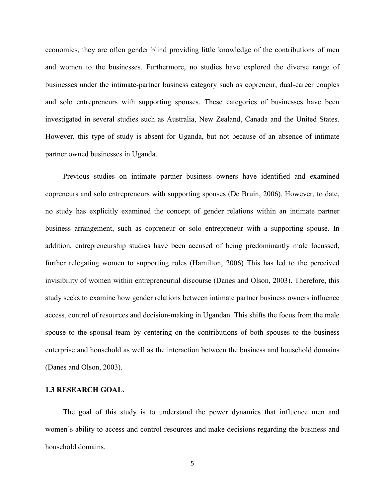economies, they are often gender blind providing little knowledge of the contributions of men and women to the businesses. Furthermore, no studies have explored the diverse range of businesses under the intimate-partner business category such as copreneur, dual-career couples and solo entrepreneurs with supporting spouses. These categories of businesses have been investigated in several studies such as Australia, New Zealand, Canada and the United States. However, this type of study is absent for Uganda, but not because of an absence of intimate partner owned businesses in Uganda.

Previous studies on intimate partner business owners have identified and examined copreneurs and solo entrepreneurs with supporting spouses (De Bruin, 2006). However, to date, no study has explicitly examined the concept of gender relations within an intimate partner business arrangement, such as copreneur or solo entrepreneur with a supporting spouse. In addition, entrepreneurship studies have been accused of being predominantly male focussed, further relegating women to supporting roles (Hamilton, 2006) This has led to the perceived invisibility of women within entrepreneurial discourse (Danes and Olson, 2003). Therefore, this study seeks to examine how gender relations between intimate partner business owners influence access, control of resources and decision-making in Ugandan. This shifts the focus from the male spouse to the spousal team by centering on the contributions of both spouses to the business enterprise and household as well as the interaction between the business and household domains (Danes and Olson, 2003).

## **1.3 RESEARCH GOAL.**

The goal of this study is to understand the power dynamics that influence men and women's ability to access and control resources and make decisions regarding the business and household domains.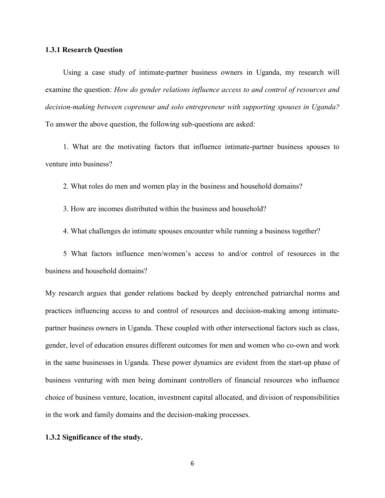#### **1.3.1 Research Question**

Using a case study of intimate-partner business owners in Uganda, my research will examine the question: *How do gender relations influence access to and control of resources and decision-making between copreneur and solo entrepreneur with supporting spouses in Uganda?* To answer the above question, the following sub-questions are asked:

1. What are the motivating factors that influence intimate-partner business spouses to venture into business?

2. What roles do men and women play in the business and household domains?

3. How are incomes distributed within the business and household?

4. What challenges do intimate spouses encounter while running a business together?

5 What factors influence men/women's access to and/or control of resources in the business and household domains?

My research argues that gender relations backed by deeply entrenched patriarchal norms and practices influencing access to and control of resources and decision-making among intimatepartner business owners in Uganda. These coupled with other intersectional factors such as class, gender, level of education ensures different outcomes for men and women who co-own and work in the same businesses in Uganda. These power dynamics are evident from the start-up phase of business venturing with men being dominant controllers of financial resources who influence choice of business venture, location, investment capital allocated, and division of responsibilities in the work and family domains and the decision-making processes.

## **1.3.2 Significance of the study.**

6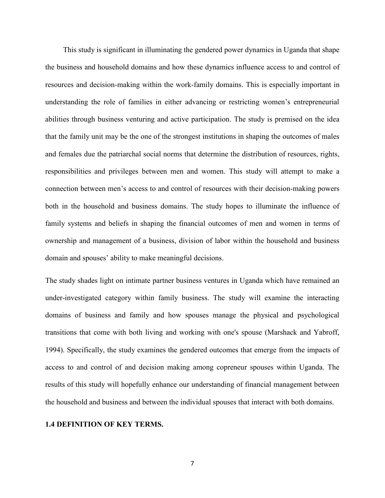This study is significant in illuminating the gendered power dynamics in Uganda that shape the business and household domains and how these dynamics influence access to and control of resources and decision-making within the work-family domains. This is especially important in understanding the role of families in either advancing or restricting women's entrepreneurial abilities through business venturing and active participation. The study is premised on the idea that the family unit may be the one of the strongest institutions in shaping the outcomes of males and females due the patriarchal social norms that determine the distribution of resources, rights, responsibilities and privileges between men and women. This study will attempt to make a connection between men's access to and control of resources with their decision-making powers both in the household and business domains. The study hopes to illuminate the influence of family systems and beliefs in shaping the financial outcomes of men and women in terms of ownership and management of a business, division of labor within the household and business domain and spouses' ability to make meaningful decisions.

The study shades light on intimate partner business ventures in Uganda which have remained an under-investigated category within family business. The study will examine the interacting domains of business and family and how spouses manage the physical and psychological transitions that come with both living and working with one's spouse (Marshack and Yabroff, 1994). Specifically, the study examines the gendered outcomes that emerge from the impacts of access to and control of and decision making among copreneur spouses within Uganda. The results of this study will hopefully enhance our understanding of financial management between the household and business and between the individual spouses that interact with both domains.

### **1.4 DEFINITION OF KEY TERMS.**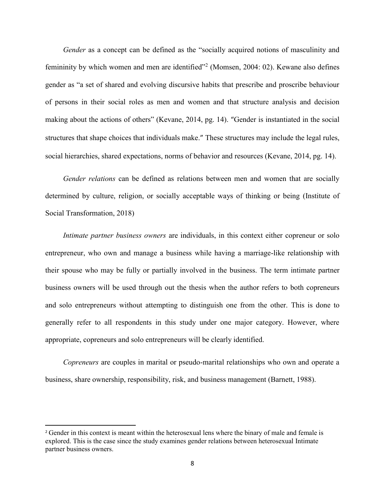*Gender* as a concept can be defined as the "socially acquired notions of masculinity and femininity by which women and men are identified"<sup>2</sup> (Momsen, 2004: 02). Kewane also defines gender as "a set of shared and evolving discursive habits that prescribe and proscribe behaviour of persons in their social roles as men and women and that structure analysis and decision making about the actions of others" (Kevane, 2014, pg. 14). "Gender is instantiated in the social structures that shape choices that individuals make." These structures may include the legal rules, social hierarchies, shared expectations, norms of behavior and resources (Kevane, 2014, pg. 14).

*Gender relations* can be defined as relations between men and women that are socially determined by culture, religion, or socially acceptable ways of thinking or being (Institute of Social Transformation, 2018)

*Intimate partner business owners* are individuals, in this context either copreneur or solo entrepreneur, who own and manage a business while having a marriage-like relationship with their spouse who may be fully or partially involved in the business. The term intimate partner business owners will be used through out the thesis when the author refers to both copreneurs and solo entrepreneurs without attempting to distinguish one from the other. This is done to generally refer to all respondents in this study under one major category. However, where appropriate, copreneurs and solo entrepreneurs will be clearly identified.

*Copreneurs* are couples in marital or pseudo-marital relationships who own and operate a business, share ownership, responsibility, risk, and business management (Barnett, 1988).

 $\overline{\phantom{a}}$ 

<sup>&</sup>lt;sup>2</sup> Gender in this context is meant within the heterosexual lens where the binary of male and female is explored. This is the case since the study examines gender relations between heterosexual Intimate partner business owners.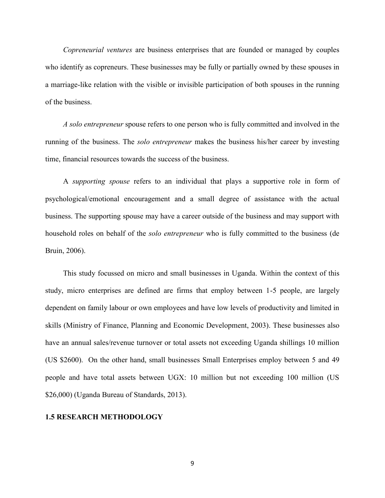*Copreneurial ventures* are business enterprises that are founded or managed by couples who identify as copreneurs. These businesses may be fully or partially owned by these spouses in a marriage-like relation with the visible or invisible participation of both spouses in the running of the business.

*A solo entrepreneur* spouse refers to one person who is fully committed and involved in the running of the business. The *solo entrepreneur* makes the business his/her career by investing time, financial resources towards the success of the business.

A *supporting spouse* refers to an individual that plays a supportive role in form of psychological/emotional encouragement and a small degree of assistance with the actual business. The supporting spouse may have a career outside of the business and may support with household roles on behalf of the *solo entrepreneur* who is fully committed to the business (de Bruin, 2006).

This study focussed on micro and small businesses in Uganda. Within the context of this study, micro enterprises are defined are firms that employ between 1-5 people, are largely dependent on family labour or own employees and have low levels of productivity and limited in skills (Ministry of Finance, Planning and Economic Development, 2003). These businesses also have an annual sales/revenue turnover or total assets not exceeding Uganda shillings 10 million (US \$2600). On the other hand, small businesses Small Enterprises employ between 5 and 49 people and have total assets between UGX: 10 million but not exceeding 100 million (US \$26,000) (Uganda Bureau of Standards, 2013).

### **1.5 RESEARCH METHODOLOGY**

9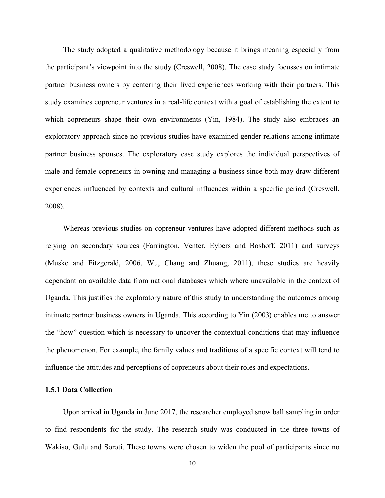The study adopted a qualitative methodology because it brings meaning especially from the participant's viewpoint into the study (Creswell, 2008). The case study focusses on intimate partner business owners by centering their lived experiences working with their partners. This study examines copreneur ventures in a real-life context with a goal of establishing the extent to which copreneurs shape their own environments (Yin, 1984). The study also embraces an exploratory approach since no previous studies have examined gender relations among intimate partner business spouses. The exploratory case study explores the individual perspectives of male and female copreneurs in owning and managing a business since both may draw different experiences influenced by contexts and cultural influences within a specific period (Creswell, 2008).

Whereas previous studies on copreneur ventures have adopted different methods such as relying on secondary sources (Farrington, Venter, Eybers and Boshoff, 2011) and surveys (Muske and Fitzgerald, 2006, Wu, Chang and Zhuang, 2011), these studies are heavily dependant on available data from national databases which where unavailable in the context of Uganda. This justifies the exploratory nature of this study to understanding the outcomes among intimate partner business owners in Uganda. This according to Yin (2003) enables me to answer the "how" question which is necessary to uncover the contextual conditions that may influence the phenomenon. For example, the family values and traditions of a specific context will tend to influence the attitudes and perceptions of copreneurs about their roles and expectations.

### **1.5.1 Data Collection**

Upon arrival in Uganda in June 2017, the researcher employed snow ball sampling in order to find respondents for the study. The research study was conducted in the three towns of Wakiso, Gulu and Soroti. These towns were chosen to widen the pool of participants since no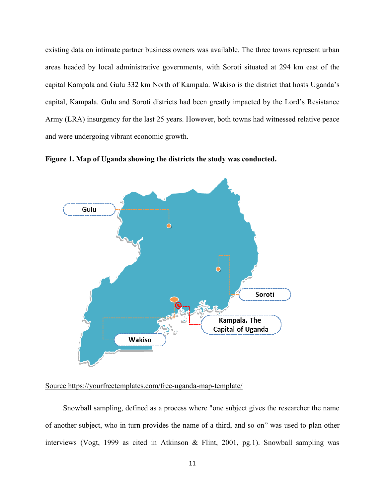existing data on intimate partner business owners was available. The three towns represent urban areas headed by local administrative governments, with Soroti situated at 294 km east of the capital Kampala and Gulu 332 km North of Kampala. Wakiso is the district that hosts Uganda's capital, Kampala. Gulu and Soroti districts had been greatly impacted by the Lord's Resistance Army (LRA) insurgency for the last 25 years. However, both towns had witnessed relative peace and were undergoing vibrant economic growth.

**Figure 1. Map of Uganda showing the districts the study was conducted.**



### Source https://yourfreetemplates.com/free-uganda-map-template/

Snowball sampling, defined as a process where "one subject gives the researcher the name of another subject, who in turn provides the name of a third, and so on" was used to plan other interviews (Vogt, 1999 as cited in Atkinson & Flint, 2001, pg.1). Snowball sampling was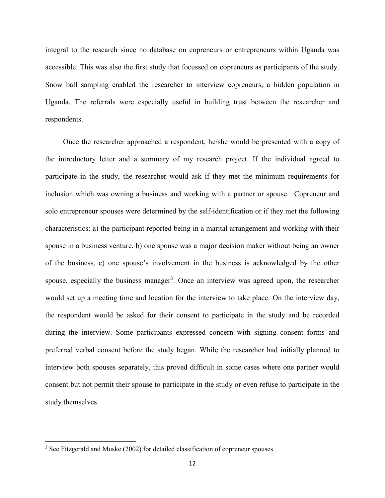integral to the research since no database on copreneurs or entrepreneurs within Uganda was accessible. This was also the first study that focussed on copreneurs as participants of the study. Snow ball sampling enabled the researcher to interview copreneurs, a hidden population in Uganda. The referrals were especially useful in building trust between the researcher and respondents.

Once the researcher approached a respondent, he/she would be presented with a copy of the introductory letter and a summary of my research project. If the individual agreed to participate in the study, the researcher would ask if they met the minimum requirements for inclusion which was owning a business and working with a partner or spouse. Copreneur and solo entrepreneur spouses were determined by the self-identification or if they met the following characteristics: a) the participant reported being in a marital arrangement and working with their spouse in a business venture, b) one spouse was a major decision maker without being an owner of the business, c) one spouse's involvement in the business is acknowledged by the other spouse, especially the business manager<sup>3</sup>. Once an interview was agreed upon, the researcher would set up a meeting time and location for the interview to take place. On the interview day, the respondent would be asked for their consent to participate in the study and be recorded during the interview. Some participants expressed concern with signing consent forms and preferred verbal consent before the study began. While the researcher had initially planned to interview both spouses separately, this proved difficult in some cases where one partner would consent but not permit their spouse to participate in the study or even refuse to participate in the study themselves.

 $\overline{a}$ 

<sup>&</sup>lt;sup>3</sup> See Fitzgerald and Muske (2002) for detailed classification of copreneur spouses.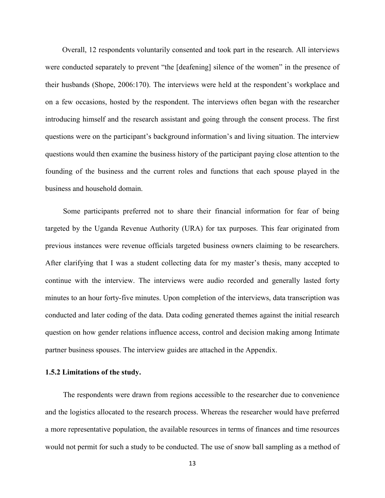Overall, 12 respondents voluntarily consented and took part in the research. All interviews were conducted separately to prevent "the [deafening] silence of the women" in the presence of their husbands (Shope, 2006:170). The interviews were held at the respondent's workplace and on a few occasions, hosted by the respondent. The interviews often began with the researcher introducing himself and the research assistant and going through the consent process. The first questions were on the participant's background information's and living situation. The interview questions would then examine the business history of the participant paying close attention to the founding of the business and the current roles and functions that each spouse played in the business and household domain.

Some participants preferred not to share their financial information for fear of being targeted by the Uganda Revenue Authority (URA) for tax purposes. This fear originated from previous instances were revenue officials targeted business owners claiming to be researchers. After clarifying that I was a student collecting data for my master's thesis, many accepted to continue with the interview. The interviews were audio recorded and generally lasted forty minutes to an hour forty-five minutes. Upon completion of the interviews, data transcription was conducted and later coding of the data. Data coding generated themes against the initial research question on how gender relations influence access, control and decision making among Intimate partner business spouses. The interview guides are attached in the Appendix.

## **1.5.2 Limitations of the study.**

The respondents were drawn from regions accessible to the researcher due to convenience and the logistics allocated to the research process. Whereas the researcher would have preferred a more representative population, the available resources in terms of finances and time resources would not permit for such a study to be conducted. The use of snow ball sampling as a method of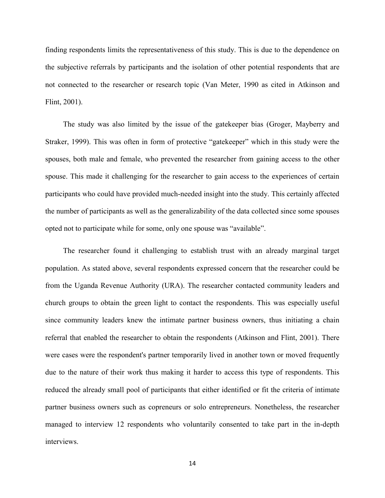finding respondents limits the representativeness of this study. This is due to the dependence on the subjective referrals by participants and the isolation of other potential respondents that are not connected to the researcher or research topic (Van Meter, 1990 as cited in Atkinson and Flint, 2001).

The study was also limited by the issue of the gatekeeper bias (Groger, Mayberry and Straker, 1999). This was often in form of protective "gatekeeper" which in this study were the spouses, both male and female, who prevented the researcher from gaining access to the other spouse. This made it challenging for the researcher to gain access to the experiences of certain participants who could have provided much-needed insight into the study. This certainly affected the number of participants as well as the generalizability of the data collected since some spouses opted not to participate while for some, only one spouse was "available".

The researcher found it challenging to establish trust with an already marginal target population. As stated above, several respondents expressed concern that the researcher could be from the Uganda Revenue Authority (URA). The researcher contacted community leaders and church groups to obtain the green light to contact the respondents. This was especially useful since community leaders knew the intimate partner business owners, thus initiating a chain referral that enabled the researcher to obtain the respondents (Atkinson and Flint, 2001). There were cases were the respondent's partner temporarily lived in another town or moved frequently due to the nature of their work thus making it harder to access this type of respondents. This reduced the already small pool of participants that either identified or fit the criteria of intimate partner business owners such as copreneurs or solo entrepreneurs. Nonetheless, the researcher managed to interview 12 respondents who voluntarily consented to take part in the in-depth interviews.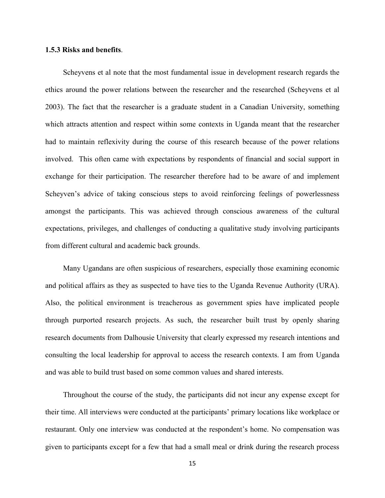#### **1.5.3 Risks and benefits**.

Scheyvens et al note that the most fundamental issue in development research regards the ethics around the power relations between the researcher and the researched (Scheyvens et al 2003). The fact that the researcher is a graduate student in a Canadian University, something which attracts attention and respect within some contexts in Uganda meant that the researcher had to maintain reflexivity during the course of this research because of the power relations involved. This often came with expectations by respondents of financial and social support in exchange for their participation. The researcher therefore had to be aware of and implement Scheyven's advice of taking conscious steps to avoid reinforcing feelings of powerlessness amongst the participants. This was achieved through conscious awareness of the cultural expectations, privileges, and challenges of conducting a qualitative study involving participants from different cultural and academic back grounds.

Many Ugandans are often suspicious of researchers, especially those examining economic and political affairs as they as suspected to have ties to the Uganda Revenue Authority (URA). Also, the political environment is treacherous as government spies have implicated people through purported research projects. As such, the researcher built trust by openly sharing research documents from Dalhousie University that clearly expressed my research intentions and consulting the local leadership for approval to access the research contexts. I am from Uganda and was able to build trust based on some common values and shared interests.

Throughout the course of the study, the participants did not incur any expense except for their time. All interviews were conducted at the participants' primary locations like workplace or restaurant. Only one interview was conducted at the respondent's home. No compensation was given to participants except for a few that had a small meal or drink during the research process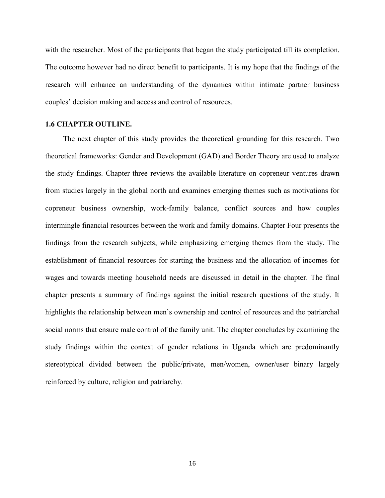with the researcher. Most of the participants that began the study participated till its completion. The outcome however had no direct benefit to participants. It is my hope that the findings of the research will enhance an understanding of the dynamics within intimate partner business couples' decision making and access and control of resources.

## **1.6 CHAPTER OUTLINE.**

The next chapter of this study provides the theoretical grounding for this research. Two theoretical frameworks: Gender and Development (GAD) and Border Theory are used to analyze the study findings. Chapter three reviews the available literature on copreneur ventures drawn from studies largely in the global north and examines emerging themes such as motivations for copreneur business ownership, work-family balance, conflict sources and how couples intermingle financial resources between the work and family domains. Chapter Four presents the findings from the research subjects, while emphasizing emerging themes from the study. The establishment of financial resources for starting the business and the allocation of incomes for wages and towards meeting household needs are discussed in detail in the chapter. The final chapter presents a summary of findings against the initial research questions of the study. It highlights the relationship between men's ownership and control of resources and the patriarchal social norms that ensure male control of the family unit. The chapter concludes by examining the study findings within the context of gender relations in Uganda which are predominantly stereotypical divided between the public/private, men/women, owner/user binary largely reinforced by culture, religion and patriarchy.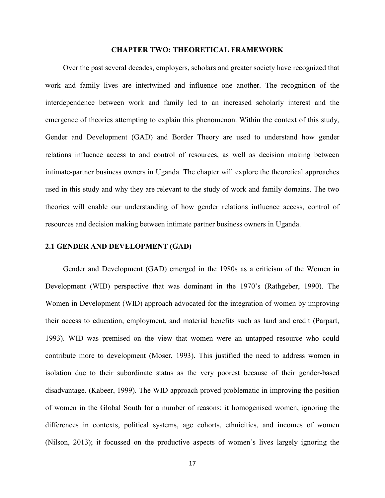#### **CHAPTER TWO: THEORETICAL FRAMEWORK**

Over the past several decades, employers, scholars and greater society have recognized that work and family lives are intertwined and influence one another. The recognition of the interdependence between work and family led to an increased scholarly interest and the emergence of theories attempting to explain this phenomenon. Within the context of this study, Gender and Development (GAD) and Border Theory are used to understand how gender relations influence access to and control of resources, as well as decision making between intimate-partner business owners in Uganda. The chapter will explore the theoretical approaches used in this study and why they are relevant to the study of work and family domains. The two theories will enable our understanding of how gender relations influence access, control of resources and decision making between intimate partner business owners in Uganda.

### **2.1 GENDER AND DEVELOPMENT (GAD)**

Gender and Development (GAD) emerged in the 1980s as a criticism of the Women in Development (WID) perspective that was dominant in the 1970's (Rathgeber, 1990). The Women in Development (WID) approach advocated for the integration of women by improving their access to education, employment, and material benefits such as land and credit (Parpart, 1993). WID was premised on the view that women were an untapped resource who could contribute more to development (Moser, 1993). This justified the need to address women in isolation due to their subordinate status as the very poorest because of their gender-based disadvantage. (Kabeer, 1999). The WID approach proved problematic in improving the position of women in the Global South for a number of reasons: it homogenised women, ignoring the differences in contexts, political systems, age cohorts, ethnicities, and incomes of women (Nilson, 2013); it focussed on the productive aspects of women's lives largely ignoring the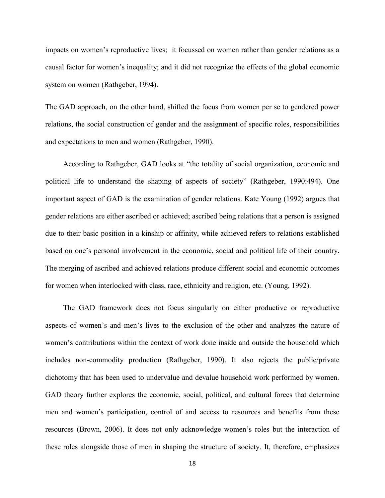impacts on women's reproductive lives; it focussed on women rather than gender relations as a causal factor for women's inequality; and it did not recognize the effects of the global economic system on women (Rathgeber, 1994).

The GAD approach, on the other hand, shifted the focus from women per se to gendered power relations, the social construction of gender and the assignment of specific roles, responsibilities and expectations to men and women (Rathgeber, 1990).

According to Rathgeber, GAD looks at "the totality of social organization, economic and political life to understand the shaping of aspects of society" (Rathgeber, 1990:494). One important aspect of GAD is the examination of gender relations. Kate Young (1992) argues that gender relations are either ascribed or achieved; ascribed being relations that a person is assigned due to their basic position in a kinship or affinity, while achieved refers to relations established based on one's personal involvement in the economic, social and political life of their country. The merging of ascribed and achieved relations produce different social and economic outcomes for women when interlocked with class, race, ethnicity and religion, etc. (Young, 1992).

The GAD framework does not focus singularly on either productive or reproductive aspects of women's and men's lives to the exclusion of the other and analyzes the nature of women's contributions within the context of work done inside and outside the household which includes non-commodity production (Rathgeber, 1990). It also rejects the public/private dichotomy that has been used to undervalue and devalue household work performed by women. GAD theory further explores the economic, social, political, and cultural forces that determine men and women's participation, control of and access to resources and benefits from these resources (Brown, 2006). It does not only acknowledge women's roles but the interaction of these roles alongside those of men in shaping the structure of society. It, therefore, emphasizes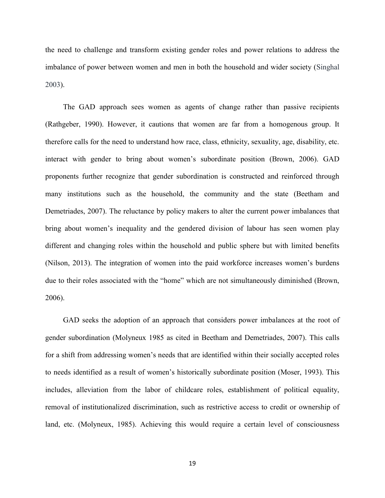the need to challenge and transform existing gender roles and power relations to address the imbalance of power between women and men in both the household and wider society (Singhal 2003).

The GAD approach sees women as agents of change rather than passive recipients (Rathgeber, 1990). However, it cautions that women are far from a homogenous group. It therefore calls for the need to understand how race, class, ethnicity, sexuality, age, disability, etc. interact with gender to bring about women's subordinate position (Brown, 2006). GAD proponents further recognize that gender subordination is constructed and reinforced through many institutions such as the household, the community and the state (Beetham and Demetriades, 2007). The reluctance by policy makers to alter the current power imbalances that bring about women's inequality and the gendered division of labour has seen women play different and changing roles within the household and public sphere but with limited benefits (Nilson, 2013). The integration of women into the paid workforce increases women's burdens due to their roles associated with the "home" which are not simultaneously diminished (Brown, 2006).

GAD seeks the adoption of an approach that considers power imbalances at the root of gender subordination (Molyneux 1985 as cited in Beetham and Demetriades, 2007). This calls for a shift from addressing women's needs that are identified within their socially accepted roles to needs identified as a result of women's historically subordinate position (Moser, 1993). This includes, alleviation from the labor of childcare roles, establishment of political equality, removal of institutionalized discrimination, such as restrictive access to credit or ownership of land, etc. (Molyneux, 1985). Achieving this would require a certain level of consciousness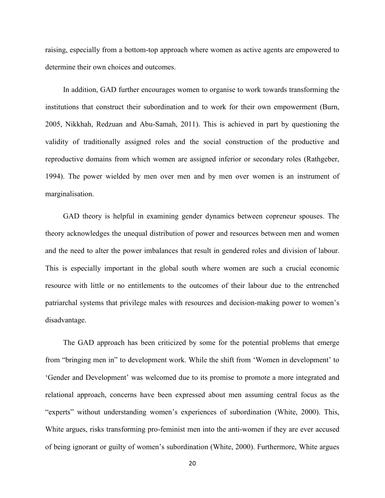raising, especially from a bottom-top approach where women as active agents are empowered to determine their own choices and outcomes.

In addition, GAD further encourages women to organise to work towards transforming the institutions that construct their subordination and to work for their own empowerment (Burn, 2005, Nikkhah, Redzuan and Abu-Samah, 2011). This is achieved in part by questioning the validity of traditionally assigned roles and the social construction of the productive and reproductive domains from which women are assigned inferior or secondary roles (Rathgeber, 1994). The power wielded by men over men and by men over women is an instrument of marginalisation.

GAD theory is helpful in examining gender dynamics between copreneur spouses. The theory acknowledges the unequal distribution of power and resources between men and women and the need to alter the power imbalances that result in gendered roles and division of labour. This is especially important in the global south where women are such a crucial economic resource with little or no entitlements to the outcomes of their labour due to the entrenched patriarchal systems that privilege males with resources and decision-making power to women's disadvantage.

The GAD approach has been criticized by some for the potential problems that emerge from "bringing men in" to development work. While the shift from 'Women in development' to 'Gender and Development' was welcomed due to its promise to promote a more integrated and relational approach, concerns have been expressed about men assuming central focus as the "experts" without understanding women's experiences of subordination (White, 2000). This, White argues, risks transforming pro-feminist men into the anti-women if they are ever accused of being ignorant or guilty of women's subordination (White, 2000). Furthermore, White argues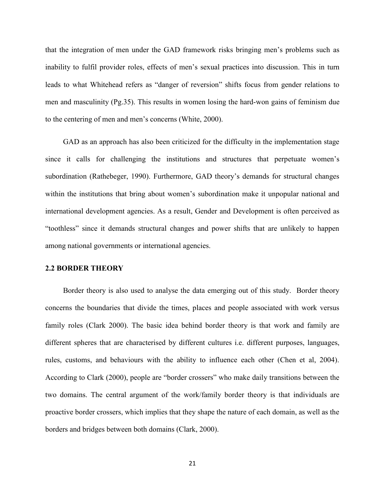that the integration of men under the GAD framework risks bringing men's problems such as inability to fulfil provider roles, effects of men's sexual practices into discussion. This in turn leads to what Whitehead refers as "danger of reversion" shifts focus from gender relations to men and masculinity (Pg.35). This results in women losing the hard-won gains of feminism due to the centering of men and men's concerns (White, 2000).

GAD as an approach has also been criticized for the difficulty in the implementation stage since it calls for challenging the institutions and structures that perpetuate women's subordination (Rathebeger, 1990). Furthermore, GAD theory's demands for structural changes within the institutions that bring about women's subordination make it unpopular national and international development agencies. As a result, Gender and Development is often perceived as "toothless" since it demands structural changes and power shifts that are unlikely to happen among national governments or international agencies.

### **2.2 BORDER THEORY**

Border theory is also used to analyse the data emerging out of this study. Border theory concerns the boundaries that divide the times, places and people associated with work versus family roles (Clark 2000). The basic idea behind border theory is that work and family are different spheres that are characterised by different cultures i.e. different purposes, languages, rules, customs, and behaviours with the ability to influence each other (Chen et al, 2004). According to Clark (2000), people are "border crossers" who make daily transitions between the two domains. The central argument of the work/family border theory is that individuals are proactive border crossers, which implies that they shape the nature of each domain, as well as the borders and bridges between both domains (Clark, 2000).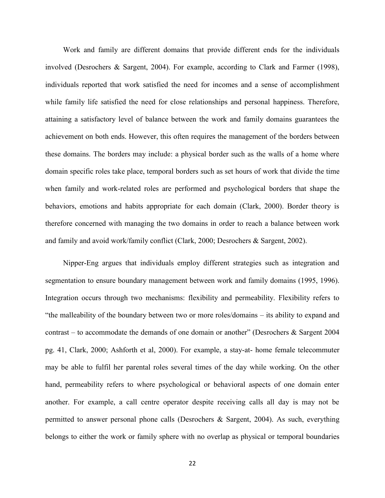Work and family are different domains that provide different ends for the individuals involved (Desrochers & Sargent, 2004). For example, according to Clark and Farmer (1998), individuals reported that work satisfied the need for incomes and a sense of accomplishment while family life satisfied the need for close relationships and personal happiness. Therefore, attaining a satisfactory level of balance between the work and family domains guarantees the achievement on both ends. However, this often requires the management of the borders between these domains. The borders may include: a physical border such as the walls of a home where domain specific roles take place, temporal borders such as set hours of work that divide the time when family and work-related roles are performed and psychological borders that shape the behaviors, emotions and habits appropriate for each domain (Clark, 2000). Border theory is therefore concerned with managing the two domains in order to reach a balance between work and family and avoid work/family conflict (Clark, 2000; Desrochers & Sargent, 2002).

Nipper-Eng argues that individuals employ different strategies such as integration and segmentation to ensure boundary management between work and family domains (1995, 1996). Integration occurs through two mechanisms: flexibility and permeability. Flexibility refers to "the malleability of the boundary between two or more roles/domains – its ability to expand and contrast – to accommodate the demands of one domain or another" (Desrochers  $\&$  Sargent 2004 pg. 41, Clark, 2000; Ashforth et al, 2000). For example, a stay-at- home female telecommuter may be able to fulfil her parental roles several times of the day while working. On the other hand, permeability refers to where psychological or behavioral aspects of one domain enter another. For example, a call centre operator despite receiving calls all day is may not be permitted to answer personal phone calls (Desrochers & Sargent, 2004). As such, everything belongs to either the work or family sphere with no overlap as physical or temporal boundaries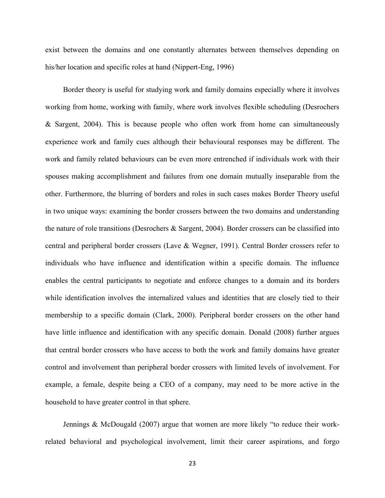exist between the domains and one constantly alternates between themselves depending on his/her location and specific roles at hand (Nippert-Eng, 1996)

Border theory is useful for studying work and family domains especially where it involves working from home, working with family, where work involves flexible scheduling (Desrochers & Sargent, 2004). This is because people who often work from home can simultaneously experience work and family cues although their behavioural responses may be different. The work and family related behaviours can be even more entrenched if individuals work with their spouses making accomplishment and failures from one domain mutually inseparable from the other. Furthermore, the blurring of borders and roles in such cases makes Border Theory useful in two unique ways: examining the border crossers between the two domains and understanding the nature of role transitions (Desrochers & Sargent, 2004). Border crossers can be classified into central and peripheral border crossers (Lave & Wegner, 1991). Central Border crossers refer to individuals who have influence and identification within a specific domain. The influence enables the central participants to negotiate and enforce changes to a domain and its borders while identification involves the internalized values and identities that are closely tied to their membership to a specific domain (Clark, 2000). Peripheral border crossers on the other hand have little influence and identification with any specific domain. Donald (2008) further argues that central border crossers who have access to both the work and family domains have greater control and involvement than peripheral border crossers with limited levels of involvement. For example, a female, despite being a CEO of a company, may need to be more active in the household to have greater control in that sphere.

Jennings & McDougald (2007) argue that women are more likely "to reduce their workrelated behavioral and psychological involvement, limit their career aspirations, and forgo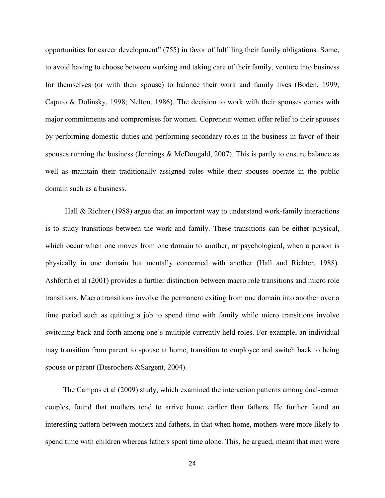opportunities for career development" (755) in favor of fulfilling their family obligations. Some, to avoid having to choose between working and taking care of their family, venture into business for themselves (or with their spouse) to balance their work and family lives (Boden, 1999; Caputo & Dolinsky, 1998; Nelton, 1986). The decision to work with their spouses comes with major commitments and compromises for women. Copreneur women offer relief to their spouses by performing domestic duties and performing secondary roles in the business in favor of their spouses running the business (Jennings & McDougald, 2007). This is partly to ensure balance as well as maintain their traditionally assigned roles while their spouses operate in the public domain such as a business.

Hall & Richter (1988) argue that an important way to understand work-family interactions is to study transitions between the work and family. These transitions can be either physical, which occur when one moves from one domain to another, or psychological, when a person is physically in one domain but mentally concerned with another (Hall and Richter, 1988). Ashforth et al (2001) provides a further distinction between macro role transitions and micro role transitions. Macro transitions involve the permanent exiting from one domain into another over a time period such as quitting a job to spend time with family while micro transitions involve switching back and forth among one's multiple currently held roles. For example, an individual may transition from parent to spouse at home, transition to employee and switch back to being spouse or parent (Desrochers &Sargent, 2004).

The Campos et al (2009) study, which examined the interaction patterns among dual-earner couples, found that mothers tend to arrive home earlier than fathers. He further found an interesting pattern between mothers and fathers, in that when home, mothers were more likely to spend time with children whereas fathers spent time alone. This, he argued, meant that men were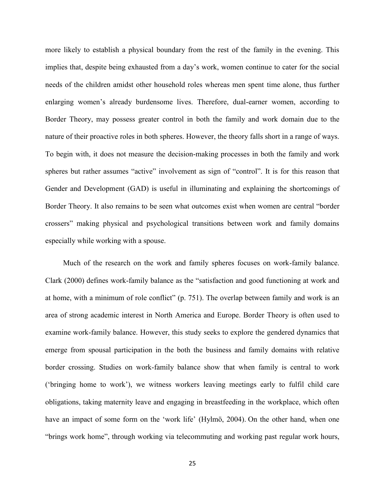more likely to establish a physical boundary from the rest of the family in the evening. This implies that, despite being exhausted from a day's work, women continue to cater for the social needs of the children amidst other household roles whereas men spent time alone, thus further enlarging women's already burdensome lives. Therefore, dual-earner women, according to Border Theory, may possess greater control in both the family and work domain due to the nature of their proactive roles in both spheres. However, the theory falls short in a range of ways. To begin with, it does not measure the decision-making processes in both the family and work spheres but rather assumes "active" involvement as sign of "control". It is for this reason that Gender and Development (GAD) is useful in illuminating and explaining the shortcomings of Border Theory. It also remains to be seen what outcomes exist when women are central "border crossers" making physical and psychological transitions between work and family domains especially while working with a spouse.

Much of the research on the work and family spheres focuses on work-family balance. Clark (2000) defines work-family balance as the "satisfaction and good functioning at work and at home, with a minimum of role conflict" (p. 751). The overlap between family and work is an area of strong academic interest in North America and Europe. Border Theory is often used to examine work-family balance. However, this study seeks to explore the gendered dynamics that emerge from spousal participation in the both the business and family domains with relative border crossing. Studies on work-family balance show that when family is central to work ('bringing home to work'), we witness workers leaving meetings early to fulfil child care obligations, taking maternity leave and engaging in breastfeeding in the workplace, which often have an impact of some form on the 'work life' (Hylmö, 2004). On the other hand, when one "brings work home", through working via telecommuting and working past regular work hours,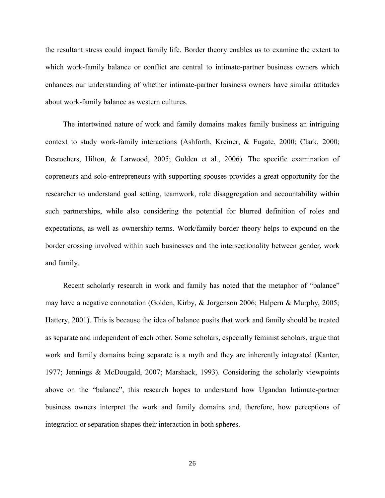the resultant stress could impact family life. Border theory enables us to examine the extent to which work-family balance or conflict are central to intimate-partner business owners which enhances our understanding of whether intimate-partner business owners have similar attitudes about work-family balance as western cultures.

The intertwined nature of work and family domains makes family business an intriguing context to study work-family interactions (Ashforth, Kreiner, & Fugate, 2000; Clark, 2000; Desrochers, Hilton, & Larwood, 2005; Golden et al., 2006). The specific examination of copreneurs and solo-entrepreneurs with supporting spouses provides a great opportunity for the researcher to understand goal setting, teamwork, role disaggregation and accountability within such partnerships, while also considering the potential for blurred definition of roles and expectations, as well as ownership terms. Work/family border theory helps to expound on the border crossing involved within such businesses and the intersectionality between gender, work and family.

Recent scholarly research in work and family has noted that the metaphor of "balance" may have a negative connotation (Golden, Kirby, & Jorgenson 2006; Halpern & Murphy, 2005; Hattery, 2001). This is because the idea of balance posits that work and family should be treated as separate and independent of each other. Some scholars, especially feminist scholars, argue that work and family domains being separate is a myth and they are inherently integrated (Kanter, 1977; Jennings & McDougald, 2007; Marshack, 1993). Considering the scholarly viewpoints above on the "balance", this research hopes to understand how Ugandan Intimate-partner business owners interpret the work and family domains and, therefore, how perceptions of integration or separation shapes their interaction in both spheres.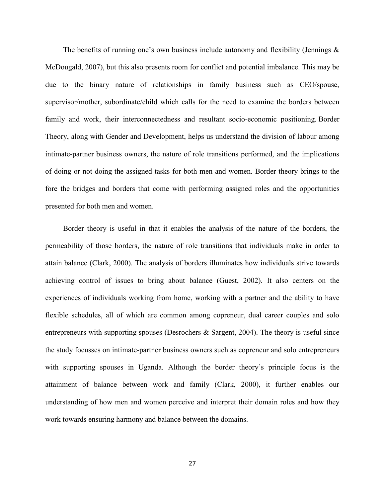The benefits of running one's own business include autonomy and flexibility (Jennings  $\&$ McDougald, 2007), but this also presents room for conflict and potential imbalance. This may be due to the binary nature of relationships in family business such as CEO/spouse, supervisor/mother, subordinate/child which calls for the need to examine the borders between family and work, their interconnectedness and resultant socio-economic positioning. Border Theory, along with Gender and Development, helps us understand the division of labour among intimate-partner business owners, the nature of role transitions performed, and the implications of doing or not doing the assigned tasks for both men and women. Border theory brings to the fore the bridges and borders that come with performing assigned roles and the opportunities presented for both men and women.

Border theory is useful in that it enables the analysis of the nature of the borders, the permeability of those borders, the nature of role transitions that individuals make in order to attain balance (Clark, 2000). The analysis of borders illuminates how individuals strive towards achieving control of issues to bring about balance (Guest, 2002). It also centers on the experiences of individuals working from home, working with a partner and the ability to have flexible schedules, all of which are common among copreneur, dual career couples and solo entrepreneurs with supporting spouses (Desrochers & Sargent, 2004). The theory is useful since the study focusses on intimate-partner business owners such as copreneur and solo entrepreneurs with supporting spouses in Uganda. Although the border theory's principle focus is the attainment of balance between work and family (Clark, 2000), it further enables our understanding of how men and women perceive and interpret their domain roles and how they work towards ensuring harmony and balance between the domains.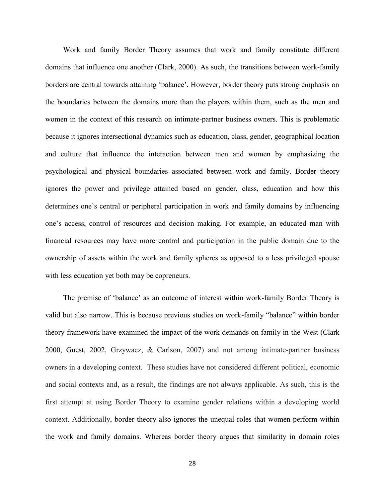Work and family Border Theory assumes that work and family constitute different domains that influence one another (Clark, 2000). As such, the transitions between work-family borders are central towards attaining 'balance'. However, border theory puts strong emphasis on the boundaries between the domains more than the players within them, such as the men and women in the context of this research on intimate-partner business owners. This is problematic because it ignores intersectional dynamics such as education, class, gender, geographical location and culture that influence the interaction between men and women by emphasizing the psychological and physical boundaries associated between work and family. Border theory ignores the power and privilege attained based on gender, class, education and how this determines one's central or peripheral participation in work and family domains by influencing one's access, control of resources and decision making. For example, an educated man with financial resources may have more control and participation in the public domain due to the ownership of assets within the work and family spheres as opposed to a less privileged spouse with less education yet both may be copreneurs.

The premise of 'balance' as an outcome of interest within work-family Border Theory is valid but also narrow. This is because previous studies on work-family "balance" within border theory framework have examined the impact of the work demands on family in the West (Clark 2000, Guest, 2002, Grzywacz, & Carlson, 2007) and not among intimate-partner business owners in a developing context. These studies have not considered different political, economic and social contexts and, as a result, the findings are not always applicable. As such, this is the first attempt at using Border Theory to examine gender relations within a developing world context. Additionally, border theory also ignores the unequal roles that women perform within the work and family domains. Whereas border theory argues that similarity in domain roles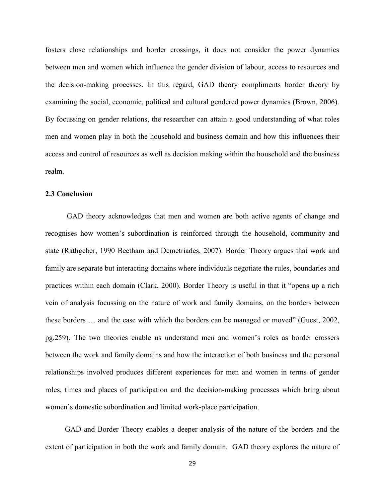fosters close relationships and border crossings, it does not consider the power dynamics between men and women which influence the gender division of labour, access to resources and the decision-making processes. In this regard, GAD theory compliments border theory by examining the social, economic, political and cultural gendered power dynamics (Brown, 2006). By focussing on gender relations, the researcher can attain a good understanding of what roles men and women play in both the household and business domain and how this influences their access and control of resources as well as decision making within the household and the business realm.

# **2.3 Conclusion**

GAD theory acknowledges that men and women are both active agents of change and recognises how women's subordination is reinforced through the household, community and state (Rathgeber, 1990 Beetham and Demetriades, 2007). Border Theory argues that work and family are separate but interacting domains where individuals negotiate the rules, boundaries and practices within each domain (Clark, 2000). Border Theory is useful in that it "opens up a rich vein of analysis focussing on the nature of work and family domains, on the borders between these borders … and the ease with which the borders can be managed or moved" (Guest, 2002, pg.259). The two theories enable us understand men and women's roles as border crossers between the work and family domains and how the interaction of both business and the personal relationships involved produces different experiences for men and women in terms of gender roles, times and places of participation and the decision-making processes which bring about women's domestic subordination and limited work-place participation.

GAD and Border Theory enables a deeper analysis of the nature of the borders and the extent of participation in both the work and family domain. GAD theory explores the nature of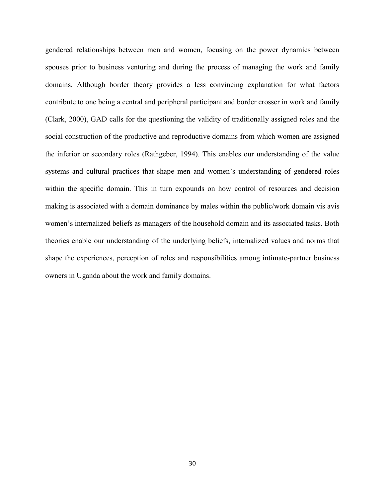gendered relationships between men and women, focusing on the power dynamics between spouses prior to business venturing and during the process of managing the work and family domains. Although border theory provides a less convincing explanation for what factors contribute to one being a central and peripheral participant and border crosser in work and family (Clark, 2000), GAD calls for the questioning the validity of traditionally assigned roles and the social construction of the productive and reproductive domains from which women are assigned the inferior or secondary roles (Rathgeber, 1994). This enables our understanding of the value systems and cultural practices that shape men and women's understanding of gendered roles within the specific domain. This in turn expounds on how control of resources and decision making is associated with a domain dominance by males within the public/work domain vis avis women's internalized beliefs as managers of the household domain and its associated tasks. Both theories enable our understanding of the underlying beliefs, internalized values and norms that shape the experiences, perception of roles and responsibilities among intimate-partner business owners in Uganda about the work and family domains.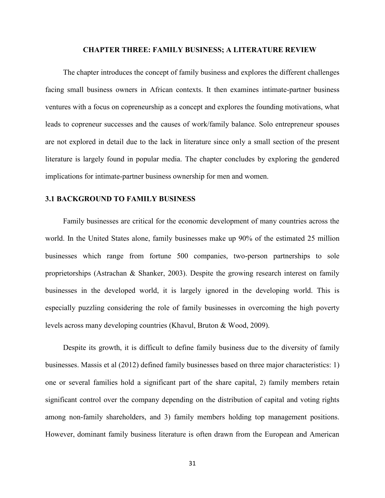#### **CHAPTER THREE: FAMILY BUSINESS; A LITERATURE REVIEW**

The chapter introduces the concept of family business and explores the different challenges facing small business owners in African contexts. It then examines intimate-partner business ventures with a focus on copreneurship as a concept and explores the founding motivations, what leads to copreneur successes and the causes of work/family balance. Solo entrepreneur spouses are not explored in detail due to the lack in literature since only a small section of the present literature is largely found in popular media. The chapter concludes by exploring the gendered implications for intimate-partner business ownership for men and women.

## **3.1 BACKGROUND TO FAMILY BUSINESS**

Family businesses are critical for the economic development of many countries across the world. In the United States alone, family businesses make up 90% of the estimated 25 million businesses which range from fortune 500 companies, two-person partnerships to sole proprietorships (Astrachan & Shanker, 2003). Despite the growing research interest on family businesses in the developed world, it is largely ignored in the developing world. This is especially puzzling considering the role of family businesses in overcoming the high poverty levels across many developing countries (Khavul, Bruton & Wood, 2009).

Despite its growth, it is difficult to define family business due to the diversity of family businesses. Massis et al (2012) defined family businesses based on three major characteristics: 1) one or several families hold a significant part of the share capital, 2) family members retain significant control over the company depending on the distribution of capital and voting rights among non-family shareholders, and 3) family members holding top management positions. However, dominant family business literature is often drawn from the European and American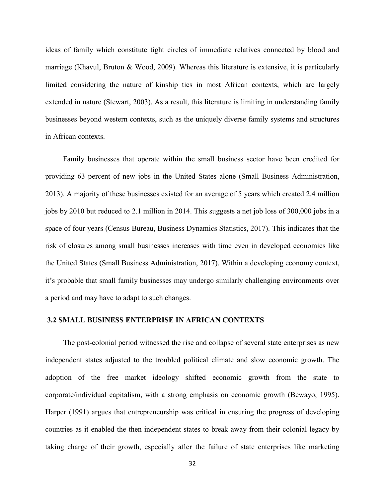ideas of family which constitute tight circles of immediate relatives connected by blood and marriage (Khavul, Bruton & Wood, 2009). Whereas this literature is extensive, it is particularly limited considering the nature of kinship ties in most African contexts, which are largely extended in nature (Stewart, 2003). As a result, this literature is limiting in understanding family businesses beyond western contexts, such as the uniquely diverse family systems and structures in African contexts.

Family businesses that operate within the small business sector have been credited for providing 63 percent of new jobs in the United States alone (Small Business Administration, 2013). A majority of these businesses existed for an average of 5 years which created 2.4 million jobs by 2010 but reduced to 2.1 million in 2014. This suggests a net job loss of 300,000 jobs in a space of four years (Census Bureau, Business Dynamics Statistics, 2017). This indicates that the risk of closures among small businesses increases with time even in developed economies like the United States (Small Business Administration, 2017). Within a developing economy context, it's probable that small family businesses may undergo similarly challenging environments over a period and may have to adapt to such changes.

#### **3.2 SMALL BUSINESS ENTERPRISE IN AFRICAN CONTEXTS**

The post-colonial period witnessed the rise and collapse of several state enterprises as new independent states adjusted to the troubled political climate and slow economic growth. The adoption of the free market ideology shifted economic growth from the state to corporate/individual capitalism, with a strong emphasis on economic growth (Bewayo, 1995). Harper (1991) argues that entrepreneurship was critical in ensuring the progress of developing countries as it enabled the then independent states to break away from their colonial legacy by taking charge of their growth, especially after the failure of state enterprises like marketing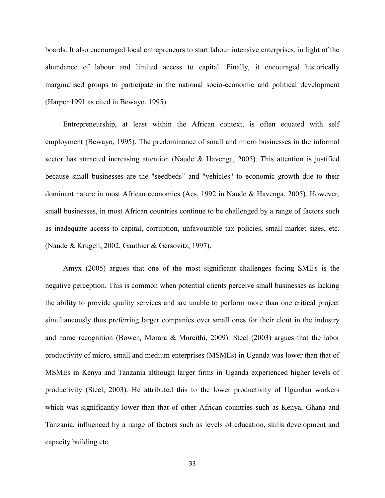boards. It also encouraged local entrepreneurs to start labour intensive enterprises, in light of the abundance of labour and limited access to capital. Finally, it encouraged historically marginalised groups to participate in the national socio-economic and political development (Harper 1991 as cited in Bewayo, 1995).

Entrepreneurship, at least within the African context, is often equated with self employment (Bewayo, 1995). The predominance of small and micro businesses in the informal sector has attracted increasing attention (Naude & Havenga, 2005). This attention is justified because small businesses are the "seedbeds" and "vehicles" to economic growth due to their dominant nature in most African economies (Acs, 1992 in Naude & Havenga, 2005). However, small businesses, in most African countries continue to be challenged by a range of factors such as inadequate access to capital, corruption, unfavourable tax policies, small market sizes, etc. (Naude & Krugell, 2002, Gauthier & Gersovitz, 1997).

Amyx (2005) argues that one of the most significant challenges facing SME's is the negative perception. This is common when potential clients perceive small businesses as lacking the ability to provide quality services and are unable to perform more than one critical project simultaneously thus preferring larger companies over small ones for their clout in the industry and name recognition (Bowen, Morara & Mureithi, 2009). Steel (2003) argues that the labor productivity of micro, small and medium enterprises (MSMEs) in Uganda was lower than that of MSMEs in Kenya and Tanzania although larger firms in Uganda experienced higher levels of productivity (Steel, 2003). He attributed this to the lower productivity of Ugandan workers which was significantly lower than that of other African countries such as Kenya, Ghana and Tanzania, influenced by a range of factors such as levels of education, skills development and capacity building etc.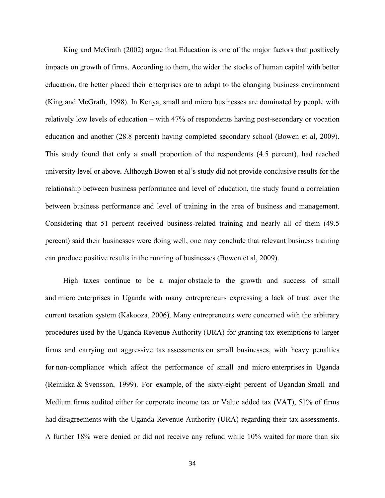King and McGrath (2002) argue that Education is one of the major factors that positively impacts on growth of firms. According to them, the wider the stocks of human capital with better education, the better placed their enterprises are to adapt to the changing business environment (King and McGrath, 1998). In Kenya, small and micro businesses are dominated by people with relatively low levels of education – with 47% of respondents having post-secondary or vocation education and another (28.8 percent) having completed secondary school (Bowen et al, 2009). This study found that only a small proportion of the respondents (4.5 percent), had reached university level or above**.** Although Bowen et al's study did not provide conclusive results for the relationship between business performance and level of education, the study found a correlation between business performance and level of training in the area of business and management. Considering that 51 percent received business-related training and nearly all of them (49.5 percent) said their businesses were doing well, one may conclude that relevant business training can produce positive results in the running of businesses (Bowen et al, 2009).

High taxes continue to be a major obstacle to the growth and success of small and micro enterprises in Uganda with many entrepreneurs expressing a lack of trust over the current taxation system (Kakooza, 2006). Many entrepreneurs were concerned with the arbitrary procedures used by the Uganda Revenue Authority (URA) for granting tax exemptions to larger firms and carrying out aggressive tax assessments on small businesses, with heavy penalties for non-compliance which affect the performance of small and micro enterprises in Uganda (Reinikka & Svensson, 1999). For example, of the sixty-eight percent of Ugandan Small and Medium firms audited either for corporate income tax or Value added tax (VAT), 51% of firms had disagreements with the Uganda Revenue Authority (URA) regarding their tax assessments. A further 18% were denied or did not receive any refund while 10% waited for more than six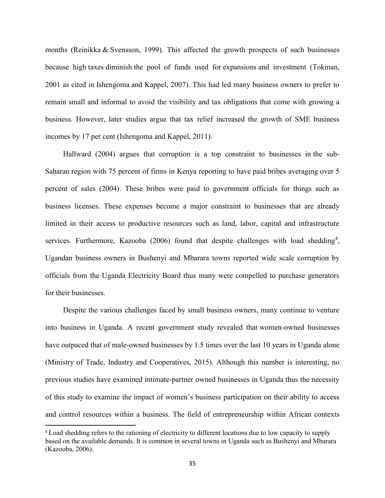months (Reinikka & Svensson, 1999). This affected the growth prospects of such businesses because high taxes diminish the pool of funds used for expansions and investment (Tokman, 2001 as cited in Ishengoma and Kappel, 2007). This had led many business owners to prefer to remain small and informal to avoid the visibility and tax obligations that come with growing a business. However, later studies argue that tax relief increased the growth of SME business incomes by 17 per cent (Ishengoma and Kappel, 2011).

Hallward (2004) argues that corruption is a top constraint to businesses in the sub-Saharan region with 75 percent of firms in Kenya reporting to have paid bribes averaging over 5 percent of sales (2004). These bribes were paid to government officials for things such as business licenses. These expenses become a major constraint to businesses that are already limited in their access to productive resources such as land, labor, capital and infrastructure services. Furthermore, Kazooba (2006) found that despite challenges with load shedding<sup>4</sup>, Ugandan business owners in Bushenyi and Mbarara towns reported wide scale corruption by officials from the Uganda Electricity Board thus many were compelled to purchase generators for their businesses.

Despite the various challenges faced by small business owners, many continue to venture into business in Uganda. A recent government study revealed that women-owned businesses have outpaced that of male-owned businesses by 1.5 times over the last 10 years in Uganda alone (Ministry of Trade, Industry and Cooperatives, 2015). Although this number is interesting, no previous studies have examined intimate-partner owned businesses in Uganda thus the necessity of this study to examine the impact of women's business participation on their ability to access and control resources within a business. The field of entrepreneurship within African contexts

 $\overline{\phantom{a}}$ 

<sup>4</sup> Load shedding refers to the rationing of electricity to different locations due to low capacity to supply based on the available demands. It is common in several towns in Uganda such as Bushenyi and Mbarara (Kazooba, 2006).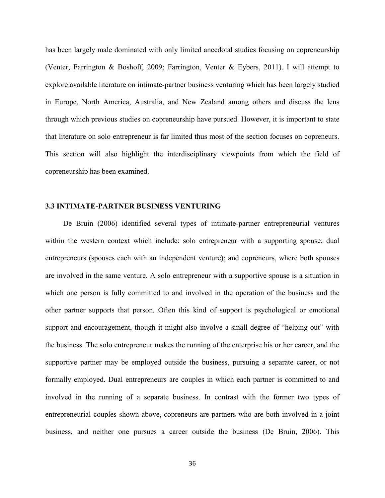has been largely male dominated with only limited anecdotal studies focusing on copreneurship (Venter, Farrington & Boshoff, 2009; Farrington, Venter & Eybers, 2011). I will attempt to explore available literature on intimate-partner business venturing which has been largely studied in Europe, North America, Australia, and New Zealand among others and discuss the lens through which previous studies on copreneurship have pursued. However, it is important to state that literature on solo entrepreneur is far limited thus most of the section focuses on copreneurs. This section will also highlight the interdisciplinary viewpoints from which the field of copreneurship has been examined.

## **3.3 INTIMATE-PARTNER BUSINESS VENTURING**

De Bruin (2006) identified several types of intimate-partner entrepreneurial ventures within the western context which include: solo entrepreneur with a supporting spouse; dual entrepreneurs (spouses each with an independent venture); and copreneurs, where both spouses are involved in the same venture. A solo entrepreneur with a supportive spouse is a situation in which one person is fully committed to and involved in the operation of the business and the other partner supports that person. Often this kind of support is psychological or emotional support and encouragement, though it might also involve a small degree of "helping out" with the business. The solo entrepreneur makes the running of the enterprise his or her career, and the supportive partner may be employed outside the business, pursuing a separate career, or not formally employed. Dual entrepreneurs are couples in which each partner is committed to and involved in the running of a separate business. In contrast with the former two types of entrepreneurial couples shown above, copreneurs are partners who are both involved in a joint business, and neither one pursues a career outside the business (De Bruin, 2006). This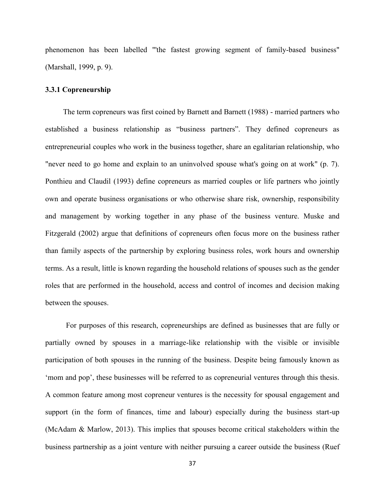phenomenon has been labelled "'the fastest growing segment of family-based business" (Marshall, 1999, p. 9).

## **3.3.1 Copreneurship**

The term copreneurs was first coined by Barnett and Barnett (1988) - married partners who established a business relationship as "business partners". They defined copreneurs as entrepreneurial couples who work in the business together, share an egalitarian relationship, who "never need to go home and explain to an uninvolved spouse what's going on at work" (p. 7). Ponthieu and Claudil (1993) define copreneurs as married couples or life partners who jointly own and operate business organisations or who otherwise share risk, ownership, responsibility and management by working together in any phase of the business venture. Muske and Fitzgerald (2002) argue that definitions of copreneurs often focus more on the business rather than family aspects of the partnership by exploring business roles, work hours and ownership terms. As a result, little is known regarding the household relations of spouses such as the gender roles that are performed in the household, access and control of incomes and decision making between the spouses.

 For purposes of this research, copreneurships are defined as businesses that are fully or partially owned by spouses in a marriage-like relationship with the visible or invisible participation of both spouses in the running of the business. Despite being famously known as 'mom and pop', these businesses will be referred to as copreneurial ventures through this thesis. A common feature among most copreneur ventures is the necessity for spousal engagement and support (in the form of finances, time and labour) especially during the business start-up (McAdam & Marlow, 2013). This implies that spouses become critical stakeholders within the business partnership as a joint venture with neither pursuing a career outside the business (Ruef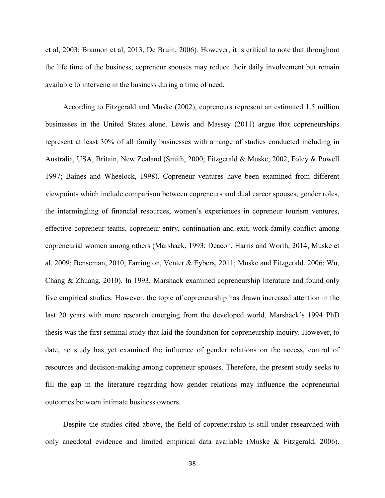et al, 2003; Brannon et al, 2013, De Bruin, 2006). However, it is critical to note that throughout the life time of the business, copreneur spouses may reduce their daily involvement but remain available to intervene in the business during a time of need.

According to Fitzgerald and Muske (2002), copreneurs represent an estimated 1.5 million businesses in the United States alone. Lewis and Massey (2011) argue that copreneurships represent at least 30% of all family businesses with a range of studies conducted including in Australia, USA, Britain, New Zealand (Smith, 2000; Fitzgerald & Muske, 2002, Foley & Powell 1997; Baines and Wheelock, 1998). Copreneur ventures have been examined from different viewpoints which include comparison between copreneurs and dual career spouses, gender roles, the intermingling of financial resources, women's experiences in copreneur tourism ventures, effective copreneur teams, copreneur entry, continuation and exit, work-family conflict among copreneurial women among others (Marshack, 1993; Deacon, Harris and Worth, 2014; Muske et al, 2009; Benseman, 2010; Farrington, Venter & Eybers, 2011; Muske and Fitzgerald, 2006; Wu, Chang & Zhuang, 2010). In 1993, Marshack examined copreneurship literature and found only five empirical studies. However, the topic of copreneurship has drawn increased attention in the last 20 years with more research emerging from the developed world. Marshack's 1994 PhD thesis was the first seminal study that laid the foundation for copreneurship inquiry. However, to date, no study has yet examined the influence of gender relations on the access, control of resources and decision-making among copreneur spouses. Therefore, the present study seeks to fill the gap in the literature regarding how gender relations may influence the copreneurial outcomes between intimate business owners.

Despite the studies cited above, the field of copreneurship is still under-researched with only anecdotal evidence and limited empirical data available (Muske & Fitzgerald, 2006).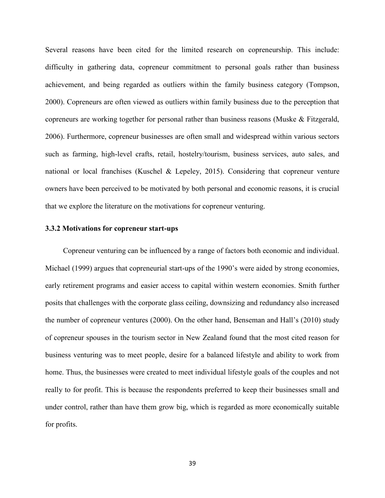Several reasons have been cited for the limited research on copreneurship. This include: difficulty in gathering data, copreneur commitment to personal goals rather than business achievement, and being regarded as outliers within the family business category (Tompson, 2000). Copreneurs are often viewed as outliers within family business due to the perception that copreneurs are working together for personal rather than business reasons (Muske & Fitzgerald, 2006). Furthermore, copreneur businesses are often small and widespread within various sectors such as farming, high-level crafts, retail, hostelry/tourism, business services, auto sales, and national or local franchises (Kuschel & Lepeley, 2015). Considering that copreneur venture owners have been perceived to be motivated by both personal and economic reasons, it is crucial that we explore the literature on the motivations for copreneur venturing.

## **3.3.2 Motivations for copreneur start-ups**

Copreneur venturing can be influenced by a range of factors both economic and individual. Michael (1999) argues that copreneurial start-ups of the 1990's were aided by strong economies, early retirement programs and easier access to capital within western economies. Smith further posits that challenges with the corporate glass ceiling, downsizing and redundancy also increased the number of copreneur ventures (2000). On the other hand, Benseman and Hall's (2010) study of copreneur spouses in the tourism sector in New Zealand found that the most cited reason for business venturing was to meet people, desire for a balanced lifestyle and ability to work from home. Thus, the businesses were created to meet individual lifestyle goals of the couples and not really to for profit. This is because the respondents preferred to keep their businesses small and under control, rather than have them grow big, which is regarded as more economically suitable for profits.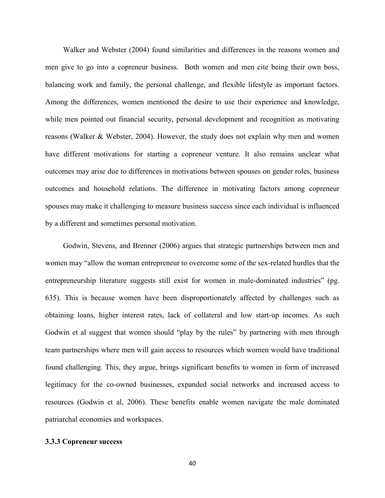Walker and Webster (2004) found similarities and differences in the reasons women and men give to go into a copreneur business. Both women and men cite being their own boss, balancing work and family, the personal challenge, and flexible lifestyle as important factors. Among the differences, women mentioned the desire to use their experience and knowledge, while men pointed out financial security, personal development and recognition as motivating reasons (Walker & Webster, 2004). However, the study does not explain why men and women have different motivations for starting a copreneur venture. It also remains unclear what outcomes may arise due to differences in motivations between spouses on gender roles, business outcomes and household relations. The difference in motivating factors among copreneur spouses may make it challenging to measure business success since each individual is influenced by a different and sometimes personal motivation.

Godwin, Stevens, and Brenner (2006) argues that strategic partnerships between men and women may "allow the woman entrepreneur to overcome some of the sex-related hurdles that the entrepreneurship literature suggests still exist for women in male-dominated industries" (pg. 635). This is because women have been disproportionately affected by challenges such as obtaining loans, higher interest rates, lack of collateral and low start-up incomes. As such Godwin et al suggest that women should "play by the rules" by partnering with men through team partnerships where men will gain access to resources which women would have traditional found challenging. This, they argue, brings significant benefits to women in form of increased legitimacy for the co-owned businesses, expanded social networks and increased access to resources (Godwin et al, 2006). These benefits enable women navigate the male dominated patriarchal economies and workspaces.

#### **3.3.3 Copreneur success**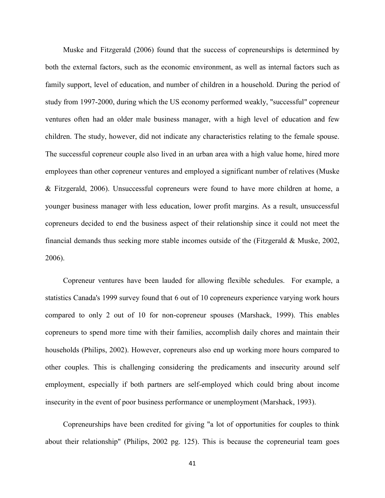Muske and Fitzgerald (2006) found that the success of copreneurships is determined by both the external factors, such as the economic environment, as well as internal factors such as family support, level of education, and number of children in a household. During the period of study from 1997-2000, during which the US economy performed weakly, "successful" copreneur ventures often had an older male business manager, with a high level of education and few children. The study, however, did not indicate any characteristics relating to the female spouse. The successful copreneur couple also lived in an urban area with a high value home, hired more employees than other copreneur ventures and employed a significant number of relatives (Muske & Fitzgerald, 2006). Unsuccessful copreneurs were found to have more children at home, a younger business manager with less education, lower profit margins. As a result, unsuccessful copreneurs decided to end the business aspect of their relationship since it could not meet the financial demands thus seeking more stable incomes outside of the (Fitzgerald & Muske, 2002, 2006).

Copreneur ventures have been lauded for allowing flexible schedules. For example, a statistics Canada's 1999 survey found that 6 out of 10 copreneurs experience varying work hours compared to only 2 out of 10 for non-copreneur spouses (Marshack, 1999). This enables copreneurs to spend more time with their families, accomplish daily chores and maintain their households (Philips, 2002). However, copreneurs also end up working more hours compared to other couples. This is challenging considering the predicaments and insecurity around self employment, especially if both partners are self-employed which could bring about income insecurity in the event of poor business performance or unemployment (Marshack, 1993).

Copreneurships have been credited for giving "a lot of opportunities for couples to think about their relationship" (Philips, 2002 pg. 125). This is because the copreneurial team goes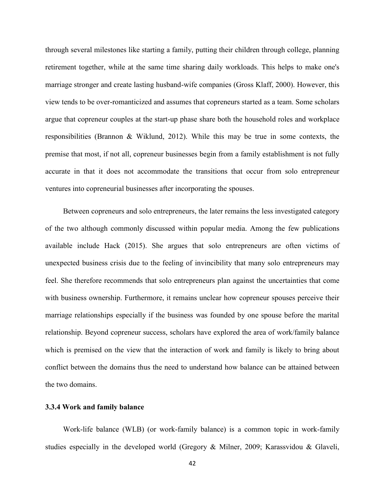through several milestones like starting a family, putting their children through college, planning retirement together, while at the same time sharing daily workloads. This helps to make one's marriage stronger and create lasting husband-wife companies (Gross Klaff, 2000). However, this view tends to be over-romanticized and assumes that copreneurs started as a team. Some scholars argue that copreneur couples at the start-up phase share both the household roles and workplace responsibilities (Brannon & Wiklund, 2012). While this may be true in some contexts, the premise that most, if not all, copreneur businesses begin from a family establishment is not fully accurate in that it does not accommodate the transitions that occur from solo entrepreneur ventures into copreneurial businesses after incorporating the spouses.

Between copreneurs and solo entrepreneurs, the later remains the less investigated category of the two although commonly discussed within popular media. Among the few publications available include Hack (2015). She argues that solo entrepreneurs are often victims of unexpected business crisis due to the feeling of invincibility that many solo entrepreneurs may feel. She therefore recommends that solo entrepreneurs plan against the uncertainties that come with business ownership. Furthermore, it remains unclear how copreneur spouses perceive their marriage relationships especially if the business was founded by one spouse before the marital relationship. Beyond copreneur success, scholars have explored the area of work/family balance which is premised on the view that the interaction of work and family is likely to bring about conflict between the domains thus the need to understand how balance can be attained between the two domains.

#### **3.3.4 Work and family balance**

Work-life balance (WLB) (or work-family balance) is a common topic in work-family studies especially in the developed world (Gregory & Milner, 2009; Karassvidou & Glaveli,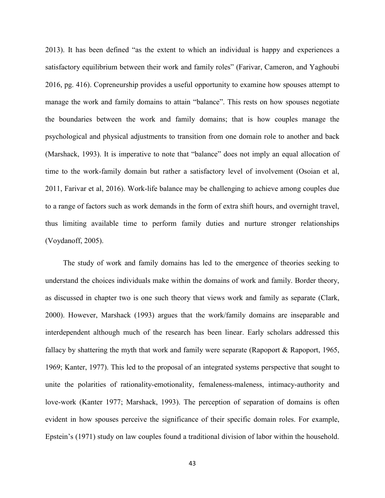2013). It has been defined "as the extent to which an individual is happy and experiences a satisfactory equilibrium between their work and family roles" (Farivar, Cameron, and Yaghoubi 2016, pg. 416). Copreneurship provides a useful opportunity to examine how spouses attempt to manage the work and family domains to attain "balance". This rests on how spouses negotiate the boundaries between the work and family domains; that is how couples manage the psychological and physical adjustments to transition from one domain role to another and back (Marshack, 1993). It is imperative to note that "balance" does not imply an equal allocation of time to the work-family domain but rather a satisfactory level of involvement (Osoian et al, 2011, Farivar et al, 2016). Work-life balance may be challenging to achieve among couples due to a range of factors such as work demands in the form of extra shift hours, and overnight travel, thus limiting available time to perform family duties and nurture stronger relationships (Voydanoff, 2005).

The study of work and family domains has led to the emergence of theories seeking to understand the choices individuals make within the domains of work and family. Border theory, as discussed in chapter two is one such theory that views work and family as separate (Clark, 2000). However, Marshack (1993) argues that the work/family domains are inseparable and interdependent although much of the research has been linear. Early scholars addressed this fallacy by shattering the myth that work and family were separate (Rapoport & Rapoport, 1965, 1969; Kanter, 1977). This led to the proposal of an integrated systems perspective that sought to unite the polarities of rationality-emotionality, femaleness-maleness, intimacy-authority and love-work (Kanter 1977; Marshack, 1993). The perception of separation of domains is often evident in how spouses perceive the significance of their specific domain roles. For example, Epstein's (1971) study on law couples found a traditional division of labor within the household.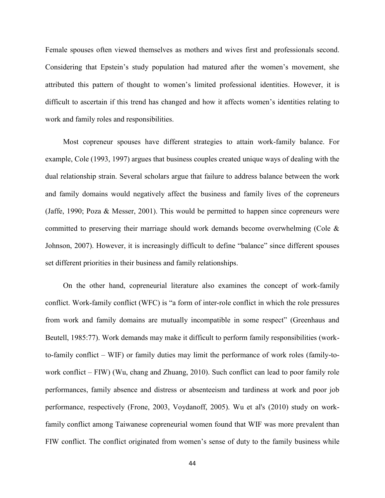Female spouses often viewed themselves as mothers and wives first and professionals second. Considering that Epstein's study population had matured after the women's movement, she attributed this pattern of thought to women's limited professional identities. However, it is difficult to ascertain if this trend has changed and how it affects women's identities relating to work and family roles and responsibilities.

Most copreneur spouses have different strategies to attain work-family balance. For example, Cole (1993, 1997) argues that business couples created unique ways of dealing with the dual relationship strain. Several scholars argue that failure to address balance between the work and family domains would negatively affect the business and family lives of the copreneurs (Jaffe, 1990; Poza & Messer, 2001). This would be permitted to happen since copreneurs were committed to preserving their marriage should work demands become overwhelming (Cole & Johnson, 2007). However, it is increasingly difficult to define "balance" since different spouses set different priorities in their business and family relationships.

On the other hand, copreneurial literature also examines the concept of work-family conflict. Work-family conflict (WFC) is "a form of inter-role conflict in which the role pressures from work and family domains are mutually incompatible in some respect" (Greenhaus and Beutell, 1985:77). Work demands may make it difficult to perform family responsibilities (workto-family conflict – WIF) or family duties may limit the performance of work roles (family-towork conflict – FIW) (Wu, chang and Zhuang, 2010). Such conflict can lead to poor family role performances, family absence and distress or absenteeism and tardiness at work and poor job performance, respectively (Frone, 2003, Voydanoff, 2005). Wu et al's (2010) study on workfamily conflict among Taiwanese copreneurial women found that WIF was more prevalent than FIW conflict. The conflict originated from women's sense of duty to the family business while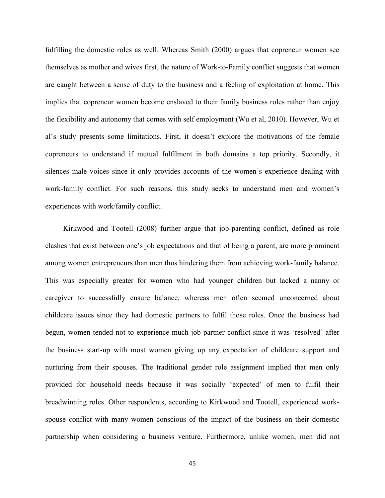fulfilling the domestic roles as well. Whereas Smith (2000) argues that copreneur women see themselves as mother and wives first, the nature of Work-to-Family conflict suggests that women are caught between a sense of duty to the business and a feeling of exploitation at home. This implies that copreneur women become enslaved to their family business roles rather than enjoy the flexibility and autonomy that comes with self employment (Wu et al, 2010). However, Wu et al's study presents some limitations. First, it doesn't explore the motivations of the female copreneurs to understand if mutual fulfilment in both domains a top priority. Secondly, it silences male voices since it only provides accounts of the women's experience dealing with work-family conflict. For such reasons, this study seeks to understand men and women's experiences with work/family conflict.

Kirkwood and Tootell (2008) further argue that job-parenting conflict, defined as role clashes that exist between one's job expectations and that of being a parent, are more prominent among women entrepreneurs than men thus hindering them from achieving work-family balance. This was especially greater for women who had younger children but lacked a nanny or caregiver to successfully ensure balance, whereas men often seemed unconcerned about childcare issues since they had domestic partners to fulfil those roles. Once the business had begun, women tended not to experience much job-partner conflict since it was 'resolved' after the business start-up with most women giving up any expectation of childcare support and nurturing from their spouses. The traditional gender role assignment implied that men only provided for household needs because it was socially 'expected' of men to fulfil their breadwinning roles. Other respondents, according to Kirkwood and Tootell, experienced workspouse conflict with many women conscious of the impact of the business on their domestic partnership when considering a business venture. Furthermore, unlike women, men did not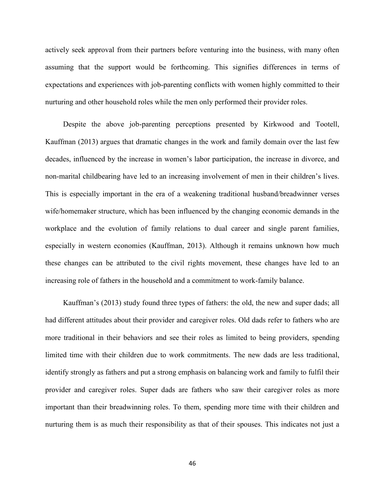actively seek approval from their partners before venturing into the business, with many often assuming that the support would be forthcoming. This signifies differences in terms of expectations and experiences with job-parenting conflicts with women highly committed to their nurturing and other household roles while the men only performed their provider roles.

Despite the above job-parenting perceptions presented by Kirkwood and Tootell, Kauffman (2013) argues that dramatic changes in the work and family domain over the last few decades, influenced by the increase in women's labor participation, the increase in divorce, and non-marital childbearing have led to an increasing involvement of men in their children's lives. This is especially important in the era of a weakening traditional husband/breadwinner verses wife/homemaker structure, which has been influenced by the changing economic demands in the workplace and the evolution of family relations to dual career and single parent families, especially in western economies (Kauffman, 2013). Although it remains unknown how much these changes can be attributed to the civil rights movement, these changes have led to an increasing role of fathers in the household and a commitment to work-family balance.

Kauffman's (2013) study found three types of fathers: the old, the new and super dads; all had different attitudes about their provider and caregiver roles. Old dads refer to fathers who are more traditional in their behaviors and see their roles as limited to being providers, spending limited time with their children due to work commitments. The new dads are less traditional, identify strongly as fathers and put a strong emphasis on balancing work and family to fulfil their provider and caregiver roles. Super dads are fathers who saw their caregiver roles as more important than their breadwinning roles. To them, spending more time with their children and nurturing them is as much their responsibility as that of their spouses. This indicates not just a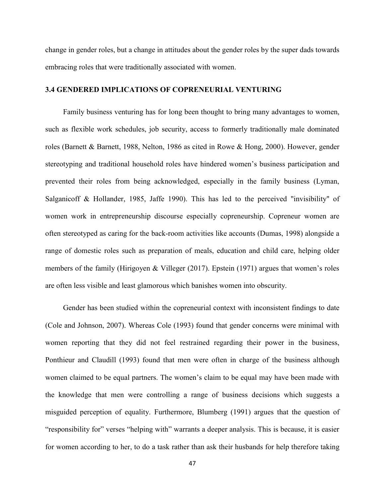change in gender roles, but a change in attitudes about the gender roles by the super dads towards embracing roles that were traditionally associated with women.

## **3.4 GENDERED IMPLICATIONS OF COPRENEURIAL VENTURING**

Family business venturing has for long been thought to bring many advantages to women, such as flexible work schedules, job security, access to formerly traditionally male dominated roles (Barnett & Barnett, 1988, Nelton, 1986 as cited in Rowe & Hong, 2000). However, gender stereotyping and traditional household roles have hindered women's business participation and prevented their roles from being acknowledged, especially in the family business (Lyman, Salganicoff & Hollander, 1985, Jaffe 1990). This has led to the perceived "invisibility" of women work in entrepreneurship discourse especially copreneurship. Copreneur women are often stereotyped as caring for the back-room activities like accounts (Dumas, 1998) alongside a range of domestic roles such as preparation of meals, education and child care, helping older members of the family (Hirigoyen & Villeger (2017). Epstein (1971) argues that women's roles are often less visible and least glamorous which banishes women into obscurity.

Gender has been studied within the copreneurial context with inconsistent findings to date (Cole and Johnson, 2007). Whereas Cole (1993) found that gender concerns were minimal with women reporting that they did not feel restrained regarding their power in the business, Ponthieur and Claudill (1993) found that men were often in charge of the business although women claimed to be equal partners. The women's claim to be equal may have been made with the knowledge that men were controlling a range of business decisions which suggests a misguided perception of equality. Furthermore, Blumberg (1991) argues that the question of "responsibility for" verses "helping with" warrants a deeper analysis. This is because, it is easier for women according to her, to do a task rather than ask their husbands for help therefore taking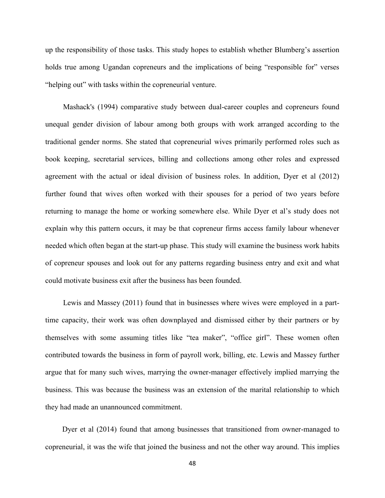up the responsibility of those tasks. This study hopes to establish whether Blumberg's assertion holds true among Ugandan copreneurs and the implications of being "responsible for" verses "helping out" with tasks within the copreneurial venture.

Mashack's (1994) comparative study between dual-career couples and copreneurs found unequal gender division of labour among both groups with work arranged according to the traditional gender norms. She stated that copreneurial wives primarily performed roles such as book keeping, secretarial services, billing and collections among other roles and expressed agreement with the actual or ideal division of business roles. In addition, Dyer et al (2012) further found that wives often worked with their spouses for a period of two years before returning to manage the home or working somewhere else. While Dyer et al's study does not explain why this pattern occurs, it may be that copreneur firms access family labour whenever needed which often began at the start-up phase. This study will examine the business work habits of copreneur spouses and look out for any patterns regarding business entry and exit and what could motivate business exit after the business has been founded.

Lewis and Massey (2011) found that in businesses where wives were employed in a parttime capacity, their work was often downplayed and dismissed either by their partners or by themselves with some assuming titles like "tea maker", "office girl". These women often contributed towards the business in form of payroll work, billing, etc. Lewis and Massey further argue that for many such wives, marrying the owner-manager effectively implied marrying the business. This was because the business was an extension of the marital relationship to which they had made an unannounced commitment.

 Dyer et al (2014) found that among businesses that transitioned from owner-managed to copreneurial, it was the wife that joined the business and not the other way around. This implies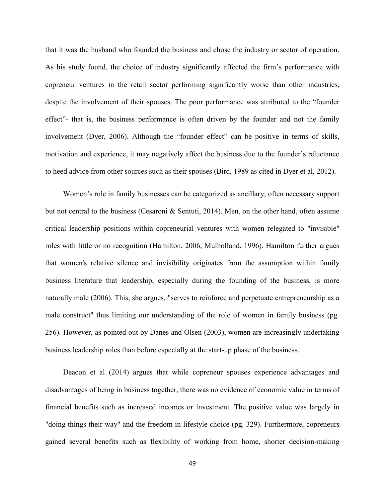that it was the husband who founded the business and chose the industry or sector of operation. As his study found, the choice of industry significantly affected the firm's performance with copreneur ventures in the retail sector performing significantly worse than other industries, despite the involvement of their spouses. The poor performance was attributed to the "founder effect"- that is, the business performance is often driven by the founder and not the family involvement (Dyer, 2006). Although the "founder effect" can be positive in terms of skills, motivation and experience, it may negatively affect the business due to the founder's reluctance to heed advice from other sources such as their spouses (Bird, 1989 as cited in Dyer et al, 2012).

Women's role in family businesses can be categorized as ancillary; often necessary support but not central to the business (Cesaroni & Sentuti, 2014). Men, on the other hand, often assume critical leadership positions within copreneurial ventures with women relegated to "invisible" roles with little or no recognition (Hamilton, 2006, Mulholland, 1996). Hamilton further argues that women's relative silence and invisibility originates from the assumption within family business literature that leadership, especially during the founding of the business, is more naturally male (2006). This, she argues, "serves to reinforce and perpetuate entrepreneurship as a male construct" thus limiting our understanding of the role of women in family business (pg. 256). However, as pointed out by Danes and Olsen (2003), women are increasingly undertaking business leadership roles than before especially at the start-up phase of the business.

Deacon et al (2014) argues that while copreneur spouses experience advantages and disadvantages of being in business together, there was no evidence of economic value in terms of financial benefits such as increased incomes or investment. The positive value was largely in "doing things their way" and the freedom in lifestyle choice (pg. 329). Furthermore, copreneurs gained several benefits such as flexibility of working from home, shorter decision-making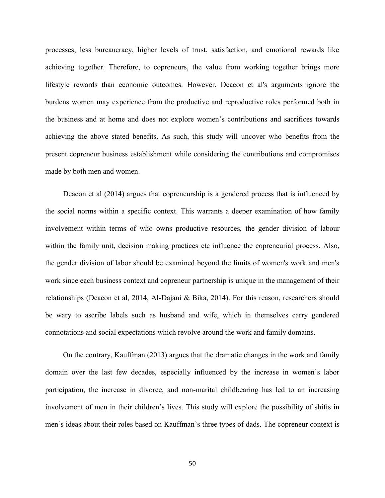processes, less bureaucracy, higher levels of trust, satisfaction, and emotional rewards like achieving together. Therefore, to copreneurs, the value from working together brings more lifestyle rewards than economic outcomes. However, Deacon et al's arguments ignore the burdens women may experience from the productive and reproductive roles performed both in the business and at home and does not explore women's contributions and sacrifices towards achieving the above stated benefits. As such, this study will uncover who benefits from the present copreneur business establishment while considering the contributions and compromises made by both men and women.

Deacon et al (2014) argues that copreneurship is a gendered process that is influenced by the social norms within a specific context. This warrants a deeper examination of how family involvement within terms of who owns productive resources, the gender division of labour within the family unit, decision making practices etc influence the copreneurial process. Also, the gender division of labor should be examined beyond the limits of women's work and men's work since each business context and copreneur partnership is unique in the management of their relationships (Deacon et al, 2014, Al-Dajani & Bika, 2014). For this reason, researchers should be wary to ascribe labels such as husband and wife, which in themselves carry gendered connotations and social expectations which revolve around the work and family domains.

On the contrary, Kauffman (2013) argues that the dramatic changes in the work and family domain over the last few decades, especially influenced by the increase in women's labor participation, the increase in divorce, and non-marital childbearing has led to an increasing involvement of men in their children's lives. This study will explore the possibility of shifts in men's ideas about their roles based on Kauffman's three types of dads. The copreneur context is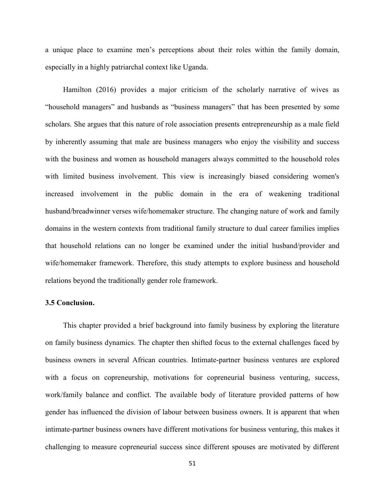a unique place to examine men's perceptions about their roles within the family domain, especially in a highly patriarchal context like Uganda.

Hamilton (2016) provides a major criticism of the scholarly narrative of wives as "household managers" and husbands as "business managers" that has been presented by some scholars. She argues that this nature of role association presents entrepreneurship as a male field by inherently assuming that male are business managers who enjoy the visibility and success with the business and women as household managers always committed to the household roles with limited business involvement. This view is increasingly biased considering women's increased involvement in the public domain in the era of weakening traditional husband/breadwinner verses wife/homemaker structure. The changing nature of work and family domains in the western contexts from traditional family structure to dual career families implies that household relations can no longer be examined under the initial husband/provider and wife/homemaker framework. Therefore, this study attempts to explore business and household relations beyond the traditionally gender role framework.

## **3.5 Conclusion.**

This chapter provided a brief background into family business by exploring the literature on family business dynamics. The chapter then shifted focus to the external challenges faced by business owners in several African countries. Intimate-partner business ventures are explored with a focus on copreneurship, motivations for copreneurial business venturing, success, work/family balance and conflict. The available body of literature provided patterns of how gender has influenced the division of labour between business owners. It is apparent that when intimate-partner business owners have different motivations for business venturing, this makes it challenging to measure copreneurial success since different spouses are motivated by different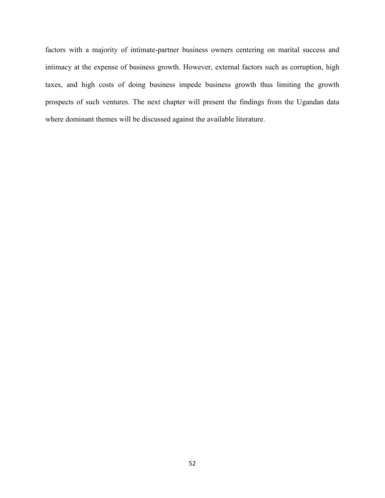factors with a majority of intimate-partner business owners centering on marital success and intimacy at the expense of business growth. However, external factors such as corruption, high taxes, and high costs of doing business impede business growth thus limiting the growth prospects of such ventures. The next chapter will present the findings from the Ugandan data where dominant themes will be discussed against the available literature.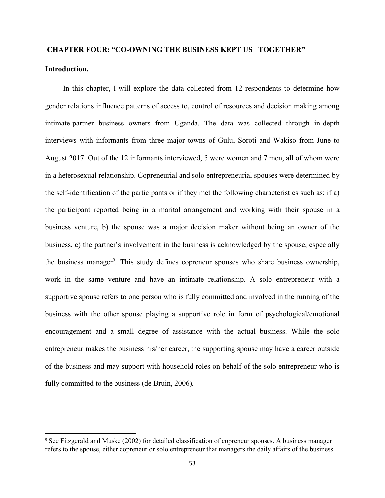# **CHAPTER FOUR: "CO-OWNING THE BUSINESS KEPT US TOGETHER"**

# **Introduction.**

 $\overline{\phantom{a}}$ 

In this chapter, I will explore the data collected from 12 respondents to determine how gender relations influence patterns of access to, control of resources and decision making among intimate-partner business owners from Uganda. The data was collected through in-depth interviews with informants from three major towns of Gulu, Soroti and Wakiso from June to August 2017. Out of the 12 informants interviewed, 5 were women and 7 men, all of whom were in a heterosexual relationship. Copreneurial and solo entrepreneurial spouses were determined by the self-identification of the participants or if they met the following characteristics such as; if a) the participant reported being in a marital arrangement and working with their spouse in a business venture, b) the spouse was a major decision maker without being an owner of the business, c) the partner's involvement in the business is acknowledged by the spouse, especially the business manager<sup>5</sup>. This study defines copreneur spouses who share business ownership, work in the same venture and have an intimate relationship. A solo entrepreneur with a supportive spouse refers to one person who is fully committed and involved in the running of the business with the other spouse playing a supportive role in form of psychological/emotional encouragement and a small degree of assistance with the actual business. While the solo entrepreneur makes the business his/her career, the supporting spouse may have a career outside of the business and may support with household roles on behalf of the solo entrepreneur who is fully committed to the business (de Bruin, 2006).

<sup>5</sup> See Fitzgerald and Muske (2002) for detailed classification of copreneur spouses. A business manager refers to the spouse, either copreneur or solo entrepreneur that managers the daily affairs of the business.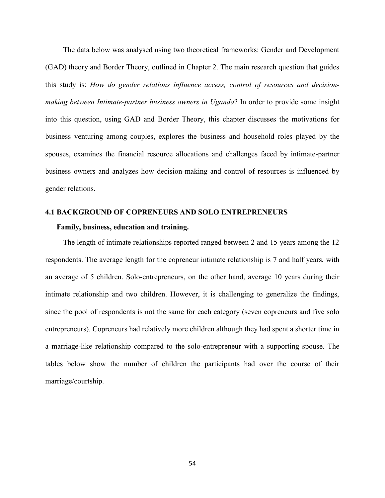The data below was analysed using two theoretical frameworks: Gender and Development (GAD) theory and Border Theory, outlined in Chapter 2. The main research question that guides this study is: *How do gender relations influence access, control of resources and decisionmaking between Intimate-partner business owners in Uganda*? In order to provide some insight into this question, using GAD and Border Theory, this chapter discusses the motivations for business venturing among couples, explores the business and household roles played by the spouses, examines the financial resource allocations and challenges faced by intimate-partner business owners and analyzes how decision-making and control of resources is influenced by gender relations.

# **4.1 BACKGROUND OF COPRENEURS AND SOLO ENTREPRENEURS**

#### **Family, business, education and training.**

The length of intimate relationships reported ranged between 2 and 15 years among the 12 respondents. The average length for the copreneur intimate relationship is 7 and half years, with an average of 5 children. Solo-entrepreneurs, on the other hand, average 10 years during their intimate relationship and two children. However, it is challenging to generalize the findings, since the pool of respondents is not the same for each category (seven copreneurs and five solo entrepreneurs). Copreneurs had relatively more children although they had spent a shorter time in a marriage-like relationship compared to the solo-entrepreneur with a supporting spouse. The tables below show the number of children the participants had over the course of their marriage/courtship.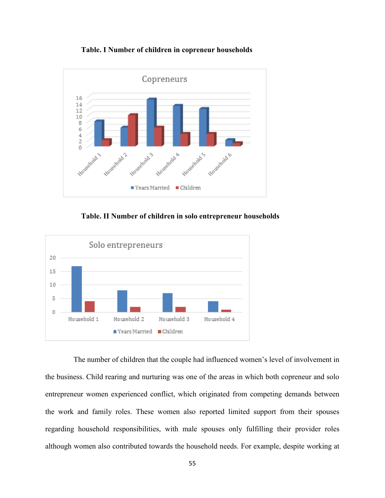



 **Table. II Number of children in solo entrepreneur households**



 The number of children that the couple had influenced women's level of involvement in the business. Child rearing and nurturing was one of the areas in which both copreneur and solo entrepreneur women experienced conflict, which originated from competing demands between the work and family roles. These women also reported limited support from their spouses regarding household responsibilities, with male spouses only fulfilling their provider roles although women also contributed towards the household needs. For example, despite working at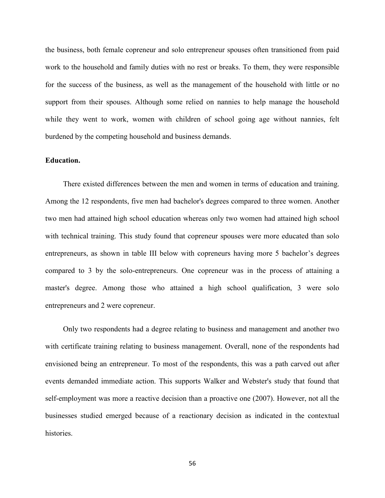the business, both female copreneur and solo entrepreneur spouses often transitioned from paid work to the household and family duties with no rest or breaks. To them, they were responsible for the success of the business, as well as the management of the household with little or no support from their spouses. Although some relied on nannies to help manage the household while they went to work, women with children of school going age without nannies, felt burdened by the competing household and business demands.

## **Education.**

There existed differences between the men and women in terms of education and training. Among the 12 respondents, five men had bachelor's degrees compared to three women. Another two men had attained high school education whereas only two women had attained high school with technical training. This study found that copreneur spouses were more educated than solo entrepreneurs, as shown in table III below with copreneurs having more 5 bachelor's degrees compared to 3 by the solo-entrepreneurs. One copreneur was in the process of attaining a master's degree. Among those who attained a high school qualification, 3 were solo entrepreneurs and 2 were copreneur.

Only two respondents had a degree relating to business and management and another two with certificate training relating to business management. Overall, none of the respondents had envisioned being an entrepreneur. To most of the respondents, this was a path carved out after events demanded immediate action. This supports Walker and Webster's study that found that self-employment was more a reactive decision than a proactive one (2007). However, not all the businesses studied emerged because of a reactionary decision as indicated in the contextual histories.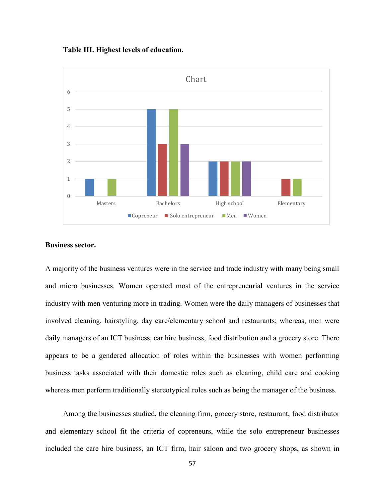**Table III. Highest levels of education.**



#### **Business sector.**

A majority of the business ventures were in the service and trade industry with many being small and micro businesses. Women operated most of the entrepreneurial ventures in the service industry with men venturing more in trading. Women were the daily managers of businesses that involved cleaning, hairstyling, day care/elementary school and restaurants; whereas, men were daily managers of an ICT business, car hire business, food distribution and a grocery store. There appears to be a gendered allocation of roles within the businesses with women performing business tasks associated with their domestic roles such as cleaning, child care and cooking whereas men perform traditionally stereotypical roles such as being the manager of the business.

Among the businesses studied, the cleaning firm, grocery store, restaurant, food distributor and elementary school fit the criteria of copreneurs, while the solo entrepreneur businesses included the care hire business, an ICT firm, hair saloon and two grocery shops, as shown in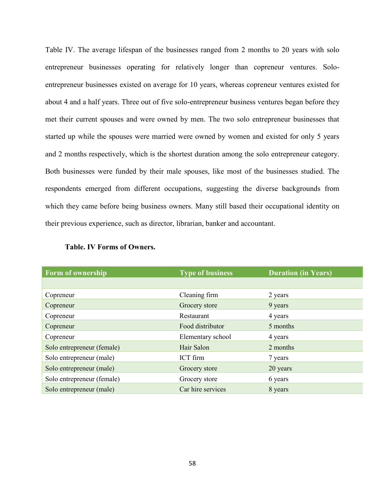Table IV. The average lifespan of the businesses ranged from 2 months to 20 years with solo entrepreneur businesses operating for relatively longer than copreneur ventures. Soloentrepreneur businesses existed on average for 10 years, whereas copreneur ventures existed for about 4 and a half years. Three out of five solo-entrepreneur business ventures began before they met their current spouses and were owned by men. The two solo entrepreneur businesses that started up while the spouses were married were owned by women and existed for only 5 years and 2 months respectively, which is the shortest duration among the solo entrepreneur category. Both businesses were funded by their male spouses, like most of the businesses studied. The respondents emerged from different occupations, suggesting the diverse backgrounds from which they came before being business owners. Many still based their occupational identity on their previous experience, such as director, librarian, banker and accountant.

| <b>Form of ownership</b>   | <b>Type of business</b> | <b>Duration (in Years)</b> |
|----------------------------|-------------------------|----------------------------|
|                            |                         |                            |
| Copreneur                  | Cleaning firm           | 2 years                    |
| Copreneur                  | Grocery store           | 9 years                    |
| Copreneur                  | Restaurant              | 4 years                    |
| Copreneur                  | Food distributor        | 5 months                   |
| Copreneur                  | Elementary school       | 4 years                    |
| Solo entrepreneur (female) | Hair Salon              | 2 months                   |
| Solo entrepreneur (male)   | ICT firm                | 7 years                    |
| Solo entrepreneur (male)   | Grocery store           | 20 years                   |
| Solo entrepreneur (female) | Grocery store           | 6 years                    |
| Solo entrepreneur (male)   | Car hire services       | 8 years                    |

|  |  | <b>Table. IV Forms of Owners.</b> |
|--|--|-----------------------------------|
|--|--|-----------------------------------|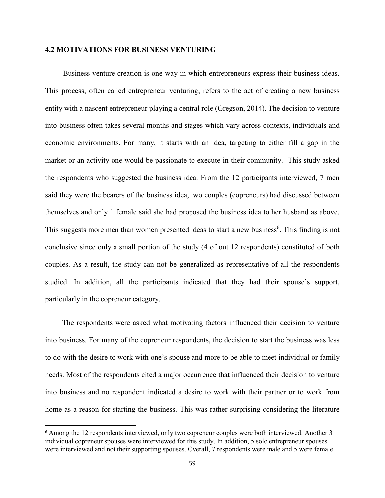## **4.2 MOTIVATIONS FOR BUSINESS VENTURING**

Business venture creation is one way in which entrepreneurs express their business ideas. This process, often called entrepreneur venturing, refers to the act of creating a new business entity with a nascent entrepreneur playing a central role (Gregson, 2014). The decision to venture into business often takes several months and stages which vary across contexts, individuals and economic environments. For many, it starts with an idea, targeting to either fill a gap in the market or an activity one would be passionate to execute in their community. This study asked the respondents who suggested the business idea. From the 12 participants interviewed, 7 men said they were the bearers of the business idea, two couples (copreneurs) had discussed between themselves and only 1 female said she had proposed the business idea to her husband as above. This suggests more men than women presented ideas to start a new business<sup>6</sup>. This finding is not conclusive since only a small portion of the study (4 of out 12 respondents) constituted of both couples. As a result, the study can not be generalized as representative of all the respondents studied. In addition, all the participants indicated that they had their spouse's support, particularly in the copreneur category.

The respondents were asked what motivating factors influenced their decision to venture into business. For many of the copreneur respondents, the decision to start the business was less to do with the desire to work with one's spouse and more to be able to meet individual or family needs. Most of the respondents cited a major occurrence that influenced their decision to venture into business and no respondent indicated a desire to work with their partner or to work from home as a reason for starting the business. This was rather surprising considering the literature

 $\overline{\phantom{a}}$ 

<sup>&</sup>lt;sup>6</sup> Among the 12 respondents interviewed, only two copreneur couples were both interviewed. Another 3 individual copreneur spouses were interviewed for this study. In addition, 5 solo entrepreneur spouses were interviewed and not their supporting spouses. Overall, 7 respondents were male and 5 were female.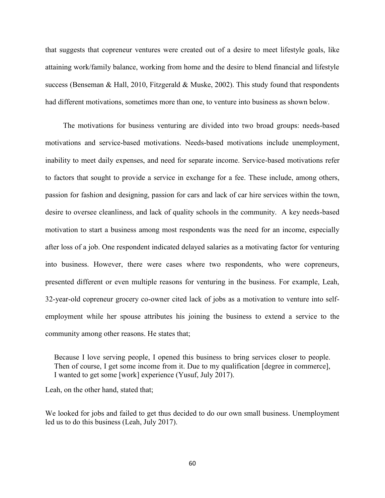that suggests that copreneur ventures were created out of a desire to meet lifestyle goals, like attaining work/family balance, working from home and the desire to blend financial and lifestyle success (Benseman & Hall, 2010, Fitzgerald & Muske, 2002). This study found that respondents had different motivations, sometimes more than one, to venture into business as shown below.

The motivations for business venturing are divided into two broad groups: needs-based motivations and service-based motivations. Needs-based motivations include unemployment, inability to meet daily expenses, and need for separate income. Service-based motivations refer to factors that sought to provide a service in exchange for a fee. These include, among others, passion for fashion and designing, passion for cars and lack of car hire services within the town, desire to oversee cleanliness, and lack of quality schools in the community. A key needs-based motivation to start a business among most respondents was the need for an income, especially after loss of a job. One respondent indicated delayed salaries as a motivating factor for venturing into business. However, there were cases where two respondents, who were copreneurs, presented different or even multiple reasons for venturing in the business. For example, Leah, 32-year-old copreneur grocery co-owner cited lack of jobs as a motivation to venture into selfemployment while her spouse attributes his joining the business to extend a service to the community among other reasons. He states that;

Because I love serving people, I opened this business to bring services closer to people. Then of course, I get some income from it. Due to my qualification [degree in commerce], I wanted to get some [work] experience (Yusuf, July 2017).

Leah, on the other hand, stated that;

We looked for jobs and failed to get thus decided to do our own small business. Unemployment led us to do this business (Leah, July 2017).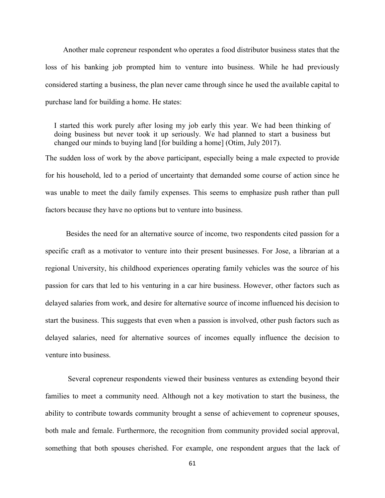Another male copreneur respondent who operates a food distributor business states that the loss of his banking job prompted him to venture into business. While he had previously considered starting a business, the plan never came through since he used the available capital to purchase land for building a home. He states:

I started this work purely after losing my job early this year. We had been thinking of doing business but never took it up seriously. We had planned to start a business but changed our minds to buying land [for building a home] (Otim, July 2017).

The sudden loss of work by the above participant, especially being a male expected to provide for his household, led to a period of uncertainty that demanded some course of action since he was unable to meet the daily family expenses. This seems to emphasize push rather than pull factors because they have no options but to venture into business.

 Besides the need for an alternative source of income, two respondents cited passion for a specific craft as a motivator to venture into their present businesses. For Jose, a librarian at a regional University, his childhood experiences operating family vehicles was the source of his passion for cars that led to his venturing in a car hire business. However, other factors such as delayed salaries from work, and desire for alternative source of income influenced his decision to start the business. This suggests that even when a passion is involved, other push factors such as delayed salaries, need for alternative sources of incomes equally influence the decision to venture into business.

Several copreneur respondents viewed their business ventures as extending beyond their families to meet a community need. Although not a key motivation to start the business, the ability to contribute towards community brought a sense of achievement to copreneur spouses, both male and female. Furthermore, the recognition from community provided social approval, something that both spouses cherished. For example, one respondent argues that the lack of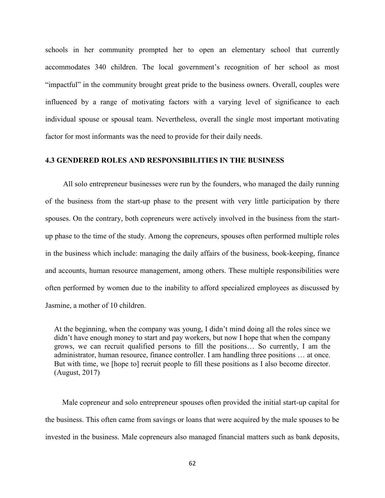schools in her community prompted her to open an elementary school that currently accommodates 340 children. The local government's recognition of her school as most "impactful" in the community brought great pride to the business owners. Overall, couples were influenced by a range of motivating factors with a varying level of significance to each individual spouse or spousal team. Nevertheless, overall the single most important motivating factor for most informants was the need to provide for their daily needs.

# **4.3 GENDERED ROLES AND RESPONSIBILITIES IN THE BUSINESS**

All solo entrepreneur businesses were run by the founders, who managed the daily running of the business from the start-up phase to the present with very little participation by there spouses. On the contrary, both copreneurs were actively involved in the business from the startup phase to the time of the study. Among the copreneurs, spouses often performed multiple roles in the business which include: managing the daily affairs of the business, book-keeping, finance and accounts, human resource management, among others. These multiple responsibilities were often performed by women due to the inability to afford specialized employees as discussed by Jasmine, a mother of 10 children.

At the beginning, when the company was young, I didn't mind doing all the roles since we didn't have enough money to start and pay workers, but now I hope that when the company grows, we can recruit qualified persons to fill the positions… So currently, I am the administrator, human resource, finance controller. I am handling three positions … at once. But with time, we [hope to] recruit people to fill these positions as I also become director. (August, 2017)

 Male copreneur and solo entrepreneur spouses often provided the initial start-up capital for the business. This often came from savings or loans that were acquired by the male spouses to be invested in the business. Male copreneurs also managed financial matters such as bank deposits,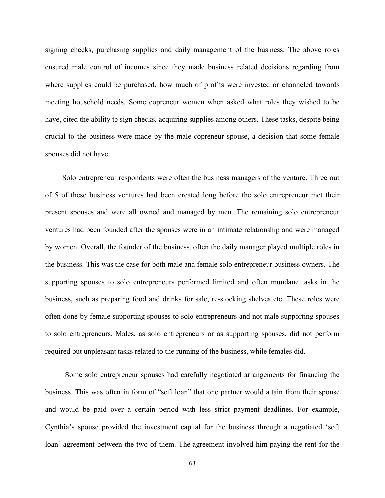signing checks, purchasing supplies and daily management of the business. The above roles ensured male control of incomes since they made business related decisions regarding from where supplies could be purchased, how much of profits were invested or channeled towards meeting household needs. Some copreneur women when asked what roles they wished to be have, cited the ability to sign checks, acquiring supplies among others. These tasks, despite being crucial to the business were made by the male copreneur spouse, a decision that some female spouses did not have.

 Solo entrepreneur respondents were often the business managers of the venture. Three out of 5 of these business ventures had been created long before the solo entrepreneur met their present spouses and were all owned and managed by men. The remaining solo entrepreneur ventures had been founded after the spouses were in an intimate relationship and were managed by women. Overall, the founder of the business, often the daily manager played multiple roles in the business. This was the case for both male and female solo entrepreneur business owners. The supporting spouses to solo entrepreneurs performed limited and often mundane tasks in the business, such as preparing food and drinks for sale, re-stocking shelves etc. These roles were often done by female supporting spouses to solo entrepreneurs and not male supporting spouses to solo entrepreneurs. Males, as solo entrepreneurs or as supporting spouses, did not perform required but unpleasant tasks related to the running of the business, while females did.

Some solo entrepreneur spouses had carefully negotiated arrangements for financing the business. This was often in form of "soft loan" that one partner would attain from their spouse and would be paid over a certain period with less strict payment deadlines. For example, Cynthia's spouse provided the investment capital for the business through a negotiated 'soft loan' agreement between the two of them. The agreement involved him paying the rent for the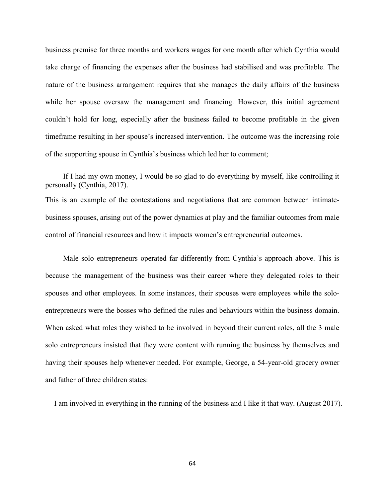business premise for three months and workers wages for one month after which Cynthia would take charge of financing the expenses after the business had stabilised and was profitable. The nature of the business arrangement requires that she manages the daily affairs of the business while her spouse oversaw the management and financing. However, this initial agreement couldn't hold for long, especially after the business failed to become profitable in the given timeframe resulting in her spouse's increased intervention. The outcome was the increasing role of the supporting spouse in Cynthia's business which led her to comment;

If I had my own money, I would be so glad to do everything by myself, like controlling it personally (Cynthia, 2017). This is an example of the contestations and negotiations that are common between intimatebusiness spouses, arising out of the power dynamics at play and the familiar outcomes from male control of financial resources and how it impacts women's entrepreneurial outcomes.

Male solo entrepreneurs operated far differently from Cynthia's approach above. This is because the management of the business was their career where they delegated roles to their spouses and other employees. In some instances, their spouses were employees while the soloentrepreneurs were the bosses who defined the rules and behaviours within the business domain. When asked what roles they wished to be involved in beyond their current roles, all the 3 male solo entrepreneurs insisted that they were content with running the business by themselves and having their spouses help whenever needed. For example, George, a 54-year-old grocery owner and father of three children states:

I am involved in everything in the running of the business and I like it that way. (August 2017).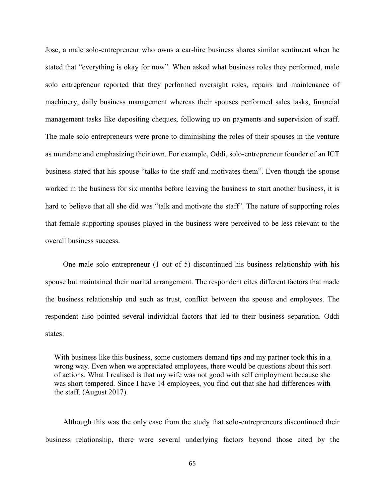Jose, a male solo-entrepreneur who owns a car-hire business shares similar sentiment when he stated that "everything is okay for now". When asked what business roles they performed, male solo entrepreneur reported that they performed oversight roles, repairs and maintenance of machinery, daily business management whereas their spouses performed sales tasks, financial management tasks like depositing cheques, following up on payments and supervision of staff. The male solo entrepreneurs were prone to diminishing the roles of their spouses in the venture as mundane and emphasizing their own. For example, Oddi, solo-entrepreneur founder of an ICT business stated that his spouse "talks to the staff and motivates them". Even though the spouse worked in the business for six months before leaving the business to start another business, it is hard to believe that all she did was "talk and motivate the staff". The nature of supporting roles that female supporting spouses played in the business were perceived to be less relevant to the overall business success.

One male solo entrepreneur (1 out of 5) discontinued his business relationship with his spouse but maintained their marital arrangement. The respondent cites different factors that made the business relationship end such as trust, conflict between the spouse and employees. The respondent also pointed several individual factors that led to their business separation. Oddi states:

With business like this business, some customers demand tips and my partner took this in a wrong way. Even when we appreciated employees, there would be questions about this sort of actions. What I realised is that my wife was not good with self employment because she was short tempered. Since I have 14 employees, you find out that she had differences with the staff. (August 2017).

Although this was the only case from the study that solo-entrepreneurs discontinued their business relationship, there were several underlying factors beyond those cited by the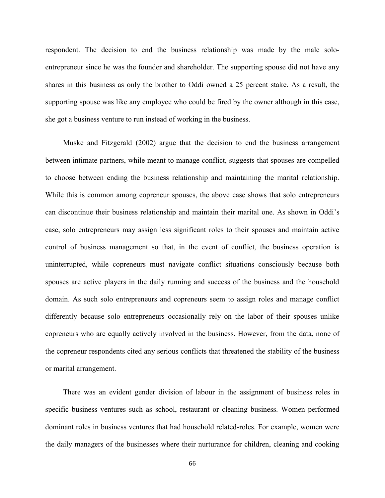respondent. The decision to end the business relationship was made by the male soloentrepreneur since he was the founder and shareholder. The supporting spouse did not have any shares in this business as only the brother to Oddi owned a 25 percent stake. As a result, the supporting spouse was like any employee who could be fired by the owner although in this case, she got a business venture to run instead of working in the business.

Muske and Fitzgerald (2002) argue that the decision to end the business arrangement between intimate partners, while meant to manage conflict, suggests that spouses are compelled to choose between ending the business relationship and maintaining the marital relationship. While this is common among copreneur spouses, the above case shows that solo entrepreneurs can discontinue their business relationship and maintain their marital one. As shown in Oddi's case, solo entrepreneurs may assign less significant roles to their spouses and maintain active control of business management so that, in the event of conflict, the business operation is uninterrupted, while copreneurs must navigate conflict situations consciously because both spouses are active players in the daily running and success of the business and the household domain. As such solo entrepreneurs and copreneurs seem to assign roles and manage conflict differently because solo entrepreneurs occasionally rely on the labor of their spouses unlike copreneurs who are equally actively involved in the business. However, from the data, none of the copreneur respondents cited any serious conflicts that threatened the stability of the business or marital arrangement.

There was an evident gender division of labour in the assignment of business roles in specific business ventures such as school, restaurant or cleaning business. Women performed dominant roles in business ventures that had household related-roles. For example, women were the daily managers of the businesses where their nurturance for children, cleaning and cooking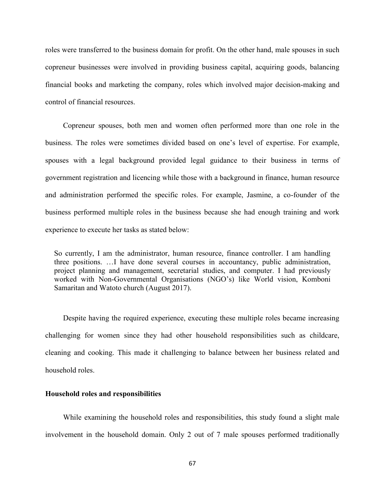roles were transferred to the business domain for profit. On the other hand, male spouses in such copreneur businesses were involved in providing business capital, acquiring goods, balancing financial books and marketing the company, roles which involved major decision-making and control of financial resources.

Copreneur spouses, both men and women often performed more than one role in the business. The roles were sometimes divided based on one's level of expertise. For example, spouses with a legal background provided legal guidance to their business in terms of government registration and licencing while those with a background in finance, human resource and administration performed the specific roles. For example, Jasmine, a co-founder of the business performed multiple roles in the business because she had enough training and work experience to execute her tasks as stated below:

So currently, I am the administrator, human resource, finance controller. I am handling three positions. …I have done several courses in accountancy, public administration, project planning and management, secretarial studies, and computer. I had previously worked with Non-Governmental Organisations (NGO's) like World vision, Komboni Samaritan and Watoto church (August 2017).

Despite having the required experience, executing these multiple roles became increasing challenging for women since they had other household responsibilities such as childcare, cleaning and cooking. This made it challenging to balance between her business related and household roles.

# **Household roles and responsibilities**

While examining the household roles and responsibilities, this study found a slight male involvement in the household domain. Only 2 out of 7 male spouses performed traditionally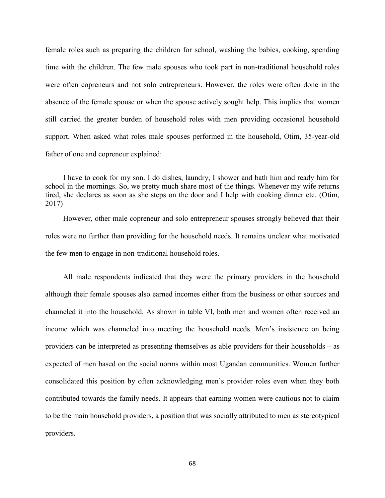female roles such as preparing the children for school, washing the babies, cooking, spending time with the children. The few male spouses who took part in non-traditional household roles were often copreneurs and not solo entrepreneurs. However, the roles were often done in the absence of the female spouse or when the spouse actively sought help. This implies that women still carried the greater burden of household roles with men providing occasional household support. When asked what roles male spouses performed in the household, Otim, 35-year-old father of one and copreneur explained:

I have to cook for my son. I do dishes, laundry, I shower and bath him and ready him for school in the mornings. So, we pretty much share most of the things. Whenever my wife returns tired, she declares as soon as she steps on the door and I help with cooking dinner etc. (Otim, 2017)

However, other male copreneur and solo entrepreneur spouses strongly believed that their roles were no further than providing for the household needs. It remains unclear what motivated the few men to engage in non-traditional household roles.

All male respondents indicated that they were the primary providers in the household although their female spouses also earned incomes either from the business or other sources and channeled it into the household. As shown in table VI, both men and women often received an income which was channeled into meeting the household needs. Men's insistence on being providers can be interpreted as presenting themselves as able providers for their households – as expected of men based on the social norms within most Ugandan communities. Women further consolidated this position by often acknowledging men's provider roles even when they both contributed towards the family needs. It appears that earning women were cautious not to claim to be the main household providers, a position that was socially attributed to men as stereotypical providers.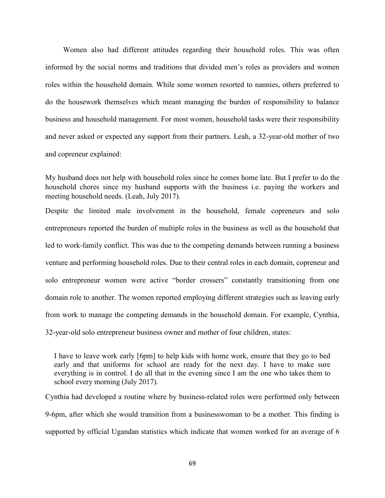Women also had different attitudes regarding their household roles. This was often informed by the social norms and traditions that divided men's roles as providers and women roles within the household domain. While some women resorted to nannies, others preferred to do the housework themselves which meant managing the burden of responsibility to balance business and household management. For most women, household tasks were their responsibility and never asked or expected any support from their partners. Leah, a 32-year-old mother of two and copreneur explained:

My husband does not help with household roles since he comes home late. But I prefer to do the household chores since my husband supports with the business i.e. paying the workers and meeting household needs. (Leah, July 2017)*.*

Despite the limited male involvement in the household, female copreneurs and solo entrepreneurs reported the burden of multiple roles in the business as well as the household that led to work-family conflict. This was due to the competing demands between running a business venture and performing household roles. Due to their central roles in each domain, copreneur and solo entrepreneur women were active "border crossers" constantly transitioning from one domain role to another. The women reported employing different strategies such as leaving early from work to manage the competing demands in the household domain. For example, Cynthia, 32-year-old solo entrepreneur business owner and mother of four children, states:

I have to leave work early [6pm] to help kids with home work, ensure that they go to bed early and that uniforms for school are ready for the next day. I have to make sure everything is in control. I do all that in the evening since I am the one who takes them to school every morning (July 2017).

Cynthia had developed a routine where by business-related roles were performed only between 9-6pm, after which she would transition from a businesswoman to be a mother. This finding is supported by official Ugandan statistics which indicate that women worked for an average of 6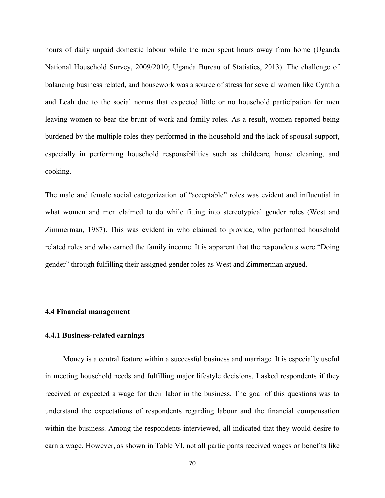hours of daily unpaid domestic labour while the men spent hours away from home (Uganda National Household Survey, 2009/2010; Uganda Bureau of Statistics, 2013). The challenge of balancing business related, and housework was a source of stress for several women like Cynthia and Leah due to the social norms that expected little or no household participation for men leaving women to bear the brunt of work and family roles. As a result, women reported being burdened by the multiple roles they performed in the household and the lack of spousal support, especially in performing household responsibilities such as childcare, house cleaning, and cooking.

The male and female social categorization of "acceptable" roles was evident and influential in what women and men claimed to do while fitting into stereotypical gender roles (West and Zimmerman, 1987). This was evident in who claimed to provide, who performed household related roles and who earned the family income. It is apparent that the respondents were "Doing gender" through fulfilling their assigned gender roles as West and Zimmerman argued.

### **4.4 Financial management**

# **4.4.1 Business-related earnings**

Money is a central feature within a successful business and marriage. It is especially useful in meeting household needs and fulfilling major lifestyle decisions. I asked respondents if they received or expected a wage for their labor in the business. The goal of this questions was to understand the expectations of respondents regarding labour and the financial compensation within the business. Among the respondents interviewed, all indicated that they would desire to earn a wage. However, as shown in Table VI, not all participants received wages or benefits like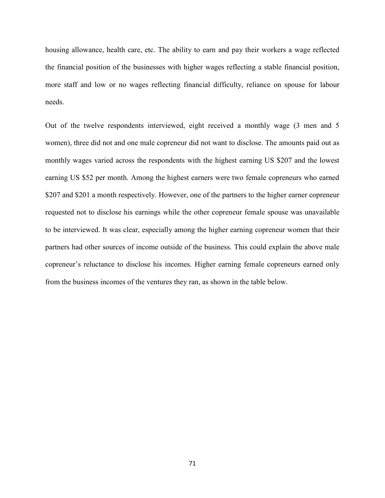housing allowance, health care, etc. The ability to earn and pay their workers a wage reflected the financial position of the businesses with higher wages reflecting a stable financial position, more staff and low or no wages reflecting financial difficulty, reliance on spouse for labour needs.

Out of the twelve respondents interviewed, eight received a monthly wage (3 men and 5 women), three did not and one male copreneur did not want to disclose. The amounts paid out as monthly wages varied across the respondents with the highest earning US \$207 and the lowest earning US \$52 per month. Among the highest earners were two female copreneurs who earned \$207 and \$201 a month respectively. However, one of the partners to the higher earner copreneur requested not to disclose his earnings while the other copreneur female spouse was unavailable to be interviewed. It was clear, especially among the higher earning copreneur women that their partners had other sources of income outside of the business. This could explain the above male copreneur's reluctance to disclose his incomes. Higher earning female copreneurs earned only from the business incomes of the ventures they ran, as shown in the table below.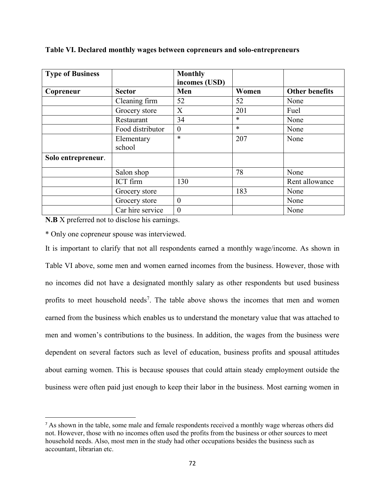| <b>Type of Business</b> |                  | <b>Monthly</b><br>incomes (USD) |        |                       |
|-------------------------|------------------|---------------------------------|--------|-----------------------|
| Copreneur               | <b>Sector</b>    | Men                             | Women  | <b>Other benefits</b> |
|                         | Cleaning firm    | 52                              | 52     | None                  |
|                         | Grocery store    | X                               | 201    | Fuel                  |
|                         | Restaurant       | 34                              | $\ast$ | None                  |
|                         | Food distributor | $\overline{0}$                  | $\ast$ | None                  |
|                         | Elementary       | $\ast$                          | 207    | None                  |
|                         | school           |                                 |        |                       |
| Solo entrepreneur.      |                  |                                 |        |                       |
|                         | Salon shop       |                                 | 78     | None                  |
|                         | ICT firm         | 130                             |        | Rent allowance        |
|                         | Grocery store    |                                 | 183    | None                  |
|                         | Grocery store    | $\overline{0}$                  |        | None                  |
|                         | Car hire service | $\theta$                        |        | None                  |

**Table VI. Declared monthly wages between copreneurs and solo-entrepreneurs**

**N.B** X preferred not to disclose his earnings.

 $\overline{\phantom{a}}$ 

\* Only one copreneur spouse was interviewed.

It is important to clarify that not all respondents earned a monthly wage/income. As shown in Table VI above, some men and women earned incomes from the business. However, those with no incomes did not have a designated monthly salary as other respondents but used business profits to meet household needs<sup>7</sup>. The table above shows the incomes that men and women earned from the business which enables us to understand the monetary value that was attached to men and women's contributions to the business. In addition, the wages from the business were dependent on several factors such as level of education, business profits and spousal attitudes about earning women. This is because spouses that could attain steady employment outside the business were often paid just enough to keep their labor in the business. Most earning women in

<sup>&</sup>lt;sup>7</sup> As shown in the table, some male and female respondents received a monthly wage whereas others did not. However, those with no incomes often used the profits from the business or other sources to meet household needs. Also, most men in the study had other occupations besides the business such as accountant, librarian etc.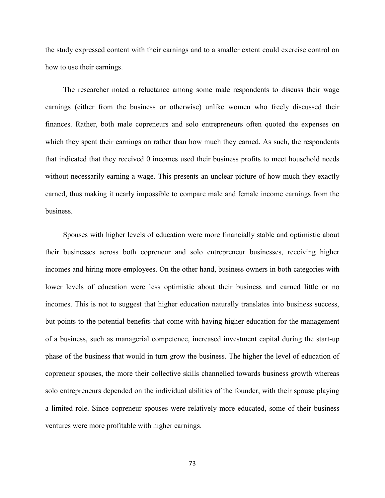the study expressed content with their earnings and to a smaller extent could exercise control on how to use their earnings.

The researcher noted a reluctance among some male respondents to discuss their wage earnings (either from the business or otherwise) unlike women who freely discussed their finances. Rather, both male copreneurs and solo entrepreneurs often quoted the expenses on which they spent their earnings on rather than how much they earned. As such, the respondents that indicated that they received 0 incomes used their business profits to meet household needs without necessarily earning a wage. This presents an unclear picture of how much they exactly earned, thus making it nearly impossible to compare male and female income earnings from the business.

Spouses with higher levels of education were more financially stable and optimistic about their businesses across both copreneur and solo entrepreneur businesses, receiving higher incomes and hiring more employees. On the other hand, business owners in both categories with lower levels of education were less optimistic about their business and earned little or no incomes. This is not to suggest that higher education naturally translates into business success, but points to the potential benefits that come with having higher education for the management of a business, such as managerial competence, increased investment capital during the start-up phase of the business that would in turn grow the business. The higher the level of education of copreneur spouses, the more their collective skills channelled towards business growth whereas solo entrepreneurs depended on the individual abilities of the founder, with their spouse playing a limited role. Since copreneur spouses were relatively more educated, some of their business ventures were more profitable with higher earnings.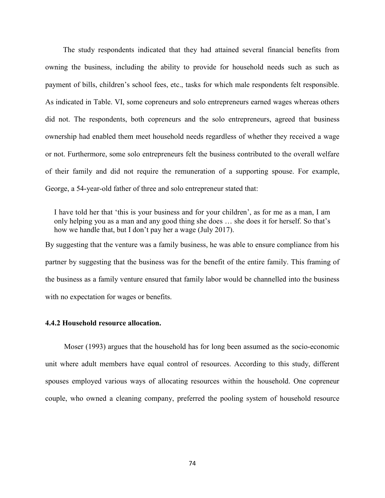The study respondents indicated that they had attained several financial benefits from owning the business, including the ability to provide for household needs such as such as payment of bills, children's school fees, etc., tasks for which male respondents felt responsible. As indicated in Table. VI, some copreneurs and solo entrepreneurs earned wages whereas others did not. The respondents, both copreneurs and the solo entrepreneurs, agreed that business ownership had enabled them meet household needs regardless of whether they received a wage or not. Furthermore, some solo entrepreneurs felt the business contributed to the overall welfare of their family and did not require the remuneration of a supporting spouse. For example, George, a 54-year-old father of three and solo entrepreneur stated that:

I have told her that 'this is your business and for your children', as for me as a man, I am only helping you as a man and any good thing she does … she does it for herself. So that's how we handle that, but I don't pay her a wage (July 2017).

By suggesting that the venture was a family business, he was able to ensure compliance from his partner by suggesting that the business was for the benefit of the entire family. This framing of the business as a family venture ensured that family labor would be channelled into the business with no expectation for wages or benefits.

# **4.4.2 Household resource allocation.**

Moser (1993) argues that the household has for long been assumed as the socio-economic unit where adult members have equal control of resources. According to this study, different spouses employed various ways of allocating resources within the household. One copreneur couple, who owned a cleaning company, preferred the pooling system of household resource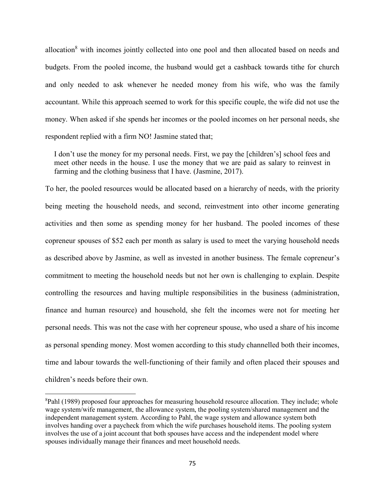allocation<sup>8</sup> with incomes jointly collected into one pool and then allocated based on needs and budgets. From the pooled income, the husband would get a cashback towards tithe for church and only needed to ask whenever he needed money from his wife, who was the family accountant. While this approach seemed to work for this specific couple, the wife did not use the money. When asked if she spends her incomes or the pooled incomes on her personal needs, she respondent replied with a firm NO! Jasmine stated that;

I don't use the money for my personal needs. First, we pay the [children's] school fees and meet other needs in the house. I use the money that we are paid as salary to reinvest in farming and the clothing business that I have. (Jasmine, 2017).

To her, the pooled resources would be allocated based on a hierarchy of needs, with the priority being meeting the household needs, and second, reinvestment into other income generating activities and then some as spending money for her husband. The pooled incomes of these copreneur spouses of \$52 each per month as salary is used to meet the varying household needs as described above by Jasmine, as well as invested in another business. The female copreneur's commitment to meeting the household needs but not her own is challenging to explain. Despite controlling the resources and having multiple responsibilities in the business (administration, finance and human resource) and household, she felt the incomes were not for meeting her personal needs. This was not the case with her copreneur spouse, who used a share of his income as personal spending money. Most women according to this study channelled both their incomes, time and labour towards the well-functioning of their family and often placed their spouses and children's needs before their own.

 $\overline{\phantom{a}}$ 

<sup>&</sup>lt;sup>8</sup>Pahl (1989) proposed four approaches for measuring household resource allocation. They include; whole wage system/wife management, the allowance system, the pooling system/shared management and the independent management system. According to Pahl, the wage system and allowance system both involves handing over a paycheck from which the wife purchases household items. The pooling system involves the use of a joint account that both spouses have access and the independent model where spouses individually manage their finances and meet household needs.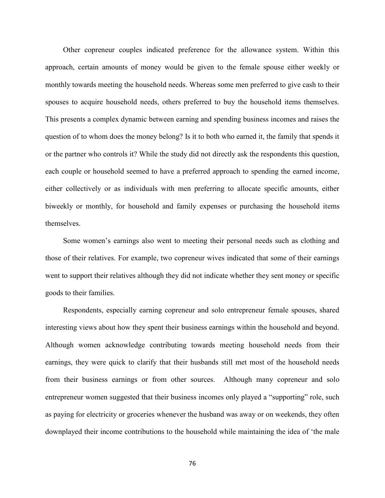Other copreneur couples indicated preference for the allowance system. Within this approach, certain amounts of money would be given to the female spouse either weekly or monthly towards meeting the household needs. Whereas some men preferred to give cash to their spouses to acquire household needs, others preferred to buy the household items themselves. This presents a complex dynamic between earning and spending business incomes and raises the question of to whom does the money belong? Is it to both who earned it, the family that spends it or the partner who controls it? While the study did not directly ask the respondents this question, each couple or household seemed to have a preferred approach to spending the earned income, either collectively or as individuals with men preferring to allocate specific amounts, either biweekly or monthly, for household and family expenses or purchasing the household items themselves.

Some women's earnings also went to meeting their personal needs such as clothing and those of their relatives. For example, two copreneur wives indicated that some of their earnings went to support their relatives although they did not indicate whether they sent money or specific goods to their families.

Respondents, especially earning copreneur and solo entrepreneur female spouses, shared interesting views about how they spent their business earnings within the household and beyond. Although women acknowledge contributing towards meeting household needs from their earnings, they were quick to clarify that their husbands still met most of the household needs from their business earnings or from other sources. Although many copreneur and solo entrepreneur women suggested that their business incomes only played a "supporting" role, such as paying for electricity or groceries whenever the husband was away or on weekends, they often downplayed their income contributions to the household while maintaining the idea of 'the male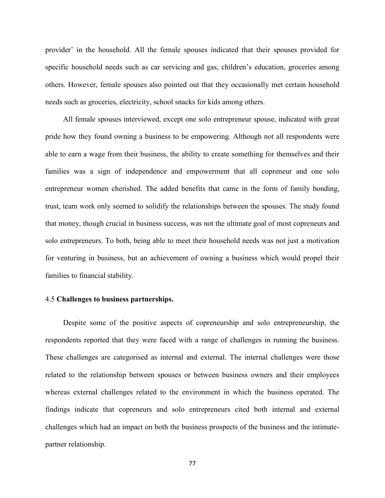provider' in the household. All the female spouses indicated that their spouses provided for specific household needs such as car servicing and gas, children's education, groceries among others. However, female spouses also pointed out that they occasionally met certain household needs such as groceries, electricity, school snacks for kids among others.

All female spouses interviewed, except one solo entrepreneur spouse, indicated with great pride how they found owning a business to be empowering. Although not all respondents were able to earn a wage from their business, the ability to create something for themselves and their families was a sign of independence and empowerment that all copreneur and one solo entrepreneur women cherished. The added benefits that came in the form of family bonding, trust, team work only seemed to solidify the relationships between the spouses. The study found that money, though crucial in business success, was not the ultimate goal of most copreneurs and solo entrepreneurs. To both, being able to meet their household needs was not just a motivation for venturing in business, but an achievement of owning a business which would propel their families to financial stability.

# 4.5 **Challenges to business partnerships.**

Despite some of the positive aspects of copreneurship and solo entrepreneurship, the respondents reported that they were faced with a range of challenges in running the business. These challenges are categorised as internal and external. The internal challenges were those related to the relationship between spouses or between business owners and their employees whereas external challenges related to the environment in which the business operated. The findings indicate that copreneurs and solo entrepreneurs cited both internal and external challenges which had an impact on both the business prospects of the business and the intimatepartner relationship.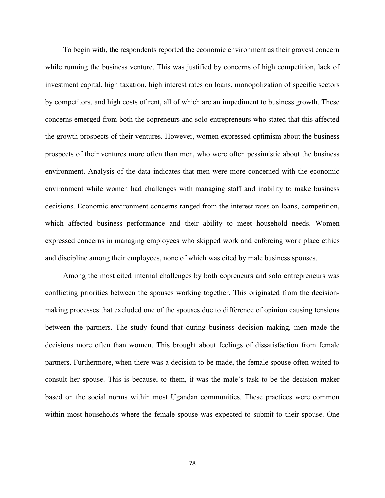To begin with, the respondents reported the economic environment as their gravest concern while running the business venture. This was justified by concerns of high competition, lack of investment capital, high taxation, high interest rates on loans, monopolization of specific sectors by competitors, and high costs of rent, all of which are an impediment to business growth. These concerns emerged from both the copreneurs and solo entrepreneurs who stated that this affected the growth prospects of their ventures. However, women expressed optimism about the business prospects of their ventures more often than men, who were often pessimistic about the business environment. Analysis of the data indicates that men were more concerned with the economic environment while women had challenges with managing staff and inability to make business decisions. Economic environment concerns ranged from the interest rates on loans, competition, which affected business performance and their ability to meet household needs. Women expressed concerns in managing employees who skipped work and enforcing work place ethics and discipline among their employees, none of which was cited by male business spouses.

Among the most cited internal challenges by both copreneurs and solo entrepreneurs was conflicting priorities between the spouses working together. This originated from the decisionmaking processes that excluded one of the spouses due to difference of opinion causing tensions between the partners. The study found that during business decision making, men made the decisions more often than women. This brought about feelings of dissatisfaction from female partners. Furthermore, when there was a decision to be made, the female spouse often waited to consult her spouse. This is because, to them, it was the male's task to be the decision maker based on the social norms within most Ugandan communities. These practices were common within most households where the female spouse was expected to submit to their spouse. One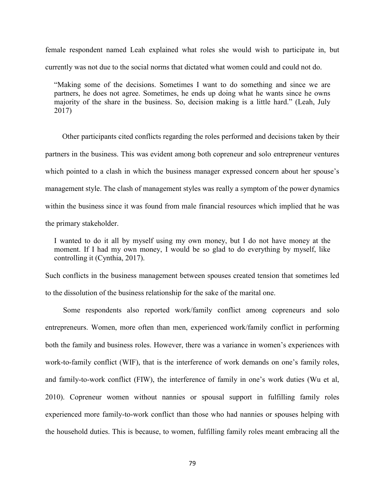female respondent named Leah explained what roles she would wish to participate in, but currently was not due to the social norms that dictated what women could and could not do.

"Making some of the decisions. Sometimes I want to do something and since we are partners, he does not agree. Sometimes, he ends up doing what he wants since he owns majority of the share in the business. So, decision making is a little hard." (Leah, July 2017)

 Other participants cited conflicts regarding the roles performed and decisions taken by their partners in the business. This was evident among both copreneur and solo entrepreneur ventures which pointed to a clash in which the business manager expressed concern about her spouse's management style. The clash of management styles was really a symptom of the power dynamics within the business since it was found from male financial resources which implied that he was the primary stakeholder.

I wanted to do it all by myself using my own money, but I do not have money at the moment. If I had my own money, I would be so glad to do everything by myself, like controlling it (Cynthia, 2017).

Such conflicts in the business management between spouses created tension that sometimes led to the dissolution of the business relationship for the sake of the marital one.

Some respondents also reported work/family conflict among copreneurs and solo entrepreneurs. Women, more often than men, experienced work/family conflict in performing both the family and business roles. However, there was a variance in women's experiences with work-to-family conflict (WIF), that is the interference of work demands on one's family roles, and family-to-work conflict (FIW), the interference of family in one's work duties (Wu et al, 2010). Copreneur women without nannies or spousal support in fulfilling family roles experienced more family-to-work conflict than those who had nannies or spouses helping with the household duties. This is because, to women, fulfilling family roles meant embracing all the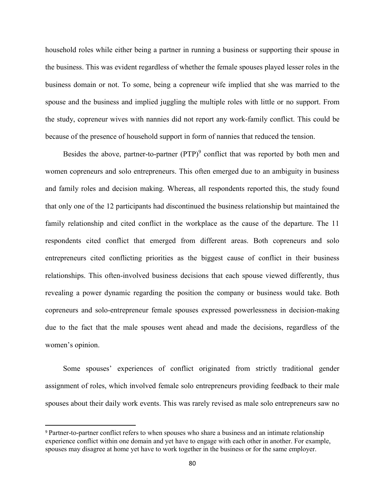household roles while either being a partner in running a business or supporting their spouse in the business. This was evident regardless of whether the female spouses played lesser roles in the business domain or not. To some, being a copreneur wife implied that she was married to the spouse and the business and implied juggling the multiple roles with little or no support. From the study, copreneur wives with nannies did not report any work-family conflict. This could be because of the presence of household support in form of nannies that reduced the tension.

Besides the above, partner-to-partner  $(PTP)^9$  conflict that was reported by both men and women copreneurs and solo entrepreneurs. This often emerged due to an ambiguity in business and family roles and decision making. Whereas, all respondents reported this, the study found that only one of the 12 participants had discontinued the business relationship but maintained the family relationship and cited conflict in the workplace as the cause of the departure. The 11 respondents cited conflict that emerged from different areas. Both copreneurs and solo entrepreneurs cited conflicting priorities as the biggest cause of conflict in their business relationships. This often-involved business decisions that each spouse viewed differently, thus revealing a power dynamic regarding the position the company or business would take. Both copreneurs and solo-entrepreneur female spouses expressed powerlessness in decision-making due to the fact that the male spouses went ahead and made the decisions, regardless of the women's opinion.

Some spouses' experiences of conflict originated from strictly traditional gender assignment of roles, which involved female solo entrepreneurs providing feedback to their male spouses about their daily work events. This was rarely revised as male solo entrepreneurs saw no

 $\overline{\phantom{a}}$ 

<sup>9</sup> Partner-to-partner conflict refers to when spouses who share a business and an intimate relationship experience conflict within one domain and yet have to engage with each other in another. For example, spouses may disagree at home yet have to work together in the business or for the same employer.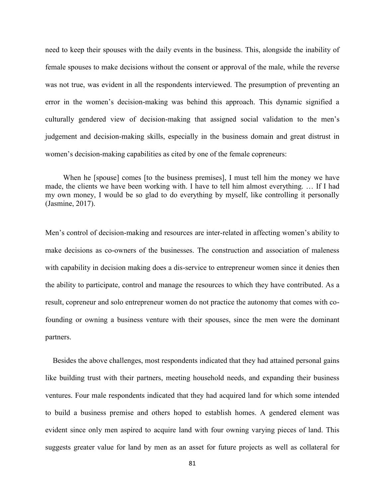need to keep their spouses with the daily events in the business. This, alongside the inability of female spouses to make decisions without the consent or approval of the male, while the reverse was not true, was evident in all the respondents interviewed. The presumption of preventing an error in the women's decision-making was behind this approach. This dynamic signified a culturally gendered view of decision-making that assigned social validation to the men's judgement and decision-making skills, especially in the business domain and great distrust in women's decision-making capabilities as cited by one of the female copreneurs:

When he [spouse] comes [to the business premises], I must tell him the money we have made, the clients we have been working with. I have to tell him almost everything. … If I had my own money, I would be so glad to do everything by myself, like controlling it personally (Jasmine, 2017).

Men's control of decision-making and resources are inter-related in affecting women's ability to make decisions as co-owners of the businesses. The construction and association of maleness with capability in decision making does a dis-service to entrepreneur women since it denies then the ability to participate, control and manage the resources to which they have contributed. As a result, copreneur and solo entrepreneur women do not practice the autonomy that comes with cofounding or owning a business venture with their spouses, since the men were the dominant partners.

 Besides the above challenges, most respondents indicated that they had attained personal gains like building trust with their partners, meeting household needs, and expanding their business ventures. Four male respondents indicated that they had acquired land for which some intended to build a business premise and others hoped to establish homes. A gendered element was evident since only men aspired to acquire land with four owning varying pieces of land. This suggests greater value for land by men as an asset for future projects as well as collateral for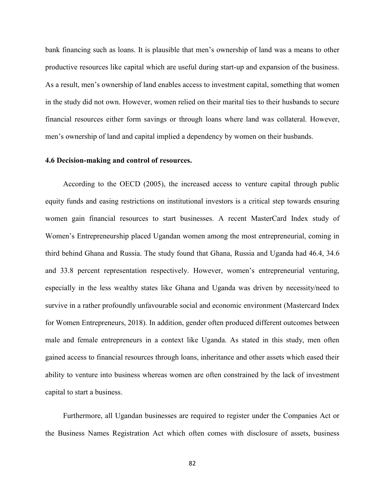bank financing such as loans. It is plausible that men's ownership of land was a means to other productive resources like capital which are useful during start-up and expansion of the business. As a result, men's ownership of land enables access to investment capital, something that women in the study did not own. However, women relied on their marital ties to their husbands to secure financial resources either form savings or through loans where land was collateral. However, men's ownership of land and capital implied a dependency by women on their husbands.

#### **4.6 Decision-making and control of resources.**

According to the OECD (2005), the increased access to venture capital through public equity funds and easing restrictions on institutional investors is a critical step towards ensuring women gain financial resources to start businesses. A recent MasterCard Index study of Women's Entrepreneurship placed Ugandan women among the most entrepreneurial, coming in third behind Ghana and Russia. The study found that Ghana, Russia and Uganda had 46.4, 34.6 and 33.8 percent representation respectively. However, women's entrepreneurial venturing, especially in the less wealthy states like Ghana and Uganda was driven by necessity/need to survive in a rather profoundly unfavourable social and economic environment (Mastercard Index for Women Entrepreneurs, 2018). In addition, gender often produced different outcomes between male and female entrepreneurs in a context like Uganda. As stated in this study, men often gained access to financial resources through loans, inheritance and other assets which eased their ability to venture into business whereas women are often constrained by the lack of investment capital to start a business.

Furthermore, all Ugandan businesses are required to register under the Companies Act or the Business Names Registration Act which often comes with disclosure of assets, business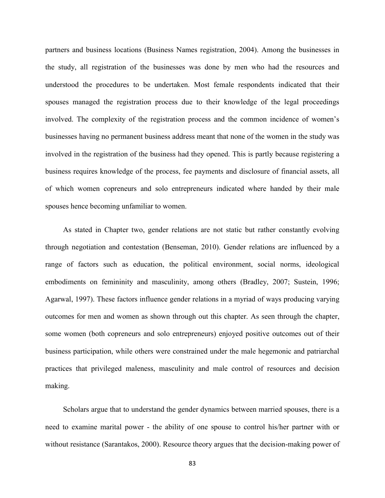partners and business locations (Business Names registration, 2004). Among the businesses in the study, all registration of the businesses was done by men who had the resources and understood the procedures to be undertaken. Most female respondents indicated that their spouses managed the registration process due to their knowledge of the legal proceedings involved. The complexity of the registration process and the common incidence of women's businesses having no permanent business address meant that none of the women in the study was involved in the registration of the business had they opened. This is partly because registering a business requires knowledge of the process, fee payments and disclosure of financial assets, all of which women copreneurs and solo entrepreneurs indicated where handed by their male spouses hence becoming unfamiliar to women.

As stated in Chapter two, gender relations are not static but rather constantly evolving through negotiation and contestation (Benseman, 2010). Gender relations are influenced by a range of factors such as education, the political environment, social norms, ideological embodiments on femininity and masculinity, among others (Bradley, 2007; Sustein, 1996; Agarwal, 1997). These factors influence gender relations in a myriad of ways producing varying outcomes for men and women as shown through out this chapter. As seen through the chapter, some women (both copreneurs and solo entrepreneurs) enjoyed positive outcomes out of their business participation, while others were constrained under the male hegemonic and patriarchal practices that privileged maleness, masculinity and male control of resources and decision making.

Scholars argue that to understand the gender dynamics between married spouses, there is a need to examine marital power - the ability of one spouse to control his/her partner with or without resistance (Sarantakos, 2000). Resource theory argues that the decision-making power of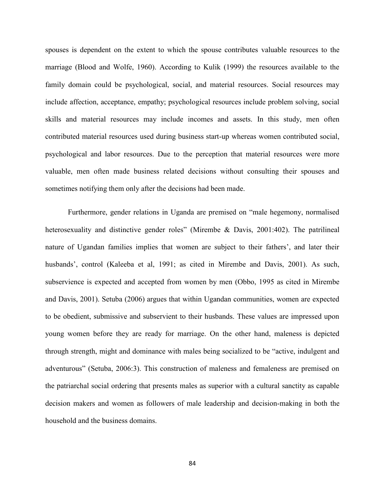spouses is dependent on the extent to which the spouse contributes valuable resources to the marriage (Blood and Wolfe, 1960). According to Kulik (1999) the resources available to the family domain could be psychological, social, and material resources. Social resources may include affection, acceptance, empathy; psychological resources include problem solving, social skills and material resources may include incomes and assets. In this study, men often contributed material resources used during business start-up whereas women contributed social, psychological and labor resources. Due to the perception that material resources were more valuable, men often made business related decisions without consulting their spouses and sometimes notifying them only after the decisions had been made.

Furthermore, gender relations in Uganda are premised on "male hegemony, normalised heterosexuality and distinctive gender roles" (Mirembe & Davis, 2001:402). The patrilineal nature of Ugandan families implies that women are subject to their fathers', and later their husbands', control (Kaleeba et al, 1991; as cited in Mirembe and Davis, 2001). As such, subservience is expected and accepted from women by men (Obbo, 1995 as cited in Mirembe and Davis, 2001). Setuba (2006) argues that within Ugandan communities, women are expected to be obedient, submissive and subservient to their husbands. These values are impressed upon young women before they are ready for marriage. On the other hand, maleness is depicted through strength, might and dominance with males being socialized to be "active, indulgent and adventurous" (Setuba, 2006:3). This construction of maleness and femaleness are premised on the patriarchal social ordering that presents males as superior with a cultural sanctity as capable decision makers and women as followers of male leadership and decision-making in both the household and the business domains.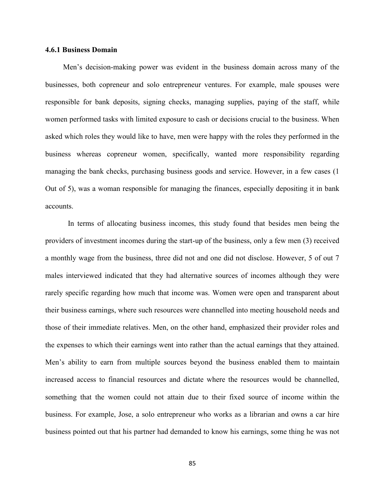### **4.6.1 Business Domain**

Men's decision-making power was evident in the business domain across many of the businesses, both copreneur and solo entrepreneur ventures. For example, male spouses were responsible for bank deposits, signing checks, managing supplies, paying of the staff, while women performed tasks with limited exposure to cash or decisions crucial to the business. When asked which roles they would like to have, men were happy with the roles they performed in the business whereas copreneur women, specifically, wanted more responsibility regarding managing the bank checks, purchasing business goods and service. However, in a few cases (1 Out of 5), was a woman responsible for managing the finances, especially depositing it in bank accounts.

In terms of allocating business incomes, this study found that besides men being the providers of investment incomes during the start-up of the business, only a few men (3) received a monthly wage from the business, three did not and one did not disclose. However, 5 of out 7 males interviewed indicated that they had alternative sources of incomes although they were rarely specific regarding how much that income was. Women were open and transparent about their business earnings, where such resources were channelled into meeting household needs and those of their immediate relatives. Men, on the other hand, emphasized their provider roles and the expenses to which their earnings went into rather than the actual earnings that they attained. Men's ability to earn from multiple sources beyond the business enabled them to maintain increased access to financial resources and dictate where the resources would be channelled, something that the women could not attain due to their fixed source of income within the business. For example, Jose, a solo entrepreneur who works as a librarian and owns a car hire business pointed out that his partner had demanded to know his earnings, some thing he was not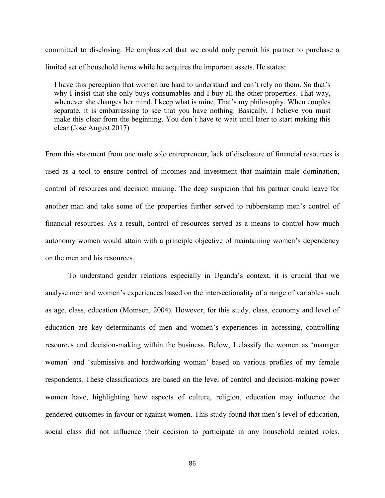committed to disclosing. He emphasized that we could only permit his partner to purchase a limited set of household items while he acquires the important assets. He states:

I have this perception that women are hard to understand and can't rely on them. So that's why I insist that she only buys consumables and I buy all the other properties. That way, whenever she changes her mind, I keep what is mine. That's my philosophy. When couples separate, it is embarrassing to see that you have nothing. Basically, I believe you must make this clear from the beginning. You don't have to wait until later to start making this clear (Jose August 2017)

From this statement from one male solo entrepreneur, lack of disclosure of financial resources is used as a tool to ensure control of incomes and investment that maintain male domination, control of resources and decision making. The deep suspicion that his partner could leave for another man and take some of the properties further served to rubberstamp men's control of financial resources. As a result, control of resources served as a means to control how much autonomy women would attain with a principle objective of maintaining women's dependency on the men and his resources.

To understand gender relations especially in Uganda's context, it is crucial that we analyse men and women's experiences based on the intersectionality of a range of variables such as age, class, education (Momsen, 2004). However, for this study, class, economy and level of education are key determinants of men and women's experiences in accessing, controlling resources and decision-making within the business. Below, I classify the women as 'manager woman' and 'submissive and hardworking woman' based on various profiles of my female respondents. These classifications are based on the level of control and decision-making power women have, highlighting how aspects of culture, religion, education may influence the gendered outcomes in favour or against women. This study found that men's level of education, social class did not influence their decision to participate in any household related roles.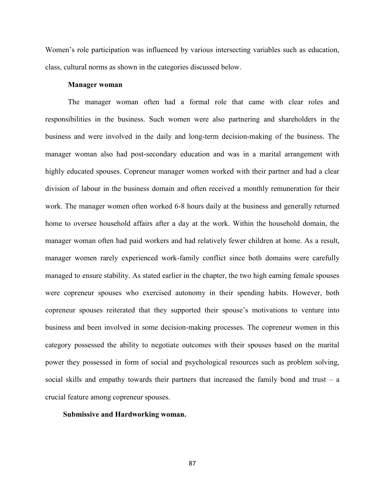Women's role participation was influenced by various intersecting variables such as education, class, cultural norms as shown in the categories discussed below.

#### **Manager woman**

The manager woman often had a formal role that came with clear roles and responsibilities in the business. Such women were also partnering and shareholders in the business and were involved in the daily and long-term decision-making of the business. The manager woman also had post-secondary education and was in a marital arrangement with highly educated spouses. Copreneur manager women worked with their partner and had a clear division of labour in the business domain and often received a monthly remuneration for their work. The manager women often worked 6-8 hours daily at the business and generally returned home to oversee household affairs after a day at the work. Within the household domain, the manager woman often had paid workers and had relatively fewer children at home. As a result, manager women rarely experienced work-family conflict since both domains were carefully managed to ensure stability. As stated earlier in the chapter, the two high earning female spouses were copreneur spouses who exercised autonomy in their spending habits. However, both copreneur spouses reiterated that they supported their spouse's motivations to venture into business and been involved in some decision-making processes. The copreneur women in this category possessed the ability to negotiate outcomes with their spouses based on the marital power they possessed in form of social and psychological resources such as problem solving, social skills and empathy towards their partners that increased the family bond and trust  $-$  a crucial feature among copreneur spouses.

#### **Submissive and Hardworking woman.**

87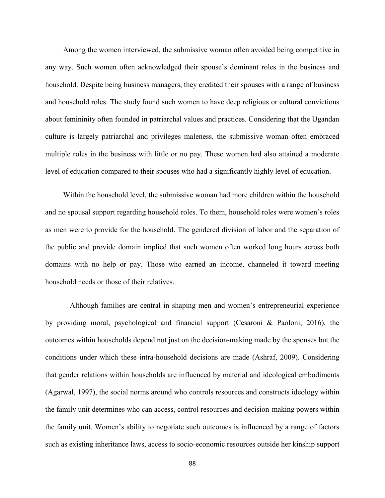Among the women interviewed, the submissive woman often avoided being competitive in any way. Such women often acknowledged their spouse's dominant roles in the business and household. Despite being business managers, they credited their spouses with a range of business and household roles. The study found such women to have deep religious or cultural convictions about femininity often founded in patriarchal values and practices. Considering that the Ugandan culture is largely patriarchal and privileges maleness, the submissive woman often embraced multiple roles in the business with little or no pay. These women had also attained a moderate level of education compared to their spouses who had a significantly highly level of education.

Within the household level, the submissive woman had more children within the household and no spousal support regarding household roles. To them, household roles were women's roles as men were to provide for the household. The gendered division of labor and the separation of the public and provide domain implied that such women often worked long hours across both domains with no help or pay. Those who earned an income, channeled it toward meeting household needs or those of their relatives.

 Although families are central in shaping men and women's entrepreneurial experience by providing moral, psychological and financial support (Cesaroni & Paoloni, 2016), the outcomes within households depend not just on the decision-making made by the spouses but the conditions under which these intra-household decisions are made (Ashraf, 2009). Considering that gender relations within households are influenced by material and ideological embodiments (Agarwal, 1997), the social norms around who controls resources and constructs ideology within the family unit determines who can access, control resources and decision-making powers within the family unit. Women's ability to negotiate such outcomes is influenced by a range of factors such as existing inheritance laws, access to socio-economic resources outside her kinship support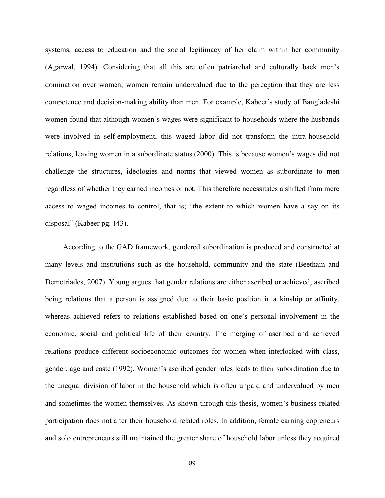systems, access to education and the social legitimacy of her claim within her community (Agarwal, 1994). Considering that all this are often patriarchal and culturally back men's domination over women, women remain undervalued due to the perception that they are less competence and decision-making ability than men. For example, Kabeer's study of Bangladeshi women found that although women's wages were significant to households where the husbands were involved in self-employment, this waged labor did not transform the intra-household relations, leaving women in a subordinate status (2000). This is because women's wages did not challenge the structures, ideologies and norms that viewed women as subordinate to men regardless of whether they earned incomes or not. This therefore necessitates a shifted from mere access to waged incomes to control, that is; "the extent to which women have a say on its disposal" (Kabeer pg. 143).

According to the GAD framework, gendered subordination is produced and constructed at many levels and institutions such as the household, community and the state (Beetham and Demetriades, 2007). Young argues that gender relations are either ascribed or achieved; ascribed being relations that a person is assigned due to their basic position in a kinship or affinity, whereas achieved refers to relations established based on one's personal involvement in the economic, social and political life of their country. The merging of ascribed and achieved relations produce different socioeconomic outcomes for women when interlocked with class, gender, age and caste (1992). Women's ascribed gender roles leads to their subordination due to the unequal division of labor in the household which is often unpaid and undervalued by men and sometimes the women themselves. As shown through this thesis, women's business-related participation does not alter their household related roles. In addition, female earning copreneurs and solo entrepreneurs still maintained the greater share of household labor unless they acquired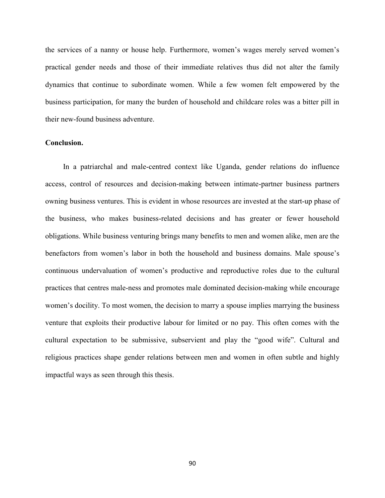the services of a nanny or house help. Furthermore, women's wages merely served women's practical gender needs and those of their immediate relatives thus did not alter the family dynamics that continue to subordinate women. While a few women felt empowered by the business participation, for many the burden of household and childcare roles was a bitter pill in their new-found business adventure.

### **Conclusion.**

In a patriarchal and male-centred context like Uganda, gender relations do influence access, control of resources and decision-making between intimate-partner business partners owning business ventures. This is evident in whose resources are invested at the start-up phase of the business, who makes business-related decisions and has greater or fewer household obligations. While business venturing brings many benefits to men and women alike, men are the benefactors from women's labor in both the household and business domains. Male spouse's continuous undervaluation of women's productive and reproductive roles due to the cultural practices that centres male-ness and promotes male dominated decision-making while encourage women's docility. To most women, the decision to marry a spouse implies marrying the business venture that exploits their productive labour for limited or no pay. This often comes with the cultural expectation to be submissive, subservient and play the "good wife". Cultural and religious practices shape gender relations between men and women in often subtle and highly impactful ways as seen through this thesis.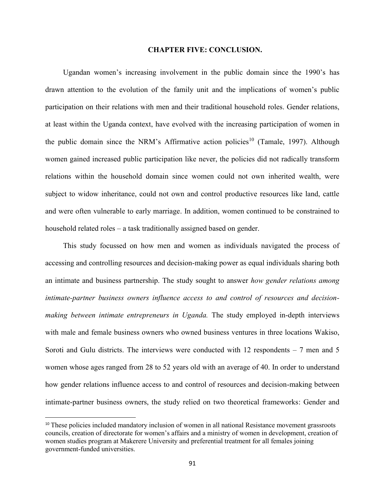#### **CHAPTER FIVE: CONCLUSION.**

Ugandan women's increasing involvement in the public domain since the 1990's has drawn attention to the evolution of the family unit and the implications of women's public participation on their relations with men and their traditional household roles. Gender relations, at least within the Uganda context, have evolved with the increasing participation of women in the public domain since the NRM's Affirmative action policies<sup>10</sup> (Tamale, 1997). Although women gained increased public participation like never, the policies did not radically transform relations within the household domain since women could not own inherited wealth, were subject to widow inheritance, could not own and control productive resources like land, cattle and were often vulnerable to early marriage. In addition, women continued to be constrained to household related roles – a task traditionally assigned based on gender.

This study focussed on how men and women as individuals navigated the process of accessing and controlling resources and decision-making power as equal individuals sharing both an intimate and business partnership. The study sought to answer *how gender relations among intimate-partner business owners influence access to and control of resources and decisionmaking between intimate entrepreneurs in Uganda.* The study employed in-depth interviews with male and female business owners who owned business ventures in three locations Wakiso, Soroti and Gulu districts. The interviews were conducted with 12 respondents  $-7$  men and 5 women whose ages ranged from 28 to 52 years old with an average of 40. In order to understand how gender relations influence access to and control of resources and decision-making between intimate-partner business owners, the study relied on two theoretical frameworks: Gender and

 $\overline{\phantom{a}}$ 

<sup>&</sup>lt;sup>10</sup> These policies included mandatory inclusion of women in all national Resistance movement grassroots councils, creation of directorate for women's affairs and a ministry of women in development, creation of women studies program at Makerere University and preferential treatment for all females joining government-funded universities.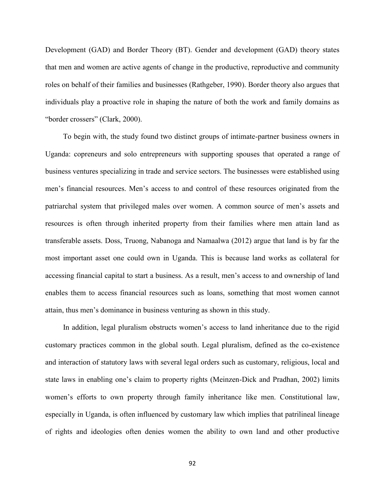Development (GAD) and Border Theory (BT). Gender and development (GAD) theory states that men and women are active agents of change in the productive, reproductive and community roles on behalf of their families and businesses (Rathgeber, 1990). Border theory also argues that individuals play a proactive role in shaping the nature of both the work and family domains as "border crossers" (Clark, 2000).

To begin with, the study found two distinct groups of intimate-partner business owners in Uganda: copreneurs and solo entrepreneurs with supporting spouses that operated a range of business ventures specializing in trade and service sectors. The businesses were established using men's financial resources. Men's access to and control of these resources originated from the patriarchal system that privileged males over women. A common source of men's assets and resources is often through inherited property from their families where men attain land as transferable assets. Doss, Truong, Nabanoga and Namaalwa (2012) argue that land is by far the most important asset one could own in Uganda. This is because land works as collateral for accessing financial capital to start a business. As a result, men's access to and ownership of land enables them to access financial resources such as loans, something that most women cannot attain, thus men's dominance in business venturing as shown in this study.

In addition, legal pluralism obstructs women's access to land inheritance due to the rigid customary practices common in the global south. Legal pluralism, defined as the co-existence and interaction of statutory laws with several legal orders such as customary, religious, local and state laws in enabling one's claim to property rights (Meinzen-Dick and Pradhan, 2002) limits women's efforts to own property through family inheritance like men. Constitutional law, especially in Uganda, is often influenced by customary law which implies that patrilineal lineage of rights and ideologies often denies women the ability to own land and other productive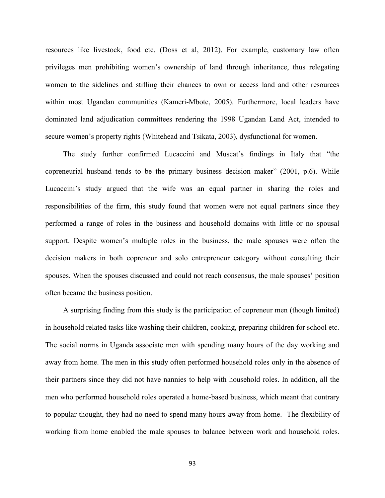resources like livestock, food etc. (Doss et al, 2012). For example, customary law often privileges men prohibiting women's ownership of land through inheritance, thus relegating women to the sidelines and stifling their chances to own or access land and other resources within most Ugandan communities (Kameri-Mbote, 2005). Furthermore, local leaders have dominated land adjudication committees rendering the 1998 Ugandan Land Act, intended to secure women's property rights (Whitehead and Tsikata, 2003), dysfunctional for women.

The study further confirmed Lucaccini and Muscat's findings in Italy that "the copreneurial husband tends to be the primary business decision maker" (2001, p.6). While Lucaccini's study argued that the wife was an equal partner in sharing the roles and responsibilities of the firm, this study found that women were not equal partners since they performed a range of roles in the business and household domains with little or no spousal support. Despite women's multiple roles in the business, the male spouses were often the decision makers in both copreneur and solo entrepreneur category without consulting their spouses. When the spouses discussed and could not reach consensus, the male spouses' position often became the business position.

A surprising finding from this study is the participation of copreneur men (though limited) in household related tasks like washing their children, cooking, preparing children for school etc. The social norms in Uganda associate men with spending many hours of the day working and away from home. The men in this study often performed household roles only in the absence of their partners since they did not have nannies to help with household roles. In addition, all the men who performed household roles operated a home-based business, which meant that contrary to popular thought, they had no need to spend many hours away from home. The flexibility of working from home enabled the male spouses to balance between work and household roles.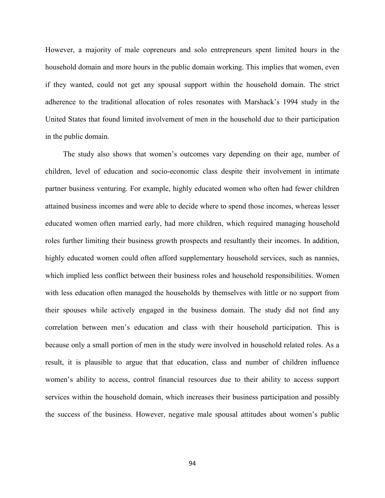However, a majority of male copreneurs and solo entrepreneurs spent limited hours in the household domain and more hours in the public domain working. This implies that women, even if they wanted, could not get any spousal support within the household domain. The strict adherence to the traditional allocation of roles resonates with Marshack's 1994 study in the United States that found limited involvement of men in the household due to their participation in the public domain.

The study also shows that women's outcomes vary depending on their age, number of children, level of education and socio-economic class despite their involvement in intimate partner business venturing. For example, highly educated women who often had fewer children attained business incomes and were able to decide where to spend those incomes, whereas lesser educated women often married early, had more children, which required managing household roles further limiting their business growth prospects and resultantly their incomes. In addition, highly educated women could often afford supplementary household services, such as nannies, which implied less conflict between their business roles and household responsibilities. Women with less education often managed the households by themselves with little or no support from their spouses while actively engaged in the business domain. The study did not find any correlation between men's education and class with their household participation. This is because only a small portion of men in the study were involved in household related roles. As a result, it is plausible to argue that that education, class and number of children influence women's ability to access, control financial resources due to their ability to access support services within the household domain, which increases their business participation and possibly the success of the business. However, negative male spousal attitudes about women's public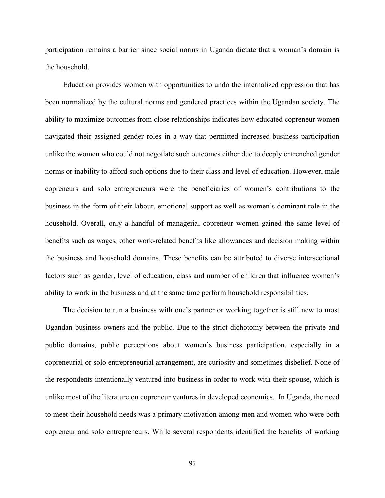participation remains a barrier since social norms in Uganda dictate that a woman's domain is the household.

Education provides women with opportunities to undo the internalized oppression that has been normalized by the cultural norms and gendered practices within the Ugandan society. The ability to maximize outcomes from close relationships indicates how educated copreneur women navigated their assigned gender roles in a way that permitted increased business participation unlike the women who could not negotiate such outcomes either due to deeply entrenched gender norms or inability to afford such options due to their class and level of education. However, male copreneurs and solo entrepreneurs were the beneficiaries of women's contributions to the business in the form of their labour, emotional support as well as women's dominant role in the household. Overall, only a handful of managerial copreneur women gained the same level of benefits such as wages, other work-related benefits like allowances and decision making within the business and household domains. These benefits can be attributed to diverse intersectional factors such as gender, level of education, class and number of children that influence women's ability to work in the business and at the same time perform household responsibilities.

The decision to run a business with one's partner or working together is still new to most Ugandan business owners and the public. Due to the strict dichotomy between the private and public domains, public perceptions about women's business participation, especially in a copreneurial or solo entrepreneurial arrangement, are curiosity and sometimes disbelief. None of the respondents intentionally ventured into business in order to work with their spouse, which is unlike most of the literature on copreneur ventures in developed economies. In Uganda, the need to meet their household needs was a primary motivation among men and women who were both copreneur and solo entrepreneurs. While several respondents identified the benefits of working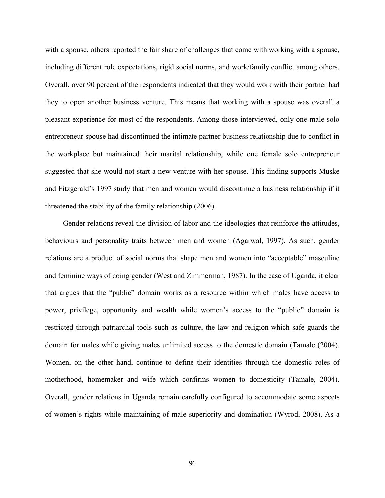with a spouse, others reported the fair share of challenges that come with working with a spouse, including different role expectations, rigid social norms, and work/family conflict among others. Overall, over 90 percent of the respondents indicated that they would work with their partner had they to open another business venture. This means that working with a spouse was overall a pleasant experience for most of the respondents. Among those interviewed, only one male solo entrepreneur spouse had discontinued the intimate partner business relationship due to conflict in the workplace but maintained their marital relationship, while one female solo entrepreneur suggested that she would not start a new venture with her spouse. This finding supports Muske and Fitzgerald's 1997 study that men and women would discontinue a business relationship if it threatened the stability of the family relationship (2006).

Gender relations reveal the division of labor and the ideologies that reinforce the attitudes, behaviours and personality traits between men and women (Agarwal, 1997). As such, gender relations are a product of social norms that shape men and women into "acceptable" masculine and feminine ways of doing gender (West and Zimmerman, 1987). In the case of Uganda, it clear that argues that the "public" domain works as a resource within which males have access to power, privilege, opportunity and wealth while women's access to the "public" domain is restricted through patriarchal tools such as culture, the law and religion which safe guards the domain for males while giving males unlimited access to the domestic domain (Tamale (2004). Women, on the other hand, continue to define their identities through the domestic roles of motherhood, homemaker and wife which confirms women to domesticity (Tamale, 2004). Overall, gender relations in Uganda remain carefully configured to accommodate some aspects of women's rights while maintaining of male superiority and domination (Wyrod, 2008). As a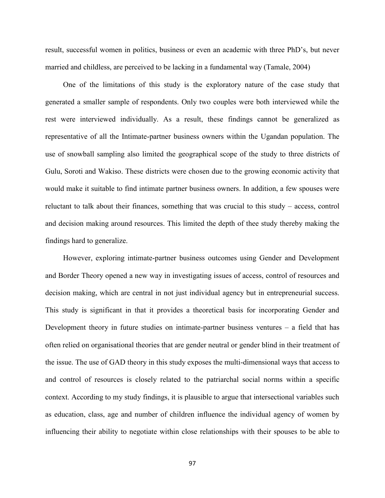result, successful women in politics, business or even an academic with three PhD's, but never married and childless, are perceived to be lacking in a fundamental way (Tamale, 2004)

One of the limitations of this study is the exploratory nature of the case study that generated a smaller sample of respondents. Only two couples were both interviewed while the rest were interviewed individually. As a result, these findings cannot be generalized as representative of all the Intimate-partner business owners within the Ugandan population. The use of snowball sampling also limited the geographical scope of the study to three districts of Gulu, Soroti and Wakiso. These districts were chosen due to the growing economic activity that would make it suitable to find intimate partner business owners. In addition, a few spouses were reluctant to talk about their finances, something that was crucial to this study – access, control and decision making around resources. This limited the depth of thee study thereby making the findings hard to generalize.

However, exploring intimate-partner business outcomes using Gender and Development and Border Theory opened a new way in investigating issues of access, control of resources and decision making, which are central in not just individual agency but in entrepreneurial success. This study is significant in that it provides a theoretical basis for incorporating Gender and Development theory in future studies on intimate-partner business ventures – a field that has often relied on organisational theories that are gender neutral or gender blind in their treatment of the issue. The use of GAD theory in this study exposes the multi-dimensional ways that access to and control of resources is closely related to the patriarchal social norms within a specific context. According to my study findings, it is plausible to argue that intersectional variables such as education, class, age and number of children influence the individual agency of women by influencing their ability to negotiate within close relationships with their spouses to be able to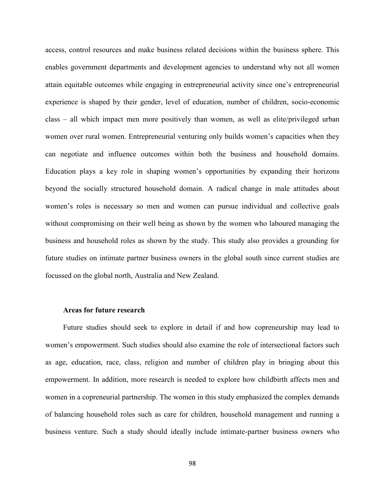access, control resources and make business related decisions within the business sphere. This enables government departments and development agencies to understand why not all women attain equitable outcomes while engaging in entrepreneurial activity since one's entrepreneurial experience is shaped by their gender, level of education, number of children, socio-economic class – all which impact men more positively than women, as well as elite/privileged urban women over rural women. Entrepreneurial venturing only builds women's capacities when they can negotiate and influence outcomes within both the business and household domains. Education plays a key role in shaping women's opportunities by expanding their horizons beyond the socially structured household domain. A radical change in male attitudes about women's roles is necessary so men and women can pursue individual and collective goals without compromising on their well being as shown by the women who laboured managing the business and household roles as shown by the study. This study also provides a grounding for future studies on intimate partner business owners in the global south since current studies are focussed on the global north, Australia and New Zealand.

#### **Areas for future research**

Future studies should seek to explore in detail if and how copreneurship may lead to women's empowerment. Such studies should also examine the role of intersectional factors such as age, education, race, class, religion and number of children play in bringing about this empowerment. In addition, more research is needed to explore how childbirth affects men and women in a copreneurial partnership. The women in this study emphasized the complex demands of balancing household roles such as care for children, household management and running a business venture. Such a study should ideally include intimate-partner business owners who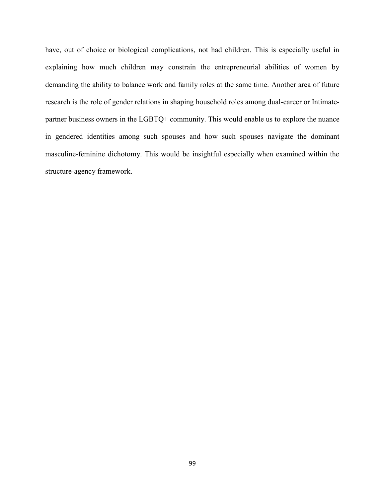have, out of choice or biological complications, not had children. This is especially useful in explaining how much children may constrain the entrepreneurial abilities of women by demanding the ability to balance work and family roles at the same time. Another area of future research is the role of gender relations in shaping household roles among dual-career or Intimatepartner business owners in the LGBTQ+ community. This would enable us to explore the nuance in gendered identities among such spouses and how such spouses navigate the dominant masculine-feminine dichotomy. This would be insightful especially when examined within the structure-agency framework.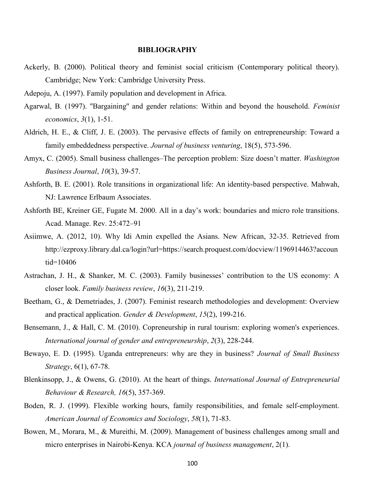#### **BIBLIOGRAPHY**

- Ackerly, B. (2000). Political theory and feminist social criticism (Contemporary political theory). Cambridge; New York: Cambridge University Press.
- Adepoju, A. (1997). Family population and development in Africa.
- Agarwal, B. (1997). ''Bargaining'' and gender relations: Within and beyond the household. *Feminist economics*, *3*(1), 1-51.
- Aldrich, H. E., & Cliff, J. E. (2003). The pervasive effects of family on entrepreneurship: Toward a family embeddedness perspective. *Journal of business venturing*, 18(5), 573-596.
- Amyx, C. (2005). Small business challenges–The perception problem: Size doesn't matter. *Washington Business Journal*, *10*(3), 39-57.
- Ashforth, B. E. (2001). Role transitions in organizational life: An identity-based perspective. Mahwah, NJ: Lawrence Erlbaum Associates.
- Ashforth BE, Kreiner GE, Fugate M. 2000. All in a day's work: boundaries and micro role transitions. Acad. Manage. Rev. 25:472–91
- Asiimwe, A. (2012, 10). Why Idi Amin expelled the Asians. New African, 32-35. Retrieved from http://ezproxy.library.dal.ca/login?url=https://search.proquest.com/docview/1196914463?accoun tid=10406
- Astrachan, J. H., & Shanker, M. C. (2003). Family businesses' contribution to the US economy: A closer look. *Family business review*, *16*(3), 211-219.
- Beetham, G., & Demetriades, J. (2007). Feminist research methodologies and development: Overview and practical application. *Gender & Development*, *15*(2), 199-216.
- Bensemann, J., & Hall, C. M. (2010). Copreneurship in rural tourism: exploring women's experiences. *International journal of gender and entrepreneurship*, *2*(3), 228-244.
- Bewayo, E. D. (1995). Uganda entrepreneurs: why are they in business? *Journal of Small Business Strategy*, 6(1), 67-78.
- Blenkinsopp, J., & Owens, G. (2010). At the heart of things. *International Journal of Entrepreneurial Behaviour & Research, 16*(5), 357-369.
- Boden, R. J. (1999). Flexible working hours, family responsibilities, and female self-employment. *American Journal of Economics and Sociology*, *58*(1), 71-83.
- Bowen, M., Morara, M., & Mureithi, M. (2009). Management of business challenges among small and micro enterprises in Nairobi-Kenya. KCA *journal of business management*, 2(1).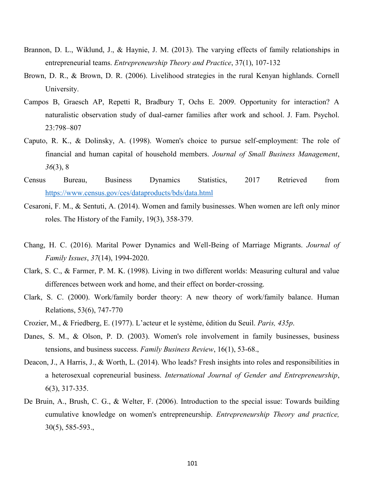- Brannon, D. L., Wiklund, J., & Haynie, J. M. (2013). The varying effects of family relationships in entrepreneurial teams. *Entrepreneurship Theory and Practice*, 37(1), 107-132
- Brown, D. R., & Brown, D. R. (2006). Livelihood strategies in the rural Kenyan highlands. Cornell University.
- Campos B, Graesch AP, Repetti R, Bradbury T, Ochs E. 2009. Opportunity for interaction? A naturalistic observation study of dual-earner families after work and school. J. Fam. Psychol. 23:798–807
- Caputo, R. K., & Dolinsky, A. (1998). Women's choice to pursue self-employment: The role of financial and human capital of household members. *Journal of Small Business Management*, *36*(3), 8
- Census Bureau, Business Dynamics Statistics, 2017 Retrieved from <https://www.census.gov/ces/dataproducts/bds/data.html>
- Cesaroni, F. M., & Sentuti, A. (2014). Women and family businesses. When women are left only minor roles. The History of the Family, 19(3), 358-379.
- Chang, H. C. (2016). Marital Power Dynamics and Well-Being of Marriage Migrants. *Journal of Family Issues*, *37*(14), 1994-2020.
- Clark, S. C., & Farmer, P. M. K. (1998). Living in two different worlds: Measuring cultural and value differences between work and home, and their effect on border-crossing.
- Clark, S. C. (2000). Work/family border theory: A new theory of work/family balance. Human Relations, 53(6), 747-770
- Crozier, M., & Friedberg, E. (1977). L'acteur et le système, édition du Seuil. *Paris, 435p*.
- Danes, S. M., & Olson, P. D. (2003). Women's role involvement in family businesses, business tensions, and business success. *Family Business Review*, 16(1), 53-68.,
- Deacon, J., A Harris, J., & Worth, L. (2014). Who leads? Fresh insights into roles and responsibilities in a heterosexual copreneurial business. *International Journal of Gender and Entrepreneurship*, 6(3), 317-335.
- De Bruin, A., Brush, C. G., & Welter, F. (2006). Introduction to the special issue: Towards building cumulative knowledge on women's entrepreneurship. *Entrepreneurship Theory and practice,* 30(5), 585-593.,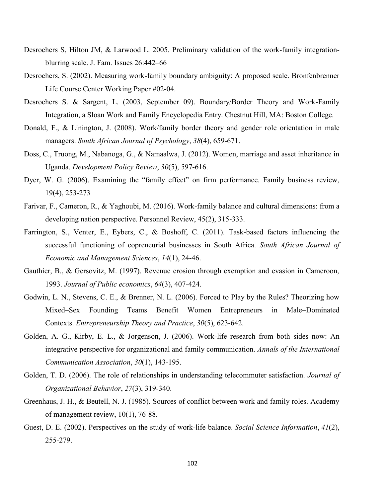- Desrochers S, Hilton JM, & Larwood L. 2005. Preliminary validation of the work-family integrationblurring scale. J. Fam. Issues 26:442–66
- Desrochers, S. (2002). Measuring work-family boundary ambiguity: A proposed scale. Bronfenbrenner Life Course Center Working Paper #02-04.
- Desrochers S. & Sargent, L. (2003, September 09). Boundary/Border Theory and Work-Family Integration, a Sloan Work and Family Encyclopedia Entry. Chestnut Hill, MA: Boston College.
- Donald, F., & Linington, J. (2008). Work/family border theory and gender role orientation in male managers. *South African Journal of Psychology*, *38*(4), 659-671.
- Doss, C., Truong, M., Nabanoga, G., & Namaalwa, J. (2012). Women, marriage and asset inheritance in Uganda. *Development Policy Review*, *30*(5), 597-616.
- Dyer, W. G. (2006). Examining the "family effect" on firm performance. Family business review, 19(4), 253-273
- Farivar, F., Cameron, R., & Yaghoubi, M. (2016). Work-family balance and cultural dimensions: from a developing nation perspective. Personnel Review, 45(2), 315-333.
- Farrington, S., Venter, E., Eybers, C., & Boshoff, C. (2011). Task-based factors influencing the successful functioning of copreneurial businesses in South Africa. *South African Journal of Economic and Management Sciences*, *14*(1), 24-46.
- Gauthier, B., & Gersovitz, M. (1997). Revenue erosion through exemption and evasion in Cameroon, 1993. *Journal of Public economics*, *64*(3), 407-424.
- Godwin, L. N., Stevens, C. E., & Brenner, N. L. (2006). Forced to Play by the Rules? Theorizing how Mixed–Sex Founding Teams Benefit Women Entrepreneurs in Male–Dominated Contexts. *Entrepreneurship Theory and Practice*, *30*(5), 623-642.
- Golden, A. G., Kirby, E. L., & Jorgenson, J. (2006). Work-life research from both sides now: An integrative perspective for organizational and family communication. *Annals of the International Communication Association*, *30*(1), 143-195.
- Golden, T. D. (2006). The role of relationships in understanding telecommuter satisfaction. *Journal of Organizational Behavior*, *27*(3), 319-340.
- Greenhaus, J. H., & Beutell, N. J. (1985). Sources of conflict between work and family roles. Academy of management review, 10(1), 76-88.
- Guest, D. E. (2002). Perspectives on the study of work-life balance. *Social Science Information*, *41*(2), 255-279.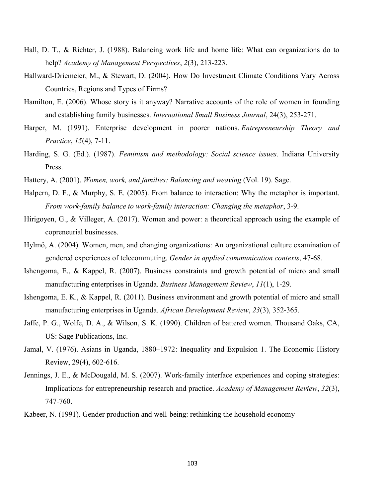- Hall, D. T., & Richter, J. (1988). Balancing work life and home life: What can organizations do to help? *Academy of Management Perspectives*, *2*(3), 213-223.
- Hallward-Driemeier, M., & Stewart, D. (2004). How Do Investment Climate Conditions Vary Across Countries, Regions and Types of Firms?
- Hamilton, E. (2006). Whose story is it anyway? Narrative accounts of the role of women in founding and establishing family businesses. *International Small Business Journal*, 24(3), 253-271.
- Harper, M. (1991). Enterprise development in poorer nations. *Entrepreneurship Theory and Practice*, *15*(4), 7-11.
- Harding, S. G. (Ed.). (1987). *Feminism and methodology: Social science issues*. Indiana University Press.
- Hattery, A. (2001). *Women, work, and families: Balancing and weaving* (Vol. 19). Sage.
- Halpern, D. F., & Murphy, S. E. (2005). From balance to interaction: Why the metaphor is important. *From work-family balance to work-family interaction: Changing the metaphor*, 3-9.
- Hirigoyen, G., & Villeger, A. (2017). Women and power: a theoretical approach using the example of copreneurial businesses.
- Hylmö, A. (2004). Women, men, and changing organizations: An organizational culture examination of gendered experiences of telecommuting. *Gender in applied communication contexts*, 47-68.
- Ishengoma, E., & Kappel, R. (2007). Business constraints and growth potential of micro and small manufacturing enterprises in Uganda. *Business Management Review*, *11*(1), 1-29.
- Ishengoma, E. K., & Kappel, R. (2011). Business environment and growth potential of micro and small manufacturing enterprises in Uganda. *African Development Review*, *23*(3), 352-365.
- Jaffe, P. G., Wolfe, D. A., & Wilson, S. K. (1990). Children of battered women. Thousand Oaks, CA, US: Sage Publications, Inc.
- Jamal, V. (1976). Asians in Uganda, 1880–1972: Inequality and Expulsion 1. The Economic History Review, 29(4), 602-616.
- Jennings, J. E., & McDougald, M. S. (2007). Work-family interface experiences and coping strategies: Implications for entrepreneurship research and practice. *Academy of Management Review*, *32*(3), 747-760.
- Kabeer, N. (1991). Gender production and well-being: rethinking the household economy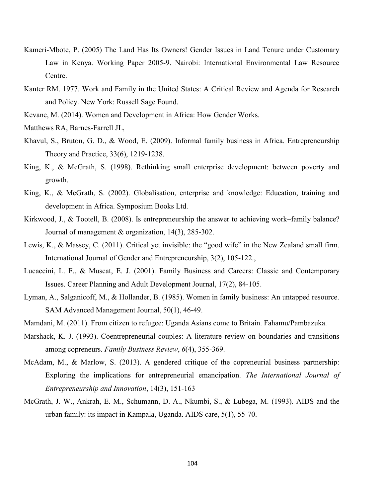- Kameri-Mbote, P. (2005) The Land Has Its Owners! Gender Issues in Land Tenure under Customary Law in Kenya. Working Paper 2005-9. Nairobi: International Environmental Law Resource Centre.
- Kanter RM. 1977. Work and Family in the United States: A Critical Review and Agenda for Research and Policy. New York: Russell Sage Found.
- Kevane, M. (2014). Women and Development in Africa: How Gender Works.

Matthews RA, Barnes-Farrell JL,

- Khavul, S., Bruton, G. D., & Wood, E. (2009). Informal family business in Africa. Entrepreneurship Theory and Practice, 33(6), 1219-1238.
- King, K., & McGrath, S. (1998). Rethinking small enterprise development: between poverty and growth.
- King, K., & McGrath, S. (2002). Globalisation, enterprise and knowledge: Education, training and development in Africa. Symposium Books Ltd.
- Kirkwood, J., & Tootell, B. (2008). Is entrepreneurship the answer to achieving work–family balance? Journal of management & organization, 14(3), 285-302.
- Lewis, K., & Massey, C. (2011). Critical yet invisible: the "good wife" in the New Zealand small firm. International Journal of Gender and Entrepreneurship, 3(2), 105-122.,
- Lucaccini, L. F., & Muscat, E. J. (2001). Family Business and Careers: Classic and Contemporary Issues. Career Planning and Adult Development Journal, 17(2), 84-105.
- Lyman, A., Salganicoff, M., & Hollander, B. (1985). Women in family business: An untapped resource. SAM Advanced Management Journal, 50(1), 46-49.
- Mamdani, M. (2011). From citizen to refugee: Uganda Asians come to Britain. Fahamu/Pambazuka.
- Marshack, K. J. (1993). Coentrepreneurial couples: A literature review on boundaries and transitions among copreneurs. *Family Business Review*, *6*(4), 355-369.
- McAdam, M., & Marlow, S. (2013). A gendered critique of the copreneurial business partnership: Exploring the implications for entrepreneurial emancipation. *The International Journal of Entrepreneurship and Innovation*, 14(3), 151-163
- McGrath, J. W., Ankrah, E. M., Schumann, D. A., Nkumbi, S., & Lubega, M. (1993). AIDS and the urban family: its impact in Kampala, Uganda. AIDS care, 5(1), 55-70.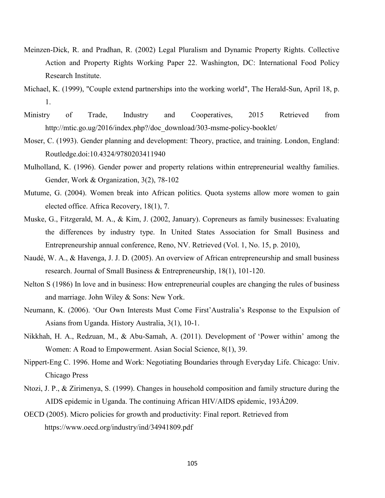- Meinzen-Dick, R. and Pradhan, R. (2002) Legal Pluralism and Dynamic Property Rights. Collective Action and Property Rights Working Paper 22. Washington, DC: International Food Policy Research Institute.
- Michael, K. (1999), "Couple extend partnerships into the working world", The Herald-Sun, April 18, p. 1.
- Ministry of Trade, Industry and Cooperatives, 2015 Retrieved from http://mtic.go.ug/2016/index.php?/doc\_download/303-msme-policy-booklet/
- Moser, C. (1993). Gender planning and development: Theory, practice, and training. London, England: Routledge.doi:10.4324/9780203411940
- Mulholland, K. (1996). Gender power and property relations within entrepreneurial wealthy families. Gender, Work & Organization, 3(2), 78-102
- Mutume, G. (2004). Women break into African politics. Quota systems allow more women to gain elected office. Africa Recovery, 18(1), 7.
- Muske, G., Fitzgerald, M. A., & Kim, J. (2002, January). Copreneurs as family businesses: Evaluating the differences by industry type. In United States Association for Small Business and Entrepreneurship annual conference, Reno, NV. Retrieved (Vol. 1, No. 15, p. 2010),
- Naudé, W. A., & Havenga, J. J. D. (2005). An overview of African entrepreneurship and small business research. Journal of Small Business & Entrepreneurship, 18(1), 101-120.
- Nelton S (1986) In love and in business: How entrepreneurial couples are changing the rules of business and marriage. John Wiley & Sons: New York.
- Neumann, K. (2006). 'Our Own Interests Must Come First'Australia's Response to the Expulsion of Asians from Uganda. History Australia, 3(1), 10-1.
- Nikkhah, H. A., Redzuan, M., & Abu-Samah, A. (2011). Development of 'Power within' among the Women: A Road to Empowerment. Asian Social Science, 8(1), 39.
- Nippert-Eng C. 1996. Home and Work: Negotiating Boundaries through Everyday Life. Chicago: Univ. Chicago Press
- Ntozi, J. P., & Zirimenya, S. (1999). Changes in household composition and family structure during the AIDS epidemic in Uganda. The continuing African HIV/AIDS epidemic, 193Á209.
- OECD (2005). Micro policies for growth and productivity: Final report. Retrieved from https://www.oecd.org/industry/ind/34941809.pdf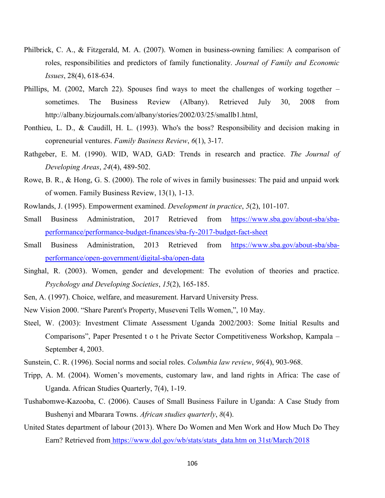- Philbrick, C. A., & Fitzgerald, M. A. (2007). Women in business-owning families: A comparison of roles, responsibilities and predictors of family functionality. *Journal of Family and Economic Issues*, 28(4), 618-634.
- Phillips, M. (2002, March 22). Spouses find ways to meet the challenges of working together sometimes. The Business Review (Albany). Retrieved July 30, 2008 from http://albany.bizjournals.com/albany/stories/2002/03/25/smallb1.html,
- Ponthieu, L. D., & Caudill, H. L. (1993). Who's the boss? Responsibility and decision making in copreneurial ventures. *Family Business Review*, *6*(1), 3-17.
- Rathgeber, E. M. (1990). WID, WAD, GAD: Trends in research and practice. *The Journal of Developing Areas*, *24*(4), 489-502.
- Rowe, B. R., & Hong, G. S. (2000). The role of wives in family businesses: The paid and unpaid work of women. Family Business Review, 13(1), 1-13.
- Rowlands, J. (1995). Empowerment examined. *Development in practice*, *5*(2), 101-107.
- Small Business Administration, 2017 Retrieved from [https://www.sba.gov/about-sba/sba](https://www.sba.gov/about-sba/sba-performance/performance-budget-finances/sba-fy-2017-budget-fact-sheet)[performance/performance-budget-finances/sba-fy-2017-budget-fact-sheet](https://www.sba.gov/about-sba/sba-performance/performance-budget-finances/sba-fy-2017-budget-fact-sheet)
- Small Business Administration, 2013 Retrieved from [https://www.sba.gov/about-sba/sba](https://www.sba.gov/about-sba/sba-performance/open-government/digital-sba/open-data)[performance/open-government/digital-sba/open-data](https://www.sba.gov/about-sba/sba-performance/open-government/digital-sba/open-data)
- Singhal, R. (2003). Women, gender and development: The evolution of theories and practice. *Psychology and Developing Societies*, *15*(2), 165-185.
- Sen, A. (1997). Choice, welfare, and measurement. Harvard University Press.
- New Vision 2000. "Share Parent's Property, Museveni Tells Women,", 10 May.
- Steel, W. (2003): Investment Climate Assessment Uganda 2002/2003: Some Initial Results and Comparisons", Paper Presented t o t he Private Sector Competitiveness Workshop, Kampala – September 4, 2003.
- Sunstein, C. R. (1996). Social norms and social roles. *Columbia law review*, *96*(4), 903-968.
- Tripp, A. M. (2004). Women's movements, customary law, and land rights in Africa: The case of Uganda. African Studies Quarterly, 7(4), 1-19.
- Tushabomwe-Kazooba, C. (2006). Causes of Small Business Failure in Uganda: A Case Study from Bushenyi and Mbarara Towns. *African studies quarterly*, *8*(4).
- United States department of labour (2013). Where Do Women and Men Work and How Much Do They Earn? Retrieved from [https://www.dol.gov/wb/stats/stats\\_data.htm on 31st/March/2018](https://www.dol.gov/wb/stats/stats_data.htm%20on%2031st/March/2018)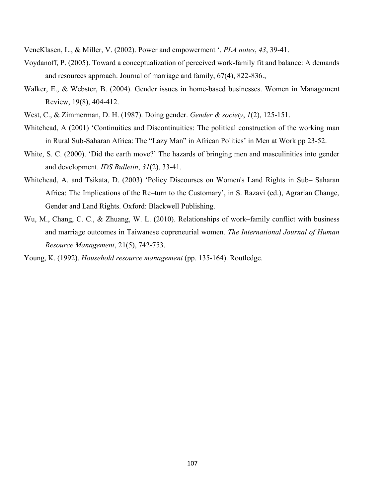VeneKlasen, L., & Miller, V. (2002). Power and empowerment '. *PLA notes*, *43*, 39-41.

- Voydanoff, P. (2005). Toward a conceptualization of perceived work‐family fit and balance: A demands and resources approach. Journal of marriage and family, 67(4), 822-836.,
- Walker, E., & Webster, B. (2004). Gender issues in home-based businesses. Women in Management Review, 19(8), 404-412.
- West, C., & Zimmerman, D. H. (1987). Doing gender. *Gender & society*, *1*(2), 125-151.
- Whitehead, A (2001) 'Continuities and Discontinuities: The political construction of the working man in Rural Sub-Saharan Africa: The "Lazy Man" in African Politics' in Men at Work pp 23-52.
- White, S. C. (2000). 'Did the earth move?' The hazards of bringing men and masculinities into gender and development. *IDS Bulletin*, *31*(2), 33-41.
- Whitehead, A. and Tsikata, D. (2003) 'Policy Discourses on Women's Land Rights in Sub– Saharan Africa: The Implications of the Re–turn to the Customary', in S. Razavi (ed.), Agrarian Change, Gender and Land Rights. Oxford: Blackwell Publishing.
- Wu, M., Chang, C. C., & Zhuang, W. L. (2010). Relationships of work–family conflict with business and marriage outcomes in Taiwanese copreneurial women. *The International Journal of Human Resource Management*, 21(5), 742-753.

Young, K. (1992). *Household resource management* (pp. 135-164). Routledge.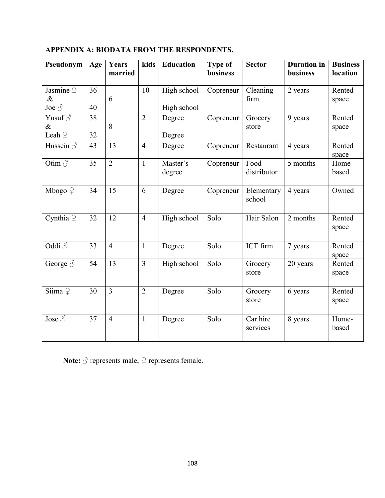| Pseudonym                                | Age      | Years<br>married | kids           | <b>Education</b>           | <b>Type of</b><br><b>business</b> | <b>Sector</b>        | <b>Duration</b> in<br>business | <b>Business</b><br>location |
|------------------------------------------|----------|------------------|----------------|----------------------------|-----------------------------------|----------------------|--------------------------------|-----------------------------|
| Jasmine $\varphi$<br>$\&$<br>Joe $\beta$ | 36<br>40 | 6                | 10             | High school<br>High school | Copreneur                         | Cleaning<br>firm     | 2 years                        | Rented<br>space             |
| Yusuf $\delta$<br>$\&$<br>Leah $\varphi$ | 38<br>32 | 8                | $\overline{2}$ | Degree<br>Degree           | Copreneur                         | Grocery<br>store     | 9 years                        | Rented<br>space             |
| Hussein $\delta$                         | 43       | 13               | $\overline{4}$ | Degree                     | Copreneur                         | Restaurant           | 4 years                        | Rented<br>space             |
| Otim $\delta$                            | 35       | $\overline{2}$   | $\mathbf{1}$   | Master's<br>degree         | Copreneur                         | Food<br>distributor  | 5 months                       | Home-<br>based              |
| Mbogo $\varphi$                          | 34       | 15               | 6              | Degree                     | Copreneur                         | Elementary<br>school | 4 years                        | Owned                       |
| Cynthia $\varphi$                        | 32       | 12               | $\overline{4}$ | High school                | Solo                              | Hair Salon           | 2 months                       | Rented<br>space             |
| Oddi $\delta$                            | 33       | $\overline{4}$   | $\mathbf{1}$   | Degree                     | Solo                              | ICT firm             | 7 years                        | Rented<br>space             |
| George $\delta$                          | 54       | 13               | $\overline{3}$ | High school                | Solo                              | Grocery<br>store     | 20 years                       | Rented<br>space             |
| $\overline{\text{Siima}} \subsetneq$     | 30       | $\overline{3}$   | $\overline{2}$ | Degree                     | Solo                              | Grocery<br>store     | 6 years                        | Rented<br>space             |
| Jose $\overline{\mathcal{S}}$            | 37       | $\overline{4}$   | $\mathbf{1}$   | Degree                     | Solo                              | Car hire<br>services | 8 years                        | Home-<br>based              |

# **APPENDIX A: BIODATA FROM THE RESPONDENTS.**

Note:  $\vec{\triangle}$  represents male,  $\vec{\triangle}$  represents female.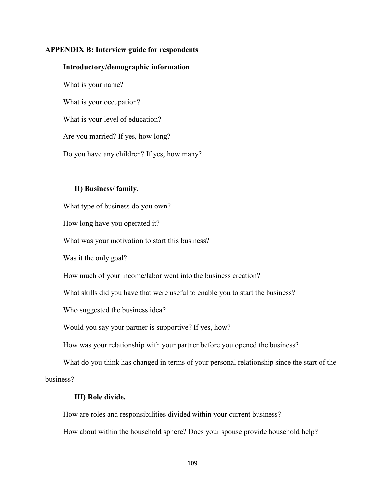## **APPENDIX B: Interview guide for respondents**

### **Introductory/demographic information**

What is your name? What is your occupation? What is your level of education? Are you married? If yes, how long? Do you have any children? If yes, how many?

## **II) Business/ family.**

What type of business do you own?

How long have you operated it?

What was your motivation to start this business?

Was it the only goal?

How much of your income/labor went into the business creation?

What skills did you have that were useful to enable you to start the business?

Who suggested the business idea?

Would you say your partner is supportive? If yes, how?

How was your relationship with your partner before you opened the business?

What do you think has changed in terms of your personal relationship since the start of the business?

#### **III) Role divide.**

How are roles and responsibilities divided within your current business?

How about within the household sphere? Does your spouse provide household help?